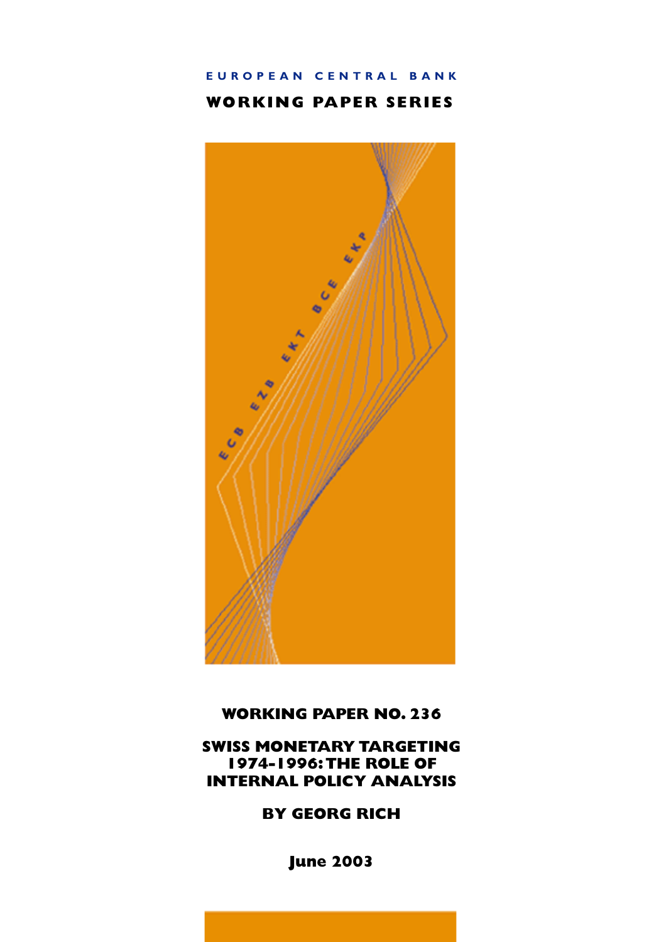# EUROPEAN CENTRAL BANK

# **WORKING PAPER SERIES**



# **WORKING PAPER NO. 236**

# **SWISS MONETARY TARGETING** 1974-1996: THE ROLE OF **INTERNAL POLICY ANALYSIS**

**BY GEORG RICH** 

**June 2003**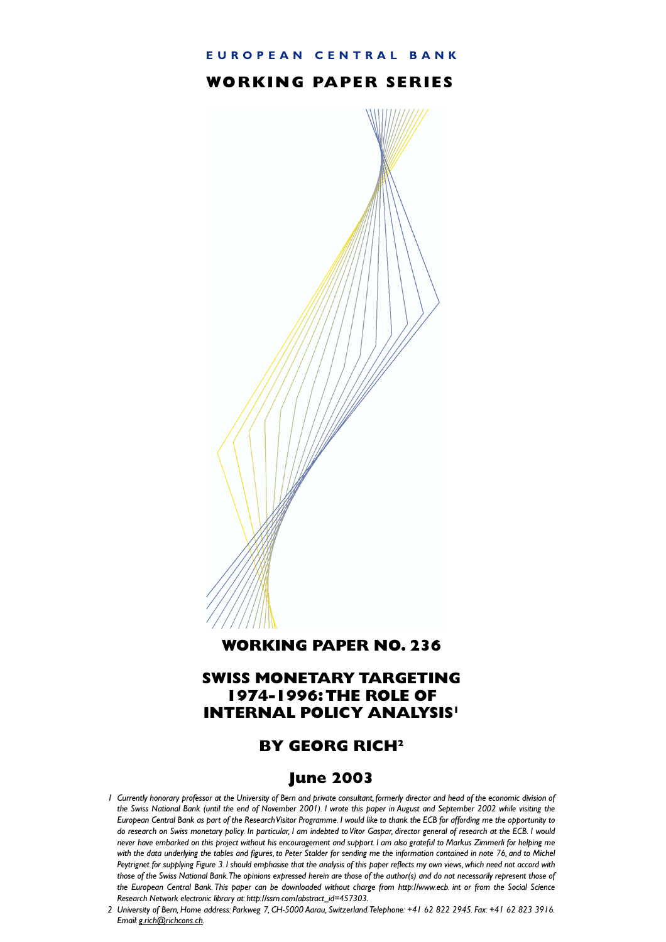#### EUROPEAN CENTRAL BANK

### **WORKING PAPER SERIES**



#### **WORKING PAPER NO. 236**

## **SWISS MONETARY TARGETING 1974-1996: THE ROLE OF INTERNAL POLICY ANALYSIS'**

# **BY GEORG RICH<sup>2</sup>**

### **June 2003**

- I Currently honorary professor at the University of Bern and private consultant, formerly director and head of the economic division of the Swiss National Bank (until the end of November 2001). I wrote this paper in August and September 2002 while visiting the European Central Bank as part of the Research Visitor Programme. I would like to thank the ECB for affording me the opportunity to do research on Swiss monetary policy. In particular, I am indebted to Vítor Gaspar, director general of research at the ECB. I would never have embarked on this project without his encouragement and support. I am also grateful to Markus Zimmerli for helping me with the data underlying the tables and figures, to Peter Stalder for sending me the information contained in note 76, and to Michel Peytrignet for supplying Figure 3. I should emphasise that the analysis of this paper reflects my own views, which need not accord with those of the Swiss National Bank. The opinions expressed herein are those of the author(s) and do not necessarily represent those of the European Central Bank This paper can be downloaded without charge from http://www.ecb. int or from the Social Science Research Network electronic library at http://ssrn.com/abstract\_id=457303.
- 2 University of Bern, Home address: Parkweg 7, CH-5000 Aarau, Switzerland. Telephone: +41 62 822 2945. Fax: +41 62 823 3916. Email: g.rich@richcons.ch.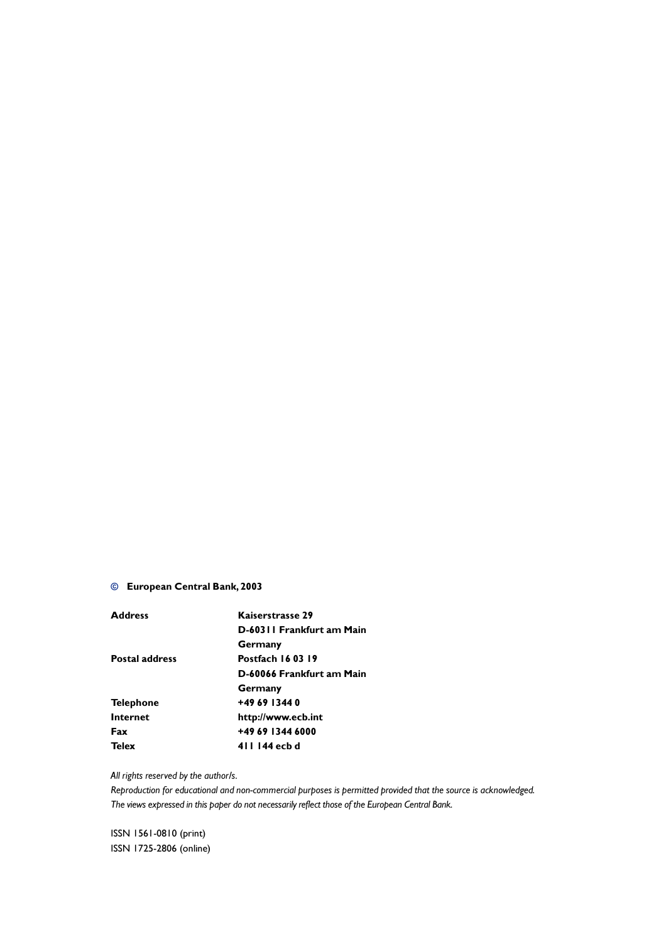#### © European Central Bank, 2003

| Kaiserstrasse 29          |  |  |
|---------------------------|--|--|
| D-60311 Frankfurt am Main |  |  |
| Germany                   |  |  |
| <b>Postfach 160319</b>    |  |  |
| D-60066 Frankfurt am Main |  |  |
| Germany                   |  |  |
| +49 69 1344 0             |  |  |
| http://www.ecb.int        |  |  |
| +49 69 1344 6000          |  |  |
| 411 144 ecb d             |  |  |
|                           |  |  |

#### All rights reserved by the author/s.

Reproduction for educational and non-commercial purposes is permitted provided that the source is acknowledged. The views expressed in this paper do not necessarily reflect those of the European Central Bank.

ISSN 1561-0810 (print) ISSN 1725-2806 (online)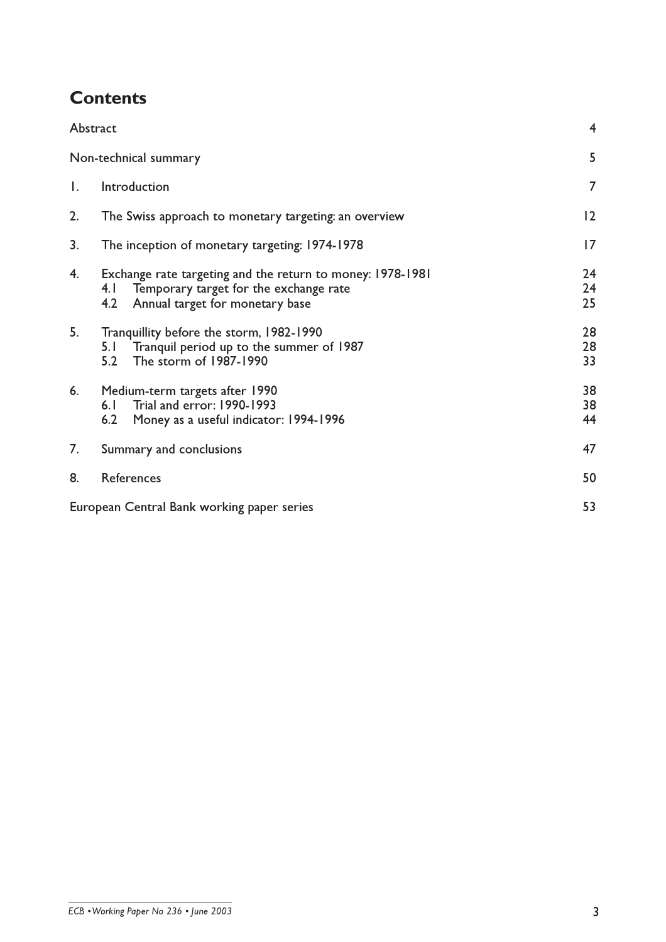# **Contents**

|              | Abstract                                                                                                                                              | 4              |
|--------------|-------------------------------------------------------------------------------------------------------------------------------------------------------|----------------|
|              | Non-technical summary                                                                                                                                 | 5              |
| $\mathsf{L}$ | Introduction                                                                                                                                          | $\overline{7}$ |
| 2.           | The Swiss approach to monetary targeting: an overview                                                                                                 | 2              |
| 3.           | The inception of monetary targeting: 1974-1978                                                                                                        | 7              |
| 4.           | Exchange rate targeting and the return to money: 1978-1981<br>Temporary target for the exchange rate<br>4.1<br>4.2<br>Annual target for monetary base | 24<br>24<br>25 |
| 5.           | Tranquillity before the storm, 1982-1990<br>Tranquil period up to the summer of 1987<br>5. I<br>The storm of 1987-1990<br>5.2                         | 28<br>28<br>33 |
| 6.           | Medium-term targets after 1990<br>Trial and error: 1990-1993<br>6.1<br>6.2<br>Money as a useful indicator: 1994-1996                                  | 38<br>38<br>44 |
| 7.           | Summary and conclusions                                                                                                                               | 47             |
| 8.           | References                                                                                                                                            | 50             |
|              | European Central Bank working paper series                                                                                                            | 53             |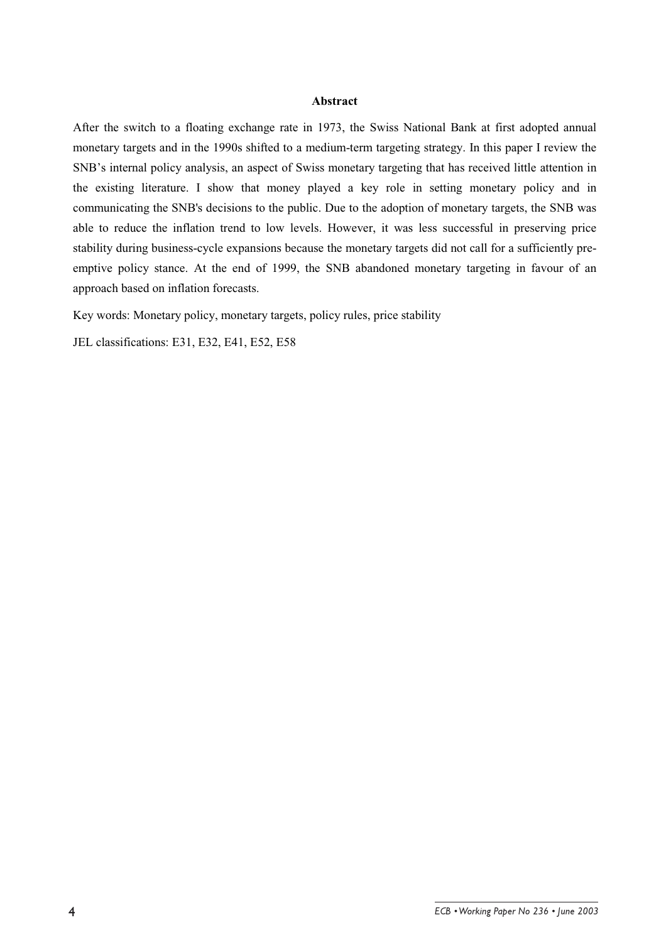#### **Abstract**

After the switch to a floating exchange rate in 1973, the Swiss National Bank at first adopted annual monetary targets and in the 1990s shifted to a medium-term targeting strategy. In this paper I review the SNB's internal policy analysis, an aspect of Swiss monetary targeting that has received little attention in the existing literature. I show that money played a key role in setting monetary policy and in communicating the SNB's decisions to the public. Due to the adoption of monetary targets, the SNB was able to reduce the inflation trend to low levels. However, it was less successful in preserving price stability during business-cycle expansions because the monetary targets did not call for a sufficiently preemptive policy stance. At the end of 1999, the SNB abandoned monetary targeting in favour of an approach based on inflation forecasts.

Key words: Monetary policy, monetary targets, policy rules, price stability

JEL classifications: E31, E32, E41, E52, E58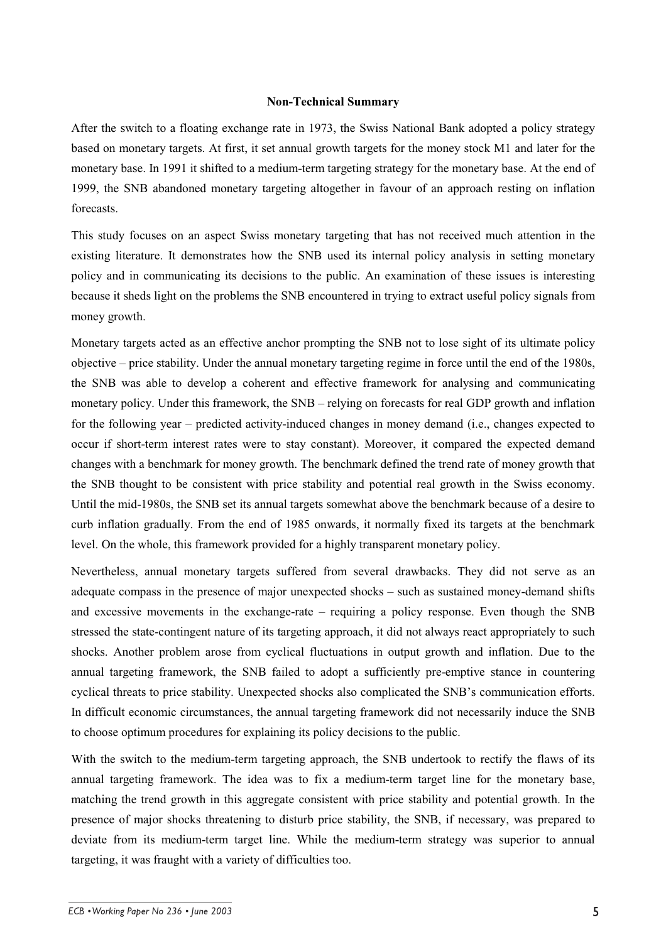#### **Non-Technical Summary**

After the switch to a floating exchange rate in 1973, the Swiss National Bank adopted a policy strategy based on monetary targets. At first, it set annual growth targets for the money stock M1 and later for the monetary base. In 1991 it shifted to a medium-term targeting strategy for the monetary base. At the end of 1999, the SNB abandoned monetary targeting altogether in favour of an approach resting on inflation forecasts.

This study focuses on an aspect Swiss monetary targeting that has not received much attention in the existing literature. It demonstrates how the SNB used its internal policy analysis in setting monetary policy and in communicating its decisions to the public. An examination of these issues is interesting because it sheds light on the problems the SNB encountered in trying to extract useful policy signals from money growth.

Monetary targets acted as an effective anchor prompting the SNB not to lose sight of its ultimate policy objective – price stability. Under the annual monetary targeting regime in force until the end of the 1980s, the SNB was able to develop a coherent and effective framework for analysing and communicating monetary policy. Under this framework, the SNB – relying on forecasts for real GDP growth and inflation for the following year – predicted activity-induced changes in money demand (i.e., changes expected to occur if short-term interest rates were to stay constant). Moreover, it compared the expected demand changes with a benchmark for money growth. The benchmark defined the trend rate of money growth that the SNB thought to be consistent with price stability and potential real growth in the Swiss economy. Until the mid-1980s, the SNB set its annual targets somewhat above the benchmark because of a desire to curb inflation gradually. From the end of 1985 onwards, it normally fixed its targets at the benchmark level. On the whole, this framework provided for a highly transparent monetary policy.

Nevertheless, annual monetary targets suffered from several drawbacks. They did not serve as an adequate compass in the presence of major unexpected shocks – such as sustained money-demand shifts and excessive movements in the exchange-rate – requiring a policy response. Even though the SNB stressed the state-contingent nature of its targeting approach, it did not always react appropriately to such shocks. Another problem arose from cyclical fluctuations in output growth and inflation. Due to the annual targeting framework, the SNB failed to adopt a sufficiently pre-emptive stance in countering cyclical threats to price stability. Unexpected shocks also complicated the SNB's communication efforts. In difficult economic circumstances, the annual targeting framework did not necessarily induce the SNB to choose optimum procedures for explaining its policy decisions to the public.

With the switch to the medium-term targeting approach, the SNB undertook to rectify the flaws of its annual targeting framework. The idea was to fix a medium-term target line for the monetary base, matching the trend growth in this aggregate consistent with price stability and potential growth. In the presence of major shocks threatening to disturb price stability, the SNB, if necessary, was prepared to deviate from its medium-term target line. While the medium-term strategy was superior to annual targeting, it was fraught with a variety of difficulties too.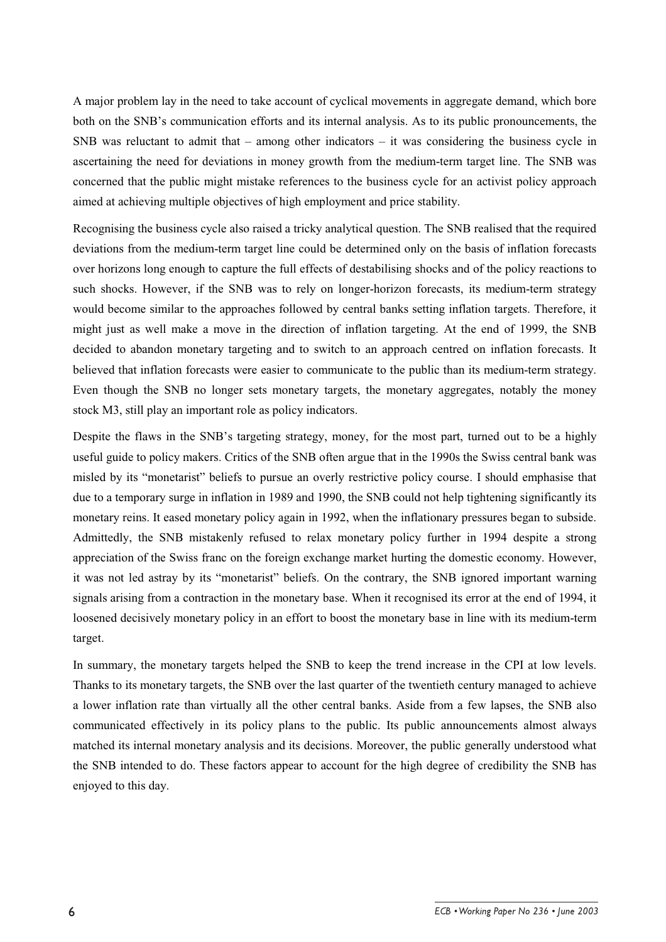A major problem lay in the need to take account of cyclical movements in aggregate demand, which bore both on the SNB's communication efforts and its internal analysis. As to its public pronouncements, the SNB was reluctant to admit that – among other indicators – it was considering the business cycle in ascertaining the need for deviations in money growth from the medium-term target line. The SNB was concerned that the public might mistake references to the business cycle for an activist policy approach aimed at achieving multiple objectives of high employment and price stability.

Recognising the business cycle also raised a tricky analytical question. The SNB realised that the required deviations from the medium-term target line could be determined only on the basis of inflation forecasts over horizons long enough to capture the full effects of destabilising shocks and of the policy reactions to such shocks. However, if the SNB was to rely on longer-horizon forecasts, its medium-term strategy would become similar to the approaches followed by central banks setting inflation targets. Therefore, it might just as well make a move in the direction of inflation targeting. At the end of 1999, the SNB decided to abandon monetary targeting and to switch to an approach centred on inflation forecasts. It believed that inflation forecasts were easier to communicate to the public than its medium-term strategy. Even though the SNB no longer sets monetary targets, the monetary aggregates, notably the money stock M3, still play an important role as policy indicators.

Despite the flaws in the SNB's targeting strategy, money, for the most part, turned out to be a highly useful guide to policy makers. Critics of the SNB often argue that in the 1990s the Swiss central bank was misled by its "monetarist" beliefs to pursue an overly restrictive policy course. I should emphasise that due to a temporary surge in inflation in 1989 and 1990, the SNB could not help tightening significantly its monetary reins. It eased monetary policy again in 1992, when the inflationary pressures began to subside. Admittedly, the SNB mistakenly refused to relax monetary policy further in 1994 despite a strong appreciation of the Swiss franc on the foreign exchange market hurting the domestic economy. However, it was not led astray by its "monetarist" beliefs. On the contrary, the SNB ignored important warning signals arising from a contraction in the monetary base. When it recognised its error at the end of 1994, it loosened decisively monetary policy in an effort to boost the monetary base in line with its medium-term target.

In summary, the monetary targets helped the SNB to keep the trend increase in the CPI at low levels. Thanks to its monetary targets, the SNB over the last quarter of the twentieth century managed to achieve a lower inflation rate than virtually all the other central banks. Aside from a few lapses, the SNB also communicated effectively in its policy plans to the public. Its public announcements almost always matched its internal monetary analysis and its decisions. Moreover, the public generally understood what the SNB intended to do. These factors appear to account for the high degree of credibility the SNB has enjoyed to this day.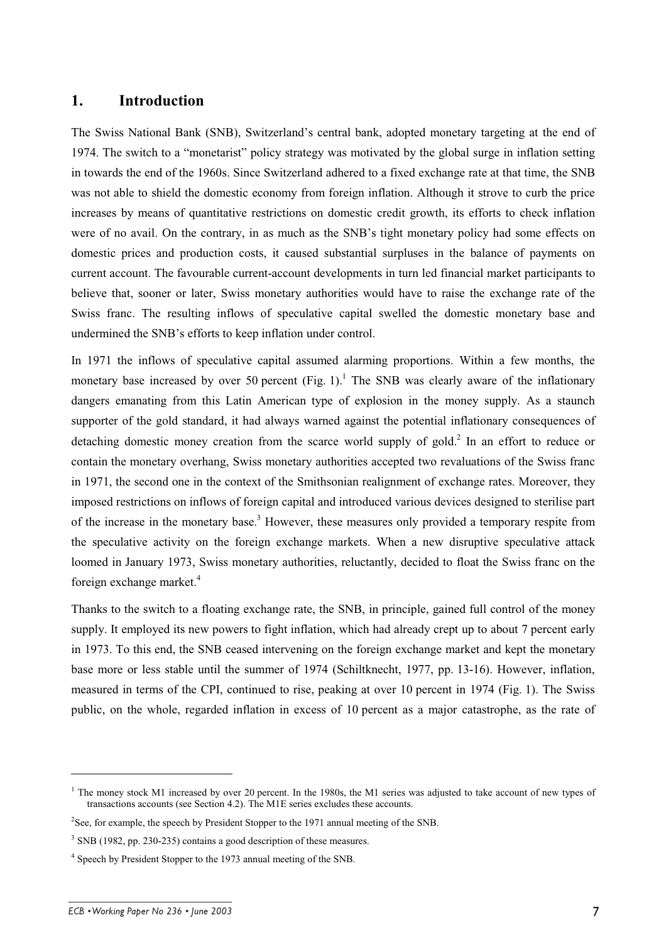#### **1. Introduction**

The Swiss National Bank (SNB), Switzerland's central bank, adopted monetary targeting at the end of 1974. The switch to a "monetarist" policy strategy was motivated by the global surge in inflation setting in towards the end of the 1960s. Since Switzerland adhered to a fixed exchange rate at that time, the SNB was not able to shield the domestic economy from foreign inflation. Although it strove to curb the price increases by means of quantitative restrictions on domestic credit growth, its efforts to check inflation were of no avail. On the contrary, in as much as the SNB's tight monetary policy had some effects on domestic prices and production costs, it caused substantial surpluses in the balance of payments on current account. The favourable current-account developments in turn led financial market participants to believe that, sooner or later, Swiss monetary authorities would have to raise the exchange rate of the Swiss franc. The resulting inflows of speculative capital swelled the domestic monetary base and undermined the SNB's efforts to keep inflation under control.

In 1971 the inflows of speculative capital assumed alarming proportions. Within a few months, the monetary base increased by over 50 percent (Fig. 1).<sup>1</sup> The SNB was clearly aware of the inflationary dangers emanating from this Latin American type of explosion in the money supply. As a staunch supporter of the gold standard, it had always warned against the potential inflationary consequences of detaching domestic money creation from the scarce world supply of gold.<sup>2</sup> In an effort to reduce or contain the monetary overhang, Swiss monetary authorities accepted two revaluations of the Swiss franc in 1971, the second one in the context of the Smithsonian realignment of exchange rates. Moreover, they imposed restrictions on inflows of foreign capital and introduced various devices designed to sterilise part of the increase in the monetary base.<sup>3</sup> However, these measures only provided a temporary respite from the speculative activity on the foreign exchange markets. When a new disruptive speculative attack loomed in January 1973, Swiss monetary authorities, reluctantly, decided to float the Swiss franc on the foreign exchange market.<sup>4</sup>

Thanks to the switch to a floating exchange rate, the SNB, in principle, gained full control of the money supply. It employed its new powers to fight inflation, which had already crept up to about 7 percent early in 1973. To this end, the SNB ceased intervening on the foreign exchange market and kept the monetary base more or less stable until the summer of 1974 (Schiltknecht, 1977, pp. 13-16). However, inflation, measured in terms of the CPI, continued to rise, peaking at over 10 percent in 1974 (Fig. 1). The Swiss public, on the whole, regarded inflation in excess of 10 percent as a major catastrophe, as the rate of

 $1$  The money stock M1 increased by over 20 percent. In the 1980s, the M1 series was adjusted to take account of new types of transactions accounts (see Section 4.2). The M1E series excludes these accounts.

<sup>&</sup>lt;sup>2</sup>See, for example, the speech by President Stopper to the 1971 annual meeting of the SNB.

<sup>&</sup>lt;sup>3</sup> SNB (1982, pp. 230-235) contains a good description of these measures.

<sup>&</sup>lt;sup>4</sup> Speech by President Stopper to the 1973 annual meeting of the SNB.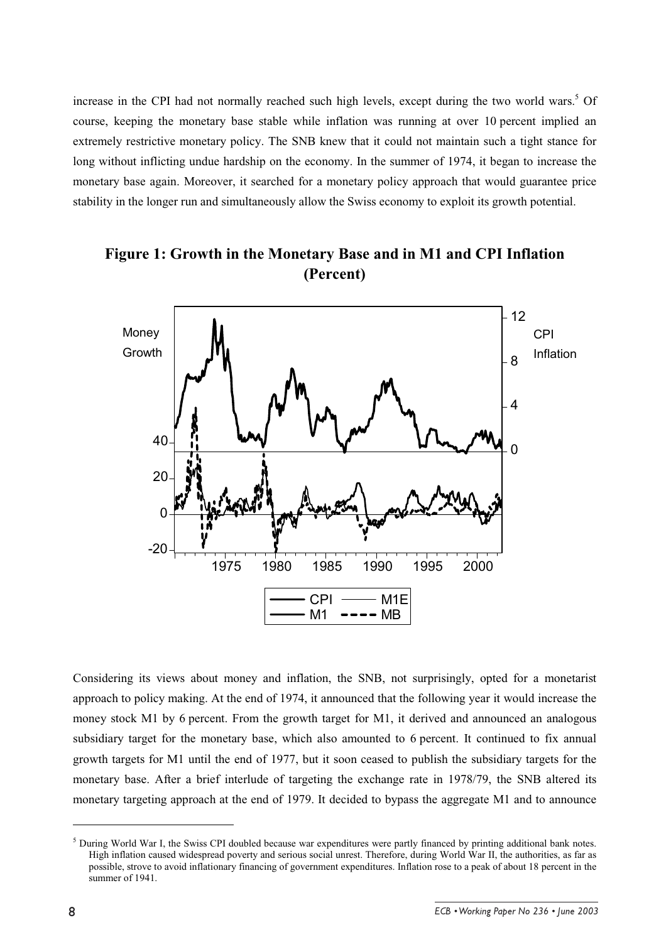increase in the CPI had not normally reached such high levels, except during the two world wars.<sup>5</sup> Of course, keeping the monetary base stable while inflation was running at over 10 percent implied an extremely restrictive monetary policy. The SNB knew that it could not maintain such a tight stance for long without inflicting undue hardship on the economy. In the summer of 1974, it began to increase the monetary base again. Moreover, it searched for a monetary policy approach that would guarantee price stability in the longer run and simultaneously allow the Swiss economy to exploit its growth potential.



# **Figure 1: Growth in the Monetary Base and in M1 and CPI Inflation (Percent)**

Considering its views about money and inflation, the SNB, not surprisingly, opted for a monetarist approach to policy making. At the end of 1974, it announced that the following year it would increase the money stock M1 by 6 percent. From the growth target for M1, it derived and announced an analogous subsidiary target for the monetary base, which also amounted to 6 percent. It continued to fix annual growth targets for M1 until the end of 1977, but it soon ceased to publish the subsidiary targets for the monetary base. After a brief interlude of targeting the exchange rate in 1978/79, the SNB altered its monetary targeting approach at the end of 1979. It decided to bypass the aggregate M1 and to announce

 $<sup>5</sup>$  During World War I, the Swiss CPI doubled because war expenditures were partly financed by printing additional bank notes.</sup> High inflation caused widespread poverty and serious social unrest. Therefore, during World War II, the authorities, as far as possible, strove to avoid inflationary financing of government expenditures. Inflation rose to a peak of about 18 percent in the summer of 1941.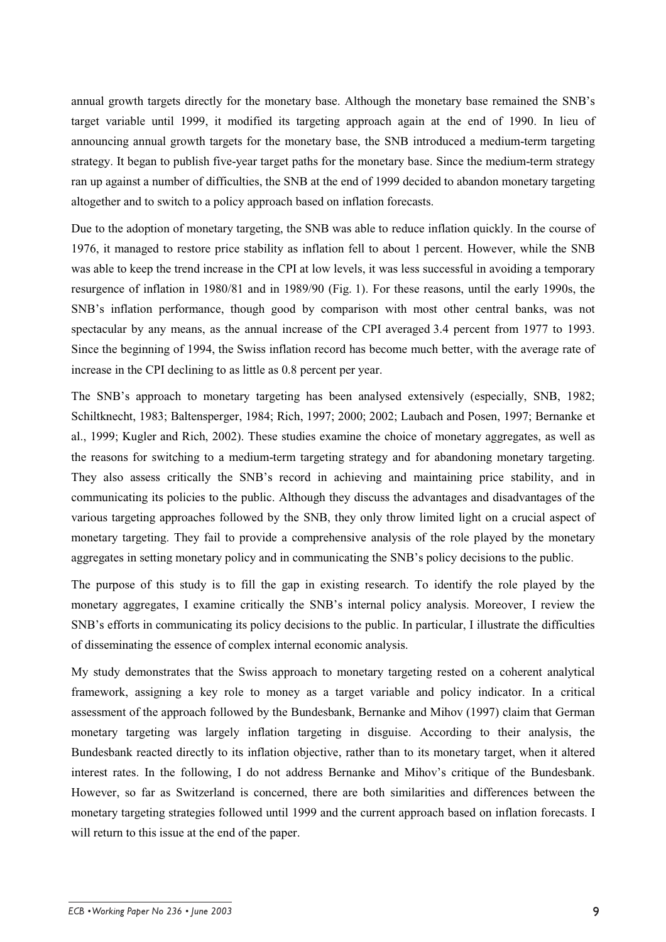annual growth targets directly for the monetary base. Although the monetary base remained the SNB's target variable until 1999, it modified its targeting approach again at the end of 1990. In lieu of announcing annual growth targets for the monetary base, the SNB introduced a medium-term targeting strategy. It began to publish five-year target paths for the monetary base. Since the medium-term strategy ran up against a number of difficulties, the SNB at the end of 1999 decided to abandon monetary targeting altogether and to switch to a policy approach based on inflation forecasts.

Due to the adoption of monetary targeting, the SNB was able to reduce inflation quickly. In the course of 1976, it managed to restore price stability as inflation fell to about 1 percent. However, while the SNB was able to keep the trend increase in the CPI at low levels, it was less successful in avoiding a temporary resurgence of inflation in 1980/81 and in 1989/90 (Fig. 1). For these reasons, until the early 1990s, the SNB's inflation performance, though good by comparison with most other central banks, was not spectacular by any means, as the annual increase of the CPI averaged 3.4 percent from 1977 to 1993. Since the beginning of 1994, the Swiss inflation record has become much better, with the average rate of increase in the CPI declining to as little as 0.8 percent per year.

The SNB's approach to monetary targeting has been analysed extensively (especially, SNB, 1982; Schiltknecht, 1983; Baltensperger, 1984; Rich, 1997; 2000; 2002; Laubach and Posen, 1997; Bernanke et al., 1999; Kugler and Rich, 2002). These studies examine the choice of monetary aggregates, as well as the reasons for switching to a medium-term targeting strategy and for abandoning monetary targeting. They also assess critically the SNB's record in achieving and maintaining price stability, and in communicating its policies to the public. Although they discuss the advantages and disadvantages of the various targeting approaches followed by the SNB, they only throw limited light on a crucial aspect of monetary targeting. They fail to provide a comprehensive analysis of the role played by the monetary aggregates in setting monetary policy and in communicating the SNB's policy decisions to the public.

The purpose of this study is to fill the gap in existing research. To identify the role played by the monetary aggregates, I examine critically the SNB's internal policy analysis. Moreover, I review the SNB's efforts in communicating its policy decisions to the public. In particular, I illustrate the difficulties of disseminating the essence of complex internal economic analysis.

My study demonstrates that the Swiss approach to monetary targeting rested on a coherent analytical framework, assigning a key role to money as a target variable and policy indicator. In a critical assessment of the approach followed by the Bundesbank, Bernanke and Mihov (1997) claim that German monetary targeting was largely inflation targeting in disguise. According to their analysis, the Bundesbank reacted directly to its inflation objective, rather than to its monetary target, when it altered interest rates. In the following, I do not address Bernanke and Mihov's critique of the Bundesbank. However, so far as Switzerland is concerned, there are both similarities and differences between the monetary targeting strategies followed until 1999 and the current approach based on inflation forecasts. I will return to this issue at the end of the paper.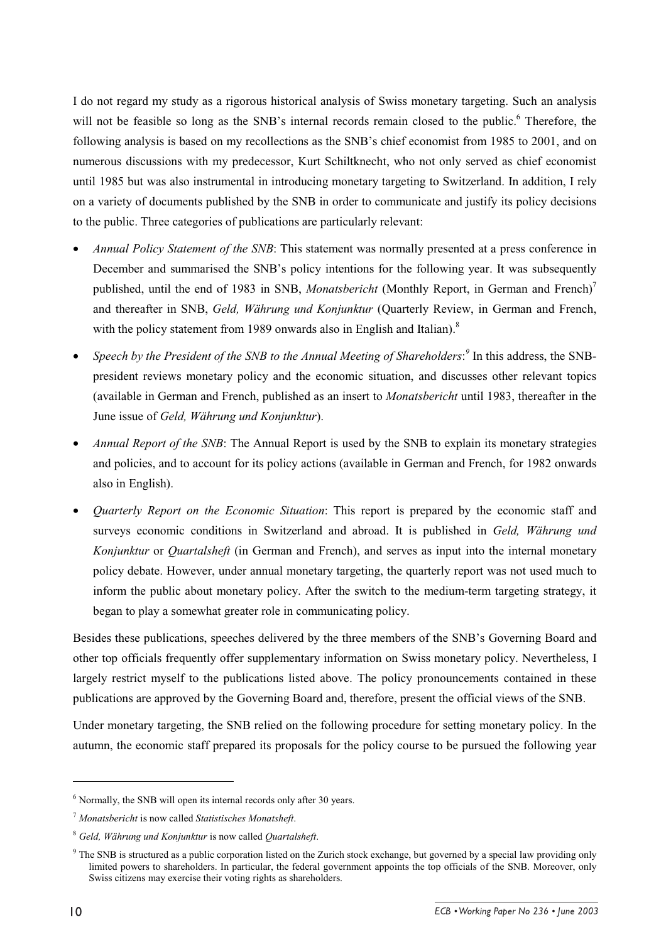I do not regard my study as a rigorous historical analysis of Swiss monetary targeting. Such an analysis will not be feasible so long as the SNB's internal records remain closed to the public.<sup>6</sup> Therefore, the following analysis is based on my recollections as the SNB's chief economist from 1985 to 2001, and on numerous discussions with my predecessor, Kurt Schiltknecht, who not only served as chief economist until 1985 but was also instrumental in introducing monetary targeting to Switzerland. In addition, I rely on a variety of documents published by the SNB in order to communicate and justify its policy decisions to the public. Three categories of publications are particularly relevant:

- *Annual Policy Statement of the SNB*: This statement was normally presented at a press conference in December and summarised the SNB's policy intentions for the following year. It was subsequently published, until the end of 1983 in SNB, *Monatsbericht* (Monthly Report, in German and French)<sup>7</sup> and thereafter in SNB, *Geld, Währung und Konjunktur* (Quarterly Review, in German and French, with the policy statement from 1989 onwards also in English and Italian).<sup>8</sup>
- *Speech by the President of the SNB to the Annual Meeting of Shareholders:*<sup>9</sup> In this address, the SNBpresident reviews monetary policy and the economic situation, and discusses other relevant topics (available in German and French, published as an insert to *Monatsbericht* until 1983, thereafter in the June issue of *Geld, Währung und Konjunktur*).
- *Annual Report of the SNB*: The Annual Report is used by the SNB to explain its monetary strategies and policies, and to account for its policy actions (available in German and French, for 1982 onwards also in English).
- *Quarterly Report on the Economic Situation*: This report is prepared by the economic staff and surveys economic conditions in Switzerland and abroad. It is published in *Geld, Währung und Konjunktur* or *Quartalsheft* (in German and French), and serves as input into the internal monetary policy debate. However, under annual monetary targeting, the quarterly report was not used much to inform the public about monetary policy. After the switch to the medium-term targeting strategy, it began to play a somewhat greater role in communicating policy.

Besides these publications, speeches delivered by the three members of the SNB's Governing Board and other top officials frequently offer supplementary information on Swiss monetary policy. Nevertheless, I largely restrict myself to the publications listed above. The policy pronouncements contained in these publications are approved by the Governing Board and, therefore, present the official views of the SNB.

Under monetary targeting, the SNB relied on the following procedure for setting monetary policy. In the autumn, the economic staff prepared its proposals for the policy course to be pursued the following year

<sup>&</sup>lt;sup>6</sup> Normally, the SNB will open its internal records only after 30 years.

<sup>7</sup> *Monatsbericht* is now called *Statistisches Monatsheft*.

<sup>8</sup> *Geld, Währung und Konjunktur* is now called *Quartalsheft*.

 $9$  The SNB is structured as a public corporation listed on the Zurich stock exchange, but governed by a special law providing only limited powers to shareholders. In particular, the federal government appoints the top officials of the SNB. Moreover, only Swiss citizens may exercise their voting rights as shareholders.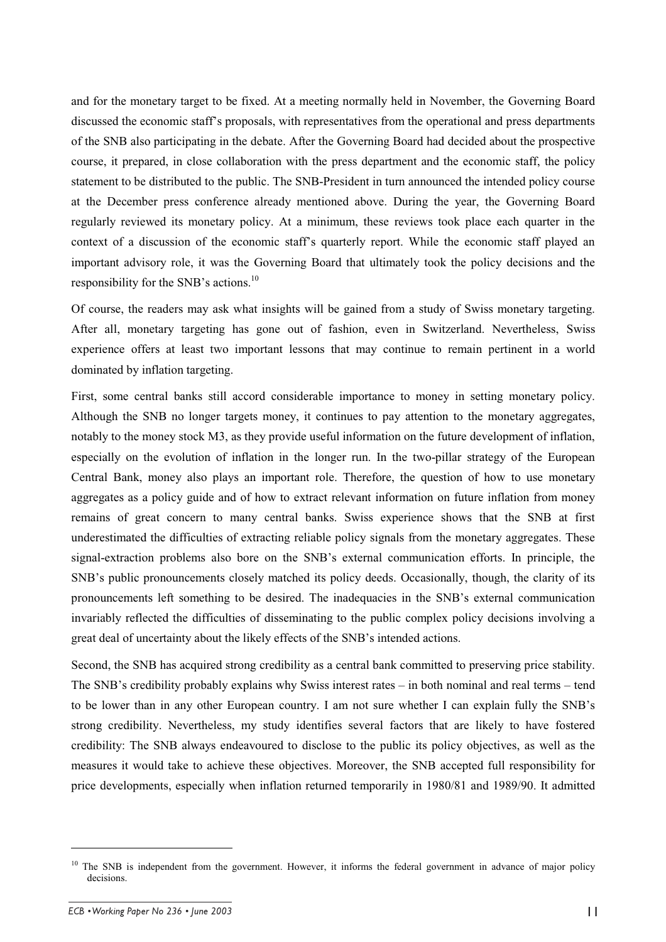and for the monetary target to be fixed. At a meeting normally held in November, the Governing Board discussed the economic staff's proposals, with representatives from the operational and press departments of the SNB also participating in the debate. After the Governing Board had decided about the prospective course, it prepared, in close collaboration with the press department and the economic staff, the policy statement to be distributed to the public. The SNB-President in turn announced the intended policy course at the December press conference already mentioned above. During the year, the Governing Board regularly reviewed its monetary policy. At a minimum, these reviews took place each quarter in the context of a discussion of the economic staff's quarterly report. While the economic staff played an important advisory role, it was the Governing Board that ultimately took the policy decisions and the responsibility for the SNB's actions.<sup>10</sup>

Of course, the readers may ask what insights will be gained from a study of Swiss monetary targeting. After all, monetary targeting has gone out of fashion, even in Switzerland. Nevertheless, Swiss experience offers at least two important lessons that may continue to remain pertinent in a world dominated by inflation targeting.

First, some central banks still accord considerable importance to money in setting monetary policy. Although the SNB no longer targets money, it continues to pay attention to the monetary aggregates, notably to the money stock M3, as they provide useful information on the future development of inflation, especially on the evolution of inflation in the longer run. In the two-pillar strategy of the European Central Bank, money also plays an important role. Therefore, the question of how to use monetary aggregates as a policy guide and of how to extract relevant information on future inflation from money remains of great concern to many central banks. Swiss experience shows that the SNB at first underestimated the difficulties of extracting reliable policy signals from the monetary aggregates. These signal-extraction problems also bore on the SNB's external communication efforts. In principle, the SNB's public pronouncements closely matched its policy deeds. Occasionally, though, the clarity of its pronouncements left something to be desired. The inadequacies in the SNB's external communication invariably reflected the difficulties of disseminating to the public complex policy decisions involving a great deal of uncertainty about the likely effects of the SNB's intended actions.

Second, the SNB has acquired strong credibility as a central bank committed to preserving price stability. The SNB's credibility probably explains why Swiss interest rates – in both nominal and real terms – tend to be lower than in any other European country. I am not sure whether I can explain fully the SNB's strong credibility. Nevertheless, my study identifies several factors that are likely to have fostered credibility: The SNB always endeavoured to disclose to the public its policy objectives, as well as the measures it would take to achieve these objectives. Moreover, the SNB accepted full responsibility for price developments, especially when inflation returned temporarily in 1980/81 and 1989/90. It admitted

<sup>&</sup>lt;sup>10</sup> The SNB is independent from the government. However, it informs the federal government in advance of major policy decisions.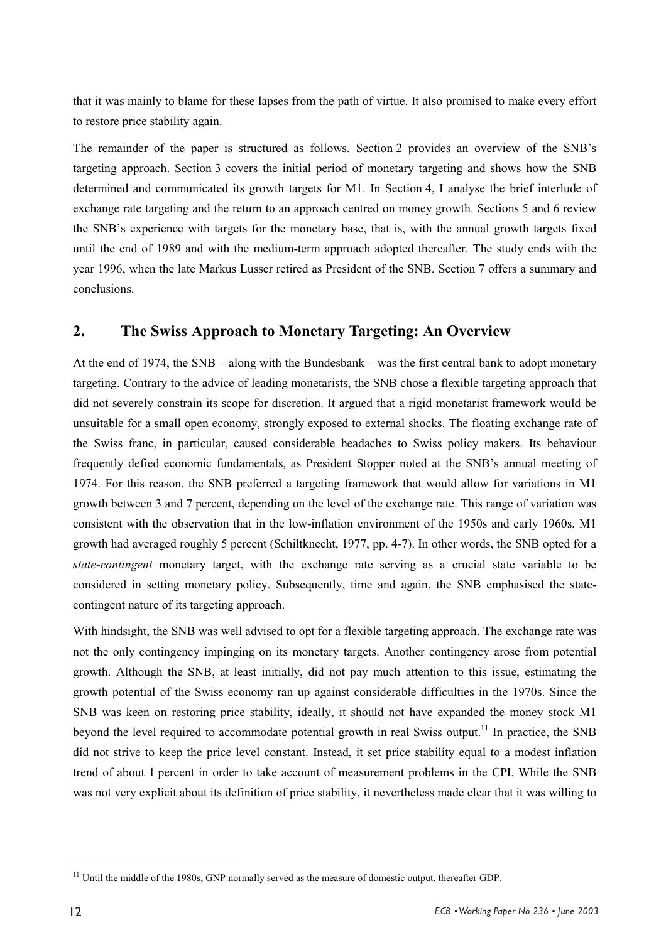that it was mainly to blame for these lapses from the path of virtue. It also promised to make every effort to restore price stability again.

The remainder of the paper is structured as follows. Section 2 provides an overview of the SNB's targeting approach. Section 3 covers the initial period of monetary targeting and shows how the SNB determined and communicated its growth targets for M1. In Section 4, I analyse the brief interlude of exchange rate targeting and the return to an approach centred on money growth. Sections 5 and 6 review the SNB's experience with targets for the monetary base, that is, with the annual growth targets fixed until the end of 1989 and with the medium-term approach adopted thereafter. The study ends with the year 1996, when the late Markus Lusser retired as President of the SNB. Section 7 offers a summary and conclusions.

### **2. The Swiss Approach to Monetary Targeting: An Overview**

At the end of 1974, the SNB – along with the Bundesbank – was the first central bank to adopt monetary targeting. Contrary to the advice of leading monetarists, the SNB chose a flexible targeting approach that did not severely constrain its scope for discretion. It argued that a rigid monetarist framework would be unsuitable for a small open economy, strongly exposed to external shocks. The floating exchange rate of the Swiss franc, in particular, caused considerable headaches to Swiss policy makers. Its behaviour frequently defied economic fundamentals, as President Stopper noted at the SNB's annual meeting of 1974. For this reason, the SNB preferred a targeting framework that would allow for variations in M1 growth between 3 and 7 percent, depending on the level of the exchange rate. This range of variation was consistent with the observation that in the low-inflation environment of the 1950s and early 1960s, M1 growth had averaged roughly 5 percent (Schiltknecht, 1977, pp. 4-7). In other words, the SNB opted for a *state-contingent* monetary target, with the exchange rate serving as a crucial state variable to be considered in setting monetary policy. Subsequently, time and again, the SNB emphasised the statecontingent nature of its targeting approach.

With hindsight, the SNB was well advised to opt for a flexible targeting approach. The exchange rate was not the only contingency impinging on its monetary targets. Another contingency arose from potential growth. Although the SNB, at least initially, did not pay much attention to this issue, estimating the growth potential of the Swiss economy ran up against considerable difficulties in the 1970s. Since the SNB was keen on restoring price stability, ideally, it should not have expanded the money stock M1 beyond the level required to accommodate potential growth in real Swiss output.<sup>11</sup> In practice, the SNB did not strive to keep the price level constant. Instead, it set price stability equal to a modest inflation trend of about 1 percent in order to take account of measurement problems in the CPI. While the SNB was not very explicit about its definition of price stability, it nevertheless made clear that it was willing to

<sup>&</sup>lt;sup>11</sup> Until the middle of the 1980s, GNP normally served as the measure of domestic output, thereafter GDP.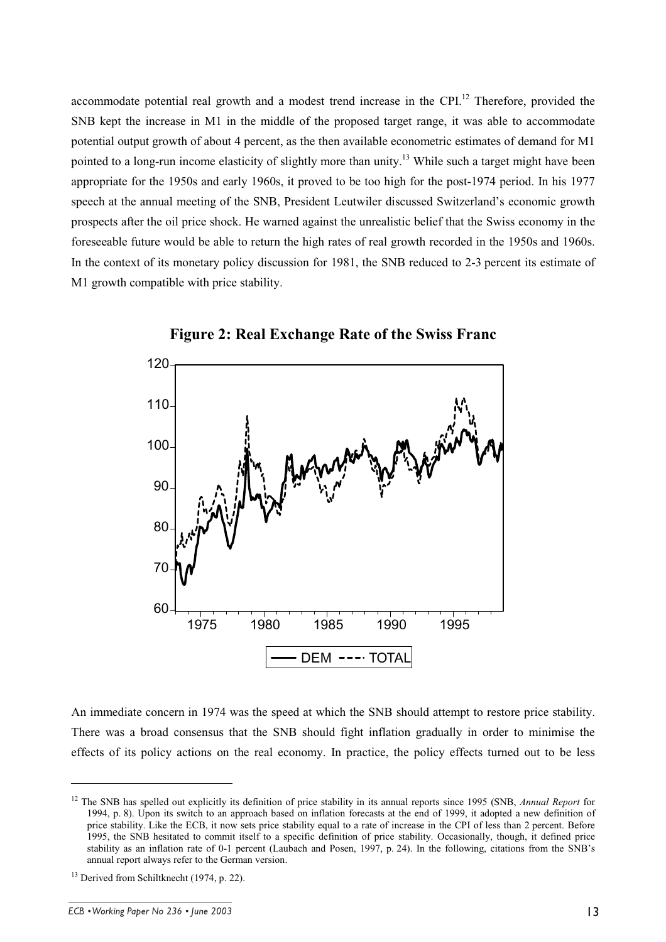accommodate potential real growth and a modest trend increase in the CPI.<sup>12</sup> Therefore, provided the SNB kept the increase in M1 in the middle of the proposed target range, it was able to accommodate potential output growth of about 4 percent, as the then available econometric estimates of demand for M1 pointed to a long-run income elasticity of slightly more than unity.<sup>13</sup> While such a target might have been appropriate for the 1950s and early 1960s, it proved to be too high for the post-1974 period. In his 1977 speech at the annual meeting of the SNB, President Leutwiler discussed Switzerland's economic growth prospects after the oil price shock. He warned against the unrealistic belief that the Swiss economy in the foreseeable future would be able to return the high rates of real growth recorded in the 1950s and 1960s. In the context of its monetary policy discussion for 1981, the SNB reduced to 2-3 percent its estimate of M1 growth compatible with price stability.





An immediate concern in 1974 was the speed at which the SNB should attempt to restore price stability. There was a broad consensus that the SNB should fight inflation gradually in order to minimise the effects of its policy actions on the real economy. In practice, the policy effects turned out to be less

<sup>&</sup>lt;sup>12</sup> The SNB has spelled out explicitly its definition of price stability in its annual reports since 1995 (SNB, *Annual Report* for 1994, p. 8). Upon its switch to an approach based on inflation forecasts at the end of 1999, it adopted a new definition of price stability. Like the ECB, it now sets price stability equal to a rate of increase in the CPI of less than 2 percent. Before 1995, the SNB hesitated to commit itself to a specific definition of price stability. Occasionally, though, it defined price stability as an inflation rate of 0-1 percent (Laubach and Posen, 1997, p. 24). In the following, citations from the SNB's annual report always refer to the German version.

<sup>&</sup>lt;sup>13</sup> Derived from Schiltknecht (1974, p. 22).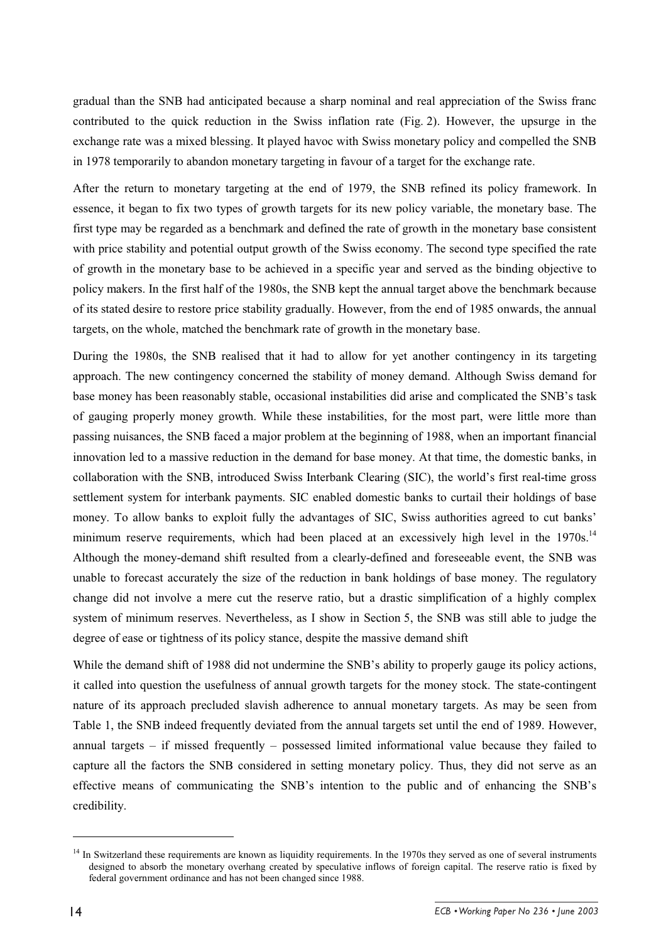gradual than the SNB had anticipated because a sharp nominal and real appreciation of the Swiss franc contributed to the quick reduction in the Swiss inflation rate (Fig. 2). However, the upsurge in the exchange rate was a mixed blessing. It played havoc with Swiss monetary policy and compelled the SNB in 1978 temporarily to abandon monetary targeting in favour of a target for the exchange rate.

After the return to monetary targeting at the end of 1979, the SNB refined its policy framework. In essence, it began to fix two types of growth targets for its new policy variable, the monetary base. The first type may be regarded as a benchmark and defined the rate of growth in the monetary base consistent with price stability and potential output growth of the Swiss economy. The second type specified the rate of growth in the monetary base to be achieved in a specific year and served as the binding objective to policy makers. In the first half of the 1980s, the SNB kept the annual target above the benchmark because of its stated desire to restore price stability gradually. However, from the end of 1985 onwards, the annual targets, on the whole, matched the benchmark rate of growth in the monetary base.

During the 1980s, the SNB realised that it had to allow for yet another contingency in its targeting approach. The new contingency concerned the stability of money demand. Although Swiss demand for base money has been reasonably stable, occasional instabilities did arise and complicated the SNB's task of gauging properly money growth. While these instabilities, for the most part, were little more than passing nuisances, the SNB faced a major problem at the beginning of 1988, when an important financial innovation led to a massive reduction in the demand for base money. At that time, the domestic banks, in collaboration with the SNB, introduced Swiss Interbank Clearing (SIC), the world's first real-time gross settlement system for interbank payments. SIC enabled domestic banks to curtail their holdings of base money. To allow banks to exploit fully the advantages of SIC, Swiss authorities agreed to cut banks' minimum reserve requirements, which had been placed at an excessively high level in the 1970s.<sup>14</sup> Although the money-demand shift resulted from a clearly-defined and foreseeable event, the SNB was unable to forecast accurately the size of the reduction in bank holdings of base money. The regulatory change did not involve a mere cut the reserve ratio, but a drastic simplification of a highly complex system of minimum reserves. Nevertheless, as I show in Section 5, the SNB was still able to judge the degree of ease or tightness of its policy stance, despite the massive demand shift

While the demand shift of 1988 did not undermine the SNB's ability to properly gauge its policy actions, it called into question the usefulness of annual growth targets for the money stock. The state-contingent nature of its approach precluded slavish adherence to annual monetary targets. As may be seen from Table 1, the SNB indeed frequently deviated from the annual targets set until the end of 1989. However, annual targets – if missed frequently – possessed limited informational value because they failed to capture all the factors the SNB considered in setting monetary policy. Thus, they did not serve as an effective means of communicating the SNB's intention to the public and of enhancing the SNB's credibility.

<sup>&</sup>lt;sup>14</sup> In Switzerland these requirements are known as liquidity requirements. In the 1970s they served as one of several instruments designed to absorb the monetary overhang created by speculative inflows of foreign capital. The reserve ratio is fixed by federal government ordinance and has not been changed since 1988.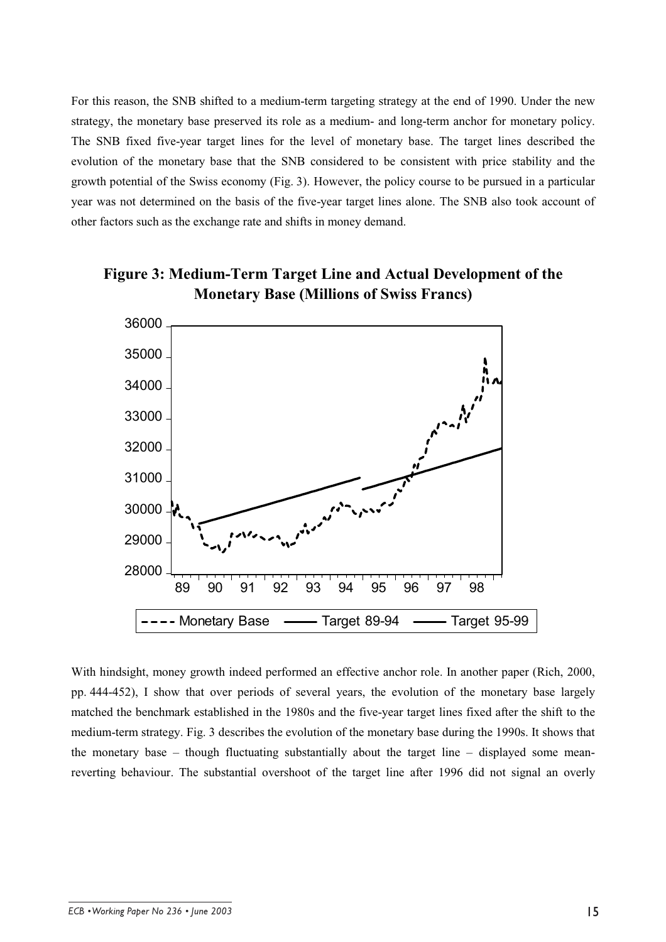For this reason, the SNB shifted to a medium-term targeting strategy at the end of 1990. Under the new strategy, the monetary base preserved its role as a medium- and long-term anchor for monetary policy. The SNB fixed five-year target lines for the level of monetary base. The target lines described the evolution of the monetary base that the SNB considered to be consistent with price stability and the growth potential of the Swiss economy (Fig. 3). However, the policy course to be pursued in a particular year was not determined on the basis of the five-year target lines alone. The SNB also took account of other factors such as the exchange rate and shifts in money demand.





With hindsight, money growth indeed performed an effective anchor role. In another paper (Rich, 2000, pp. 444-452), I show that over periods of several years, the evolution of the monetary base largely matched the benchmark established in the 1980s and the five-year target lines fixed after the shift to the medium-term strategy. Fig. 3 describes the evolution of the monetary base during the 1990s. It shows that the monetary base – though fluctuating substantially about the target line – displayed some meanreverting behaviour. The substantial overshoot of the target line after 1996 did not signal an overly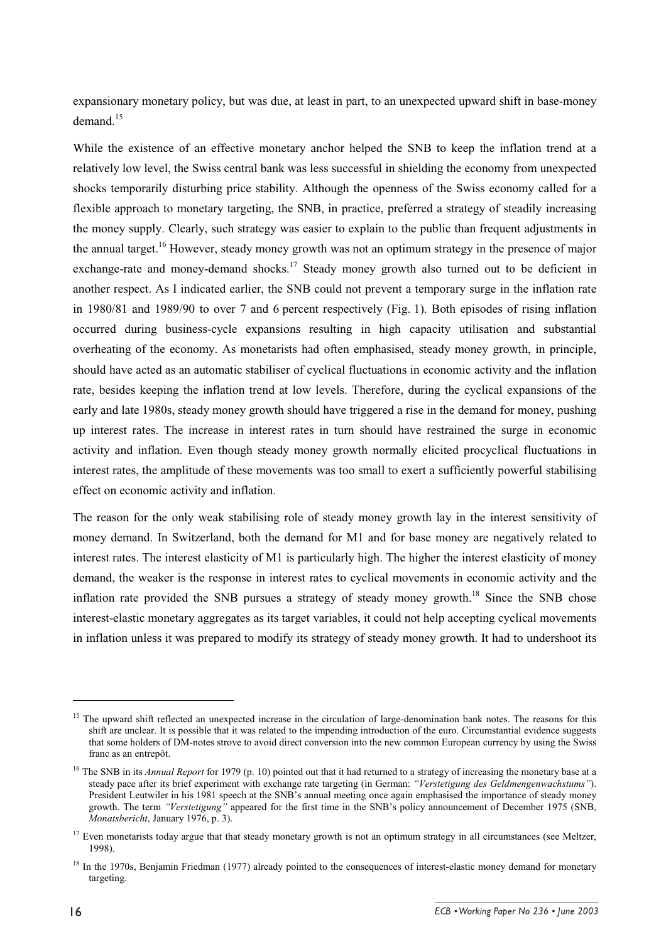expansionary monetary policy, but was due, at least in part, to an unexpected upward shift in base-money demand $15$ 

While the existence of an effective monetary anchor helped the SNB to keep the inflation trend at a relatively low level, the Swiss central bank was less successful in shielding the economy from unexpected shocks temporarily disturbing price stability. Although the openness of the Swiss economy called for a flexible approach to monetary targeting, the SNB, in practice, preferred a strategy of steadily increasing the money supply. Clearly, such strategy was easier to explain to the public than frequent adjustments in the annual target.<sup>16</sup> However, steady money growth was not an optimum strategy in the presence of major exchange-rate and money-demand shocks.<sup>17</sup> Steady money growth also turned out to be deficient in another respect. As I indicated earlier, the SNB could not prevent a temporary surge in the inflation rate in 1980/81 and 1989/90 to over 7 and 6 percent respectively (Fig. 1). Both episodes of rising inflation occurred during business-cycle expansions resulting in high capacity utilisation and substantial overheating of the economy. As monetarists had often emphasised, steady money growth, in principle, should have acted as an automatic stabiliser of cyclical fluctuations in economic activity and the inflation rate, besides keeping the inflation trend at low levels. Therefore, during the cyclical expansions of the early and late 1980s, steady money growth should have triggered a rise in the demand for money, pushing up interest rates. The increase in interest rates in turn should have restrained the surge in economic activity and inflation. Even though steady money growth normally elicited procyclical fluctuations in interest rates, the amplitude of these movements was too small to exert a sufficiently powerful stabilising effect on economic activity and inflation.

The reason for the only weak stabilising role of steady money growth lay in the interest sensitivity of money demand. In Switzerland, both the demand for M1 and for base money are negatively related to interest rates. The interest elasticity of M1 is particularly high. The higher the interest elasticity of money demand, the weaker is the response in interest rates to cyclical movements in economic activity and the inflation rate provided the SNB pursues a strategy of steady money growth.<sup>18</sup> Since the SNB chose interest-elastic monetary aggregates as its target variables, it could not help accepting cyclical movements in inflation unless it was prepared to modify its strategy of steady money growth. It had to undershoot its

<sup>&</sup>lt;sup>15</sup> The upward shift reflected an unexpected increase in the circulation of large-denomination bank notes. The reasons for this shift are unclear. It is possible that it was related to the impending introduction of the euro. Circumstantial evidence suggests that some holders of DM-notes strove to avoid direct conversion into the new common European currency by using the Swiss franc as an entrepôt.

<sup>&</sup>lt;sup>16</sup> The SNB in its *Annual Report* for 1979 (p. 10) pointed out that it had returned to a strategy of increasing the monetary base at a steady pace after its brief experiment with exchange rate targeting (in German: *"Verstetigung des Geldmengenwachstums"*). President Leutwiler in his 1981 speech at the SNB's annual meeting once again emphasised the importance of steady money growth. The term *"Verstetigung"* appeared for the first time in the SNB's policy announcement of December 1975 (SNB, *Monatsbericht*, January 1976, p. 3).

 $17$  Even monetarists today argue that that steady monetary growth is not an optimum strategy in all circumstances (see Meltzer, 1998).

<sup>&</sup>lt;sup>18</sup> In the 1970s, Benjamin Friedman (1977) already pointed to the consequences of interest-elastic money demand for monetary targeting.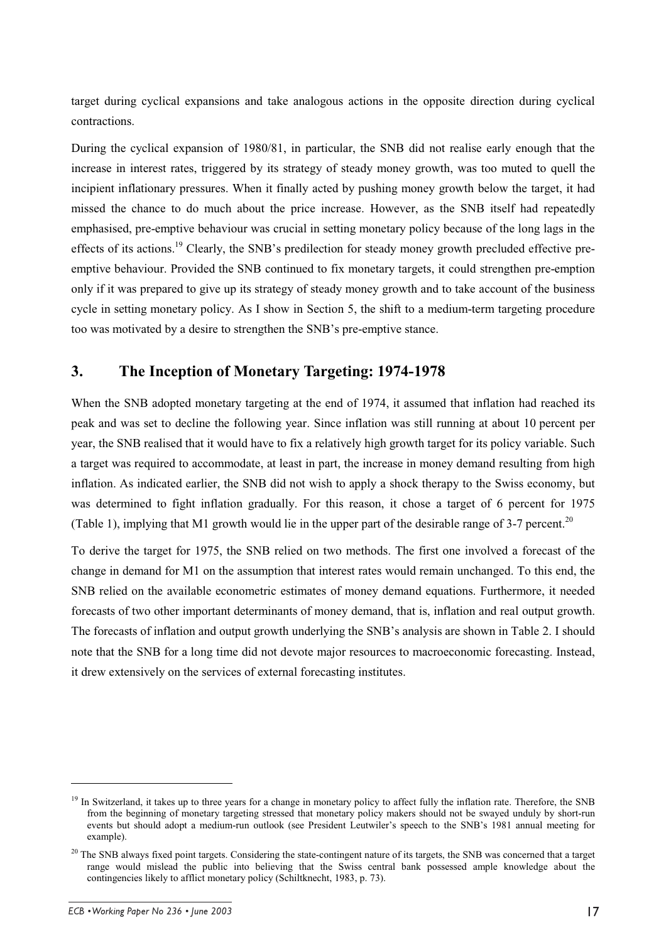target during cyclical expansions and take analogous actions in the opposite direction during cyclical contractions.

During the cyclical expansion of 1980/81, in particular, the SNB did not realise early enough that the increase in interest rates, triggered by its strategy of steady money growth, was too muted to quell the incipient inflationary pressures. When it finally acted by pushing money growth below the target, it had missed the chance to do much about the price increase. However, as the SNB itself had repeatedly emphasised, pre-emptive behaviour was crucial in setting monetary policy because of the long lags in the effects of its actions.<sup>19</sup> Clearly, the SNB's predilection for steady money growth precluded effective preemptive behaviour. Provided the SNB continued to fix monetary targets, it could strengthen pre-emption only if it was prepared to give up its strategy of steady money growth and to take account of the business cycle in setting monetary policy. As I show in Section 5, the shift to a medium-term targeting procedure too was motivated by a desire to strengthen the SNB's pre-emptive stance.

## **3. The Inception of Monetary Targeting: 1974-1978**

When the SNB adopted monetary targeting at the end of 1974, it assumed that inflation had reached its peak and was set to decline the following year. Since inflation was still running at about 10 percent per year, the SNB realised that it would have to fix a relatively high growth target for its policy variable. Such a target was required to accommodate, at least in part, the increase in money demand resulting from high inflation. As indicated earlier, the SNB did not wish to apply a shock therapy to the Swiss economy, but was determined to fight inflation gradually. For this reason, it chose a target of 6 percent for 1975 (Table 1), implying that M1 growth would lie in the upper part of the desirable range of 3-7 percent.<sup>20</sup>

To derive the target for 1975, the SNB relied on two methods. The first one involved a forecast of the change in demand for M1 on the assumption that interest rates would remain unchanged. To this end, the SNB relied on the available econometric estimates of money demand equations. Furthermore, it needed forecasts of two other important determinants of money demand, that is, inflation and real output growth. The forecasts of inflation and output growth underlying the SNB's analysis are shown in Table 2. I should note that the SNB for a long time did not devote major resources to macroeconomic forecasting. Instead, it drew extensively on the services of external forecasting institutes.

<sup>&</sup>lt;sup>19</sup> In Switzerland, it takes up to three years for a change in monetary policy to affect fully the inflation rate. Therefore, the SNB from the beginning of monetary targeting stressed that monetary policy makers should not be swayed unduly by short-run events but should adopt a medium-run outlook (see President Leutwiler's speech to the SNB's 1981 annual meeting for example).

 $20$  The SNB always fixed point targets. Considering the state-contingent nature of its targets, the SNB was concerned that a target range would mislead the public into believing that the Swiss central bank possessed ample knowledge about the contingencies likely to afflict monetary policy (Schiltknecht, 1983, p. 73).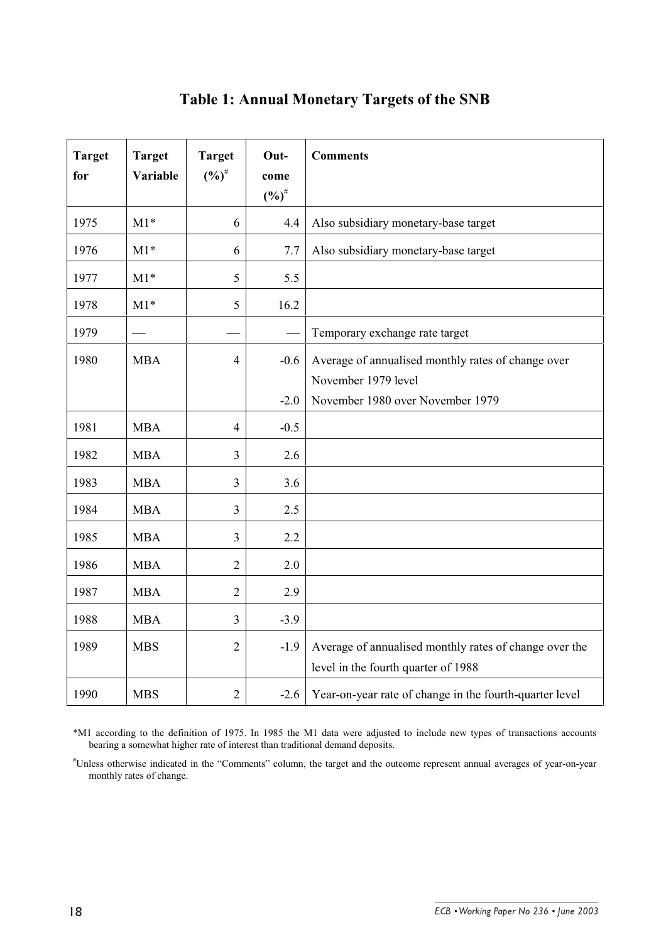| <b>Target</b><br>for | <b>Target</b><br>Variable | <b>Target</b><br>$(%)^{\#}$ | Out-<br>come<br>$(%)^{\#}$ | <b>Comments</b>                                                                                               |
|----------------------|---------------------------|-----------------------------|----------------------------|---------------------------------------------------------------------------------------------------------------|
| 1975                 | $M1*$                     | 6                           | 4.4                        | Also subsidiary monetary-base target                                                                          |
| 1976                 | $M1*$                     | 6                           | 7.7                        | Also subsidiary monetary-base target                                                                          |
| 1977                 | $M1*$                     | 5                           | 5.5                        |                                                                                                               |
| 1978                 | $M1*$                     | 5                           | 16.2                       |                                                                                                               |
| 1979                 |                           |                             |                            | Temporary exchange rate target                                                                                |
| 1980                 | <b>MBA</b>                | $\overline{4}$              | $-0.6$<br>$-2.0$           | Average of annualised monthly rates of change over<br>November 1979 level<br>November 1980 over November 1979 |
| 1981                 | <b>MBA</b>                | $\overline{4}$              | $-0.5$                     |                                                                                                               |
| 1982                 | <b>MBA</b>                | 3                           | 2.6                        |                                                                                                               |
| 1983                 | <b>MBA</b>                | 3                           | 3.6                        |                                                                                                               |
| 1984                 | <b>MBA</b>                | 3                           | 2.5                        |                                                                                                               |
| 1985                 | <b>MBA</b>                | 3                           | 2.2                        |                                                                                                               |
| 1986                 | <b>MBA</b>                | $\overline{2}$              | 2.0                        |                                                                                                               |
| 1987                 | <b>MBA</b>                | $\overline{2}$              | 2.9                        |                                                                                                               |
| 1988                 | <b>MBA</b>                | $\overline{3}$              | $-3.9$                     |                                                                                                               |
| 1989                 | <b>MBS</b>                | $\overline{2}$              | $-1.9$                     | Average of annualised monthly rates of change over the<br>level in the fourth quarter of 1988                 |
| 1990                 | <b>MBS</b>                | $\overline{2}$              | $-2.6$                     | Year-on-year rate of change in the fourth-quarter level                                                       |

# **Table 1: Annual Monetary Targets of the SNB**

\*M1 according to the definition of 1975. In 1985 the M1 data were adjusted to include new types of transactions accounts bearing a somewhat higher rate of interest than traditional demand deposits.

# Unless otherwise indicated in the "Comments" column, the target and the outcome represent annual averages of year-on-year monthly rates of change.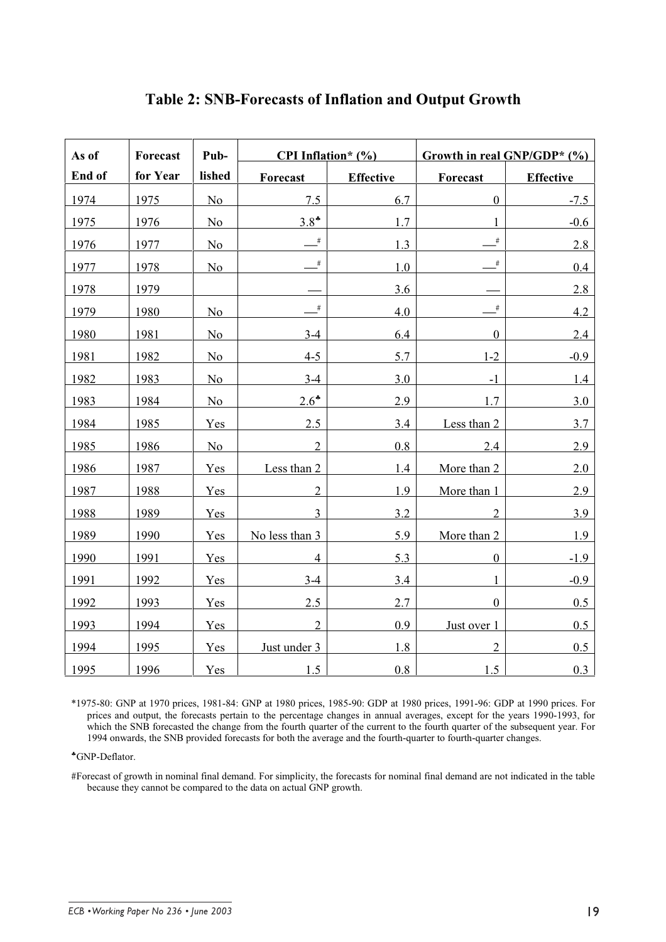| As of  | Forecast | Pub-           | <b>CPI</b> Inflation* $(\%)$      |                  | Growth in real GNP/GDP* (%) |                  |  |
|--------|----------|----------------|-----------------------------------|------------------|-----------------------------|------------------|--|
| End of | for Year | lished         | Forecast                          | <b>Effective</b> | Forecast                    | <b>Effective</b> |  |
| 1974   | 1975     | N <sub>o</sub> | 7.5                               | 6.7              | $\boldsymbol{0}$            | $-7.5$           |  |
| 1975   | 1976     | N <sub>o</sub> | $3.8*$                            | 1.7              |                             | $-0.6$           |  |
| 1976   | 1977     | N <sub>o</sub> | #                                 | 1.3              | $\#$                        | 2.8              |  |
| 1977   | 1978     | No             | $\#$                              | $1.0\,$          | $\#$                        | 0.4              |  |
| 1978   | 1979     |                |                                   | 3.6              |                             | 2.8              |  |
| 1979   | 1980     | N <sub>o</sub> | $\overline{\phantom{a}}^{\sharp}$ | 4.0              | #                           | 4.2              |  |
| 1980   | 1981     | N <sub>o</sub> | $3-4$                             | 6.4              | $\boldsymbol{0}$            | 2.4              |  |
| 1981   | 1982     | N <sub>o</sub> | $4 - 5$                           | 5.7              | $1-2$                       | $-0.9$           |  |
| 1982   | 1983     | No             | $3-4$                             | 3.0              | $-1$                        | 1.4              |  |
| 1983   | 1984     | No             | $2.6*$                            | 2.9              | 1.7                         | 3.0              |  |
| 1984   | 1985     | Yes            | 2.5                               | 3.4              | Less than 2                 | 3.7              |  |
| 1985   | 1986     | N <sub>o</sub> | $\overline{2}$                    | 0.8              | 2.4                         | 2.9              |  |
| 1986   | 1987     | Yes            | Less than 2                       | 1.4              | More than 2                 | 2.0              |  |
| 1987   | 1988     | Yes            | $\overline{2}$                    | 1.9              | More than 1                 | 2.9              |  |
| 1988   | 1989     | Yes            | $\overline{3}$                    | 3.2              | $\overline{2}$              | 3.9              |  |
| 1989   | 1990     | Yes            | No less than 3                    | 5.9              | More than 2                 | 1.9              |  |
| 1990   | 1991     | Yes            | $\overline{4}$                    | 5.3              | $\boldsymbol{0}$            | $-1.9$           |  |
| 1991   | 1992     | Yes            | $3-4$                             | 3.4              | 1                           | $-0.9$           |  |
| 1992   | 1993     | Yes            | 2.5                               | 2.7              | $\overline{0}$              | 0.5              |  |
| 1993   | 1994     | Yes            | $\overline{2}$                    | 0.9              | Just over 1                 | 0.5              |  |
| 1994   | 1995     | Yes            | Just under 3                      | 1.8              | $\overline{2}$              | 0.5              |  |
| 1995   | 1996     | Yes            | 1.5                               | 0.8              | 1.5                         | 0.3              |  |

# **Table 2: SNB-Forecasts of Inflation and Output Growth**

\*1975-80: GNP at 1970 prices, 1981-84: GNP at 1980 prices, 1985-90: GDP at 1980 prices, 1991-96: GDP at 1990 prices. For prices and output, the forecasts pertain to the percentage changes in annual averages, except for the years 1990-1993, for which the SNB forecasted the change from the fourth quarter of the current to the fourth quarter of the subsequent year. For 1994 onwards, the SNB provided forecasts for both the average and the fourth-quarter to fourth-quarter changes.

♣GNP-Deflator.

#Forecast of growth in nominal final demand. For simplicity, the forecasts for nominal final demand are not indicated in the table because they cannot be compared to the data on actual GNP growth.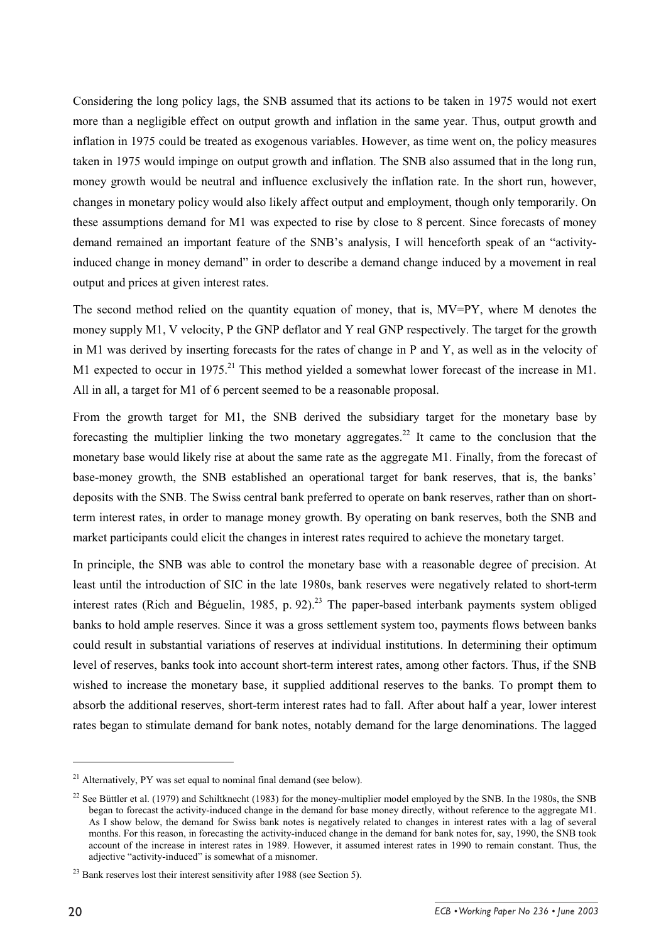Considering the long policy lags, the SNB assumed that its actions to be taken in 1975 would not exert more than a negligible effect on output growth and inflation in the same year. Thus, output growth and inflation in 1975 could be treated as exogenous variables. However, as time went on, the policy measures taken in 1975 would impinge on output growth and inflation. The SNB also assumed that in the long run, money growth would be neutral and influence exclusively the inflation rate. In the short run, however, changes in monetary policy would also likely affect output and employment, though only temporarily. On these assumptions demand for M1 was expected to rise by close to 8 percent. Since forecasts of money demand remained an important feature of the SNB's analysis, I will henceforth speak of an "activityinduced change in money demand" in order to describe a demand change induced by a movement in real output and prices at given interest rates.

The second method relied on the quantity equation of money, that is,  $MV=PY$ , where M denotes the money supply M1, V velocity, P the GNP deflator and Y real GNP respectively. The target for the growth in M1 was derived by inserting forecasts for the rates of change in P and Y, as well as in the velocity of M1 expected to occur in 1975.<sup>21</sup> This method yielded a somewhat lower forecast of the increase in M1. All in all, a target for M1 of 6 percent seemed to be a reasonable proposal.

From the growth target for M1, the SNB derived the subsidiary target for the monetary base by forecasting the multiplier linking the two monetary aggregates.<sup>22</sup> It came to the conclusion that the monetary base would likely rise at about the same rate as the aggregate M1. Finally, from the forecast of base-money growth, the SNB established an operational target for bank reserves, that is, the banks' deposits with the SNB. The Swiss central bank preferred to operate on bank reserves, rather than on shortterm interest rates, in order to manage money growth. By operating on bank reserves, both the SNB and market participants could elicit the changes in interest rates required to achieve the monetary target.

In principle, the SNB was able to control the monetary base with a reasonable degree of precision. At least until the introduction of SIC in the late 1980s, bank reserves were negatively related to short-term interest rates (Rich and Béguelin, 1985, p. 92).<sup>23</sup> The paper-based interbank payments system obliged banks to hold ample reserves. Since it was a gross settlement system too, payments flows between banks could result in substantial variations of reserves at individual institutions. In determining their optimum level of reserves, banks took into account short-term interest rates, among other factors. Thus, if the SNB wished to increase the monetary base, it supplied additional reserves to the banks. To prompt them to absorb the additional reserves, short-term interest rates had to fall. After about half a year, lower interest rates began to stimulate demand for bank notes, notably demand for the large denominations. The lagged

 $^{21}$  Alternatively, PY was set equal to nominal final demand (see below).

<sup>&</sup>lt;sup>22</sup> See Büttler et al. (1979) and Schiltknecht (1983) for the money-multiplier model employed by the SNB. In the 1980s, the SNB began to forecast the activity-induced change in the demand for base money directly, without reference to the aggregate M1. As I show below, the demand for Swiss bank notes is negatively related to changes in interest rates with a lag of several months. For this reason, in forecasting the activity-induced change in the demand for bank notes for, say, 1990, the SNB took account of the increase in interest rates in 1989. However, it assumed interest rates in 1990 to remain constant. Thus, the adjective "activity-induced" is somewhat of a misnomer.

 $^{23}$  Bank reserves lost their interest sensitivity after 1988 (see Section 5).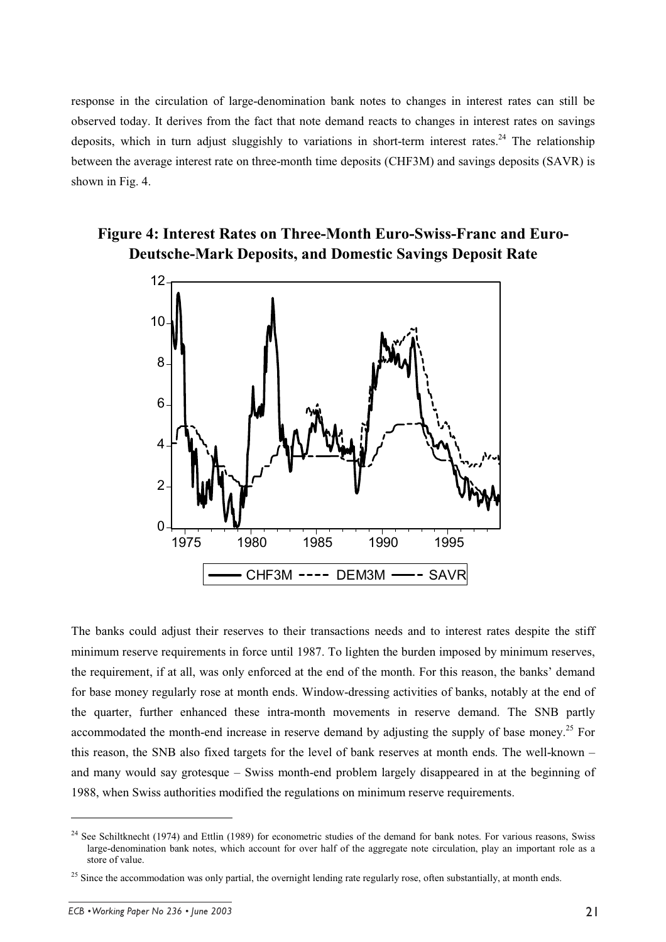response in the circulation of large-denomination bank notes to changes in interest rates can still be observed today. It derives from the fact that note demand reacts to changes in interest rates on savings deposits, which in turn adjust sluggishly to variations in short-term interest rates.<sup>24</sup> The relationship between the average interest rate on three-month time deposits (CHF3M) and savings deposits (SAVR) is shown in Fig. 4.

# **Figure 4: Interest Rates on Three-Month Euro-Swiss-Franc and Euro-Deutsche-Mark Deposits, and Domestic Savings Deposit Rate**



The banks could adjust their reserves to their transactions needs and to interest rates despite the stiff minimum reserve requirements in force until 1987. To lighten the burden imposed by minimum reserves, the requirement, if at all, was only enforced at the end of the month. For this reason, the banks' demand for base money regularly rose at month ends. Window-dressing activities of banks, notably at the end of the quarter, further enhanced these intra-month movements in reserve demand. The SNB partly accommodated the month-end increase in reserve demand by adjusting the supply of base money.<sup>25</sup> For this reason, the SNB also fixed targets for the level of bank reserves at month ends. The well-known – and many would say grotesque – Swiss month-end problem largely disappeared in at the beginning of 1988, when Swiss authorities modified the regulations on minimum reserve requirements.

<sup>&</sup>lt;sup>24</sup> See Schiltknecht (1974) and Ettlin (1989) for econometric studies of the demand for bank notes. For various reasons, Swiss large-denomination bank notes, which account for over half of the aggregate note circulation, play an important role as a store of value.

<sup>&</sup>lt;sup>25</sup> Since the accommodation was only partial, the overnight lending rate regularly rose, often substantially, at month ends.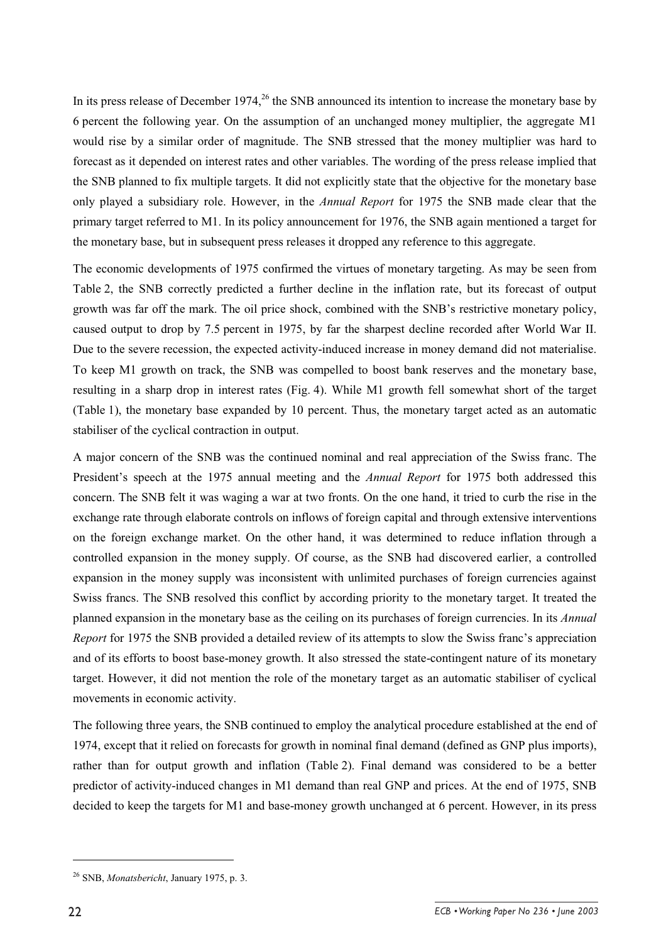In its press release of December 1974,  $^{26}$  the SNB announced its intention to increase the monetary base by 6 percent the following year. On the assumption of an unchanged money multiplier, the aggregate M1 would rise by a similar order of magnitude. The SNB stressed that the money multiplier was hard to forecast as it depended on interest rates and other variables. The wording of the press release implied that the SNB planned to fix multiple targets. It did not explicitly state that the objective for the monetary base only played a subsidiary role. However, in the *Annual Report* for 1975 the SNB made clear that the primary target referred to M1. In its policy announcement for 1976, the SNB again mentioned a target for the monetary base, but in subsequent press releases it dropped any reference to this aggregate.

The economic developments of 1975 confirmed the virtues of monetary targeting. As may be seen from Table 2, the SNB correctly predicted a further decline in the inflation rate, but its forecast of output growth was far off the mark. The oil price shock, combined with the SNB's restrictive monetary policy, caused output to drop by 7.5 percent in 1975, by far the sharpest decline recorded after World War II. Due to the severe recession, the expected activity-induced increase in money demand did not materialise. To keep M1 growth on track, the SNB was compelled to boost bank reserves and the monetary base, resulting in a sharp drop in interest rates (Fig. 4). While M1 growth fell somewhat short of the target (Table 1), the monetary base expanded by 10 percent. Thus, the monetary target acted as an automatic stabiliser of the cyclical contraction in output.

A major concern of the SNB was the continued nominal and real appreciation of the Swiss franc. The President's speech at the 1975 annual meeting and the *Annual Report* for 1975 both addressed this concern. The SNB felt it was waging a war at two fronts. On the one hand, it tried to curb the rise in the exchange rate through elaborate controls on inflows of foreign capital and through extensive interventions on the foreign exchange market. On the other hand, it was determined to reduce inflation through a controlled expansion in the money supply. Of course, as the SNB had discovered earlier, a controlled expansion in the money supply was inconsistent with unlimited purchases of foreign currencies against Swiss francs. The SNB resolved this conflict by according priority to the monetary target. It treated the planned expansion in the monetary base as the ceiling on its purchases of foreign currencies. In its *Annual Report* for 1975 the SNB provided a detailed review of its attempts to slow the Swiss franc's appreciation and of its efforts to boost base-money growth. It also stressed the state-contingent nature of its monetary target. However, it did not mention the role of the monetary target as an automatic stabiliser of cyclical movements in economic activity.

The following three years, the SNB continued to employ the analytical procedure established at the end of 1974, except that it relied on forecasts for growth in nominal final demand (defined as GNP plus imports), rather than for output growth and inflation (Table 2). Final demand was considered to be a better predictor of activity-induced changes in M1 demand than real GNP and prices. At the end of 1975, SNB decided to keep the targets for M1 and base-money growth unchanged at 6 percent. However, in its press

<sup>26</sup> SNB, *Monatsbericht*, January 1975, p. 3.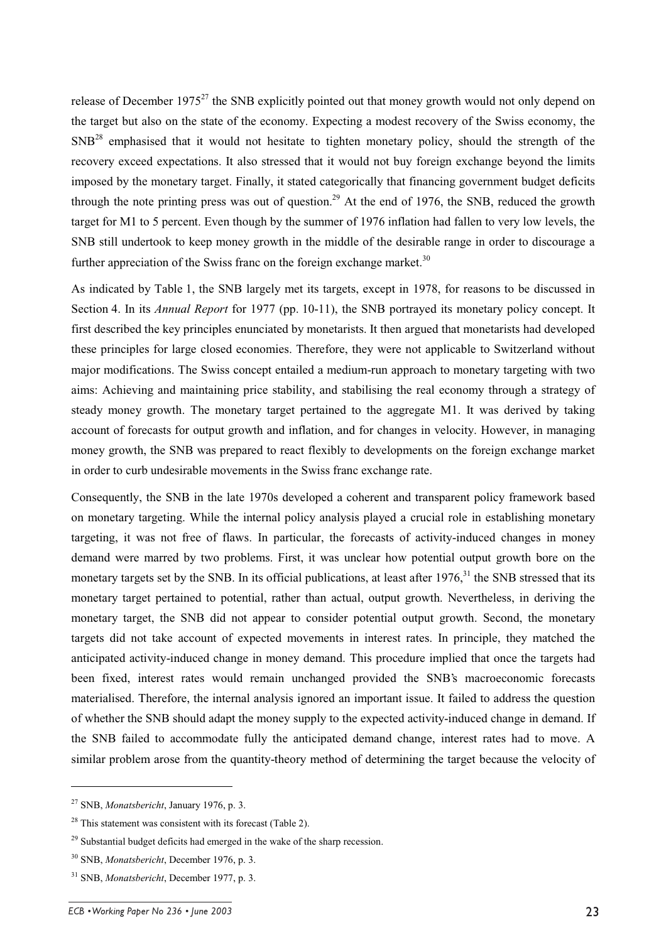release of December 1975<sup>27</sup> the SNB explicitly pointed out that money growth would not only depend on the target but also on the state of the economy. Expecting a modest recovery of the Swiss economy, the SNB<sup>28</sup> emphasised that it would not hesitate to tighten monetary policy, should the strength of the recovery exceed expectations. It also stressed that it would not buy foreign exchange beyond the limits imposed by the monetary target. Finally, it stated categorically that financing government budget deficits through the note printing press was out of question.<sup>29</sup> At the end of 1976, the SNB, reduced the growth target for M1 to 5 percent. Even though by the summer of 1976 inflation had fallen to very low levels, the SNB still undertook to keep money growth in the middle of the desirable range in order to discourage a further appreciation of the Swiss franc on the foreign exchange market.<sup>30</sup>

As indicated by Table 1, the SNB largely met its targets, except in 1978, for reasons to be discussed in Section 4. In its *Annual Report* for 1977 (pp. 10-11), the SNB portrayed its monetary policy concept. It first described the key principles enunciated by monetarists. It then argued that monetarists had developed these principles for large closed economies. Therefore, they were not applicable to Switzerland without major modifications. The Swiss concept entailed a medium-run approach to monetary targeting with two aims: Achieving and maintaining price stability, and stabilising the real economy through a strategy of steady money growth. The monetary target pertained to the aggregate M1. It was derived by taking account of forecasts for output growth and inflation, and for changes in velocity. However, in managing money growth, the SNB was prepared to react flexibly to developments on the foreign exchange market in order to curb undesirable movements in the Swiss franc exchange rate.

Consequently, the SNB in the late 1970s developed a coherent and transparent policy framework based on monetary targeting. While the internal policy analysis played a crucial role in establishing monetary targeting, it was not free of flaws. In particular, the forecasts of activity-induced changes in money demand were marred by two problems. First, it was unclear how potential output growth bore on the monetary targets set by the SNB. In its official publications, at least after  $1976<sup>31</sup>$ , the SNB stressed that its monetary target pertained to potential, rather than actual, output growth. Nevertheless, in deriving the monetary target, the SNB did not appear to consider potential output growth. Second, the monetary targets did not take account of expected movements in interest rates. In principle, they matched the anticipated activity-induced change in money demand. This procedure implied that once the targets had been fixed, interest rates would remain unchanged provided the SNB's macroeconomic forecasts materialised. Therefore, the internal analysis ignored an important issue. It failed to address the question of whether the SNB should adapt the money supply to the expected activity-induced change in demand. If the SNB failed to accommodate fully the anticipated demand change, interest rates had to move. A similar problem arose from the quantity-theory method of determining the target because the velocity of

<sup>27</sup> SNB, *Monatsbericht*, January 1976, p. 3.

 $28$  This statement was consistent with its forecast (Table 2).

 $29$  Substantial budget deficits had emerged in the wake of the sharp recession.

<sup>30</sup> SNB, *Monatsbericht*, December 1976, p. 3.

<sup>31</sup> SNB, *Monatsbericht*, December 1977, p. 3.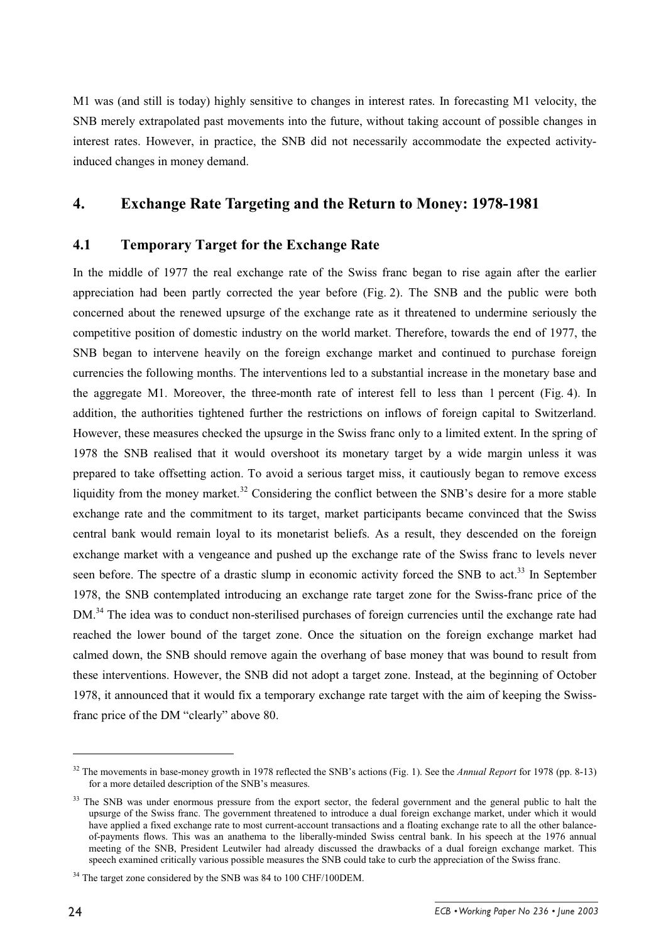M1 was (and still is today) highly sensitive to changes in interest rates. In forecasting M1 velocity, the SNB merely extrapolated past movements into the future, without taking account of possible changes in interest rates. However, in practice, the SNB did not necessarily accommodate the expected activityinduced changes in money demand.

#### **4. Exchange Rate Targeting and the Return to Money: 1978-1981**

#### **4.1 Temporary Target for the Exchange Rate**

In the middle of 1977 the real exchange rate of the Swiss franc began to rise again after the earlier appreciation had been partly corrected the year before (Fig. 2). The SNB and the public were both concerned about the renewed upsurge of the exchange rate as it threatened to undermine seriously the competitive position of domestic industry on the world market. Therefore, towards the end of 1977, the SNB began to intervene heavily on the foreign exchange market and continued to purchase foreign currencies the following months. The interventions led to a substantial increase in the monetary base and the aggregate M1. Moreover, the three-month rate of interest fell to less than 1 percent (Fig. 4). In addition, the authorities tightened further the restrictions on inflows of foreign capital to Switzerland. However, these measures checked the upsurge in the Swiss franc only to a limited extent. In the spring of 1978 the SNB realised that it would overshoot its monetary target by a wide margin unless it was prepared to take offsetting action. To avoid a serious target miss, it cautiously began to remove excess liquidity from the money market.<sup>32</sup> Considering the conflict between the SNB's desire for a more stable exchange rate and the commitment to its target, market participants became convinced that the Swiss central bank would remain loyal to its monetarist beliefs. As a result, they descended on the foreign exchange market with a vengeance and pushed up the exchange rate of the Swiss franc to levels never seen before. The spectre of a drastic slump in economic activity forced the SNB to act.<sup>33</sup> In September 1978, the SNB contemplated introducing an exchange rate target zone for the Swiss-franc price of the DM.<sup>34</sup> The idea was to conduct non-sterilised purchases of foreign currencies until the exchange rate had reached the lower bound of the target zone. Once the situation on the foreign exchange market had calmed down, the SNB should remove again the overhang of base money that was bound to result from these interventions. However, the SNB did not adopt a target zone. Instead, at the beginning of October 1978, it announced that it would fix a temporary exchange rate target with the aim of keeping the Swissfranc price of the DM "clearly" above 80.

<sup>32</sup> The movements in base-money growth in 1978 reflected the SNB's actions (Fig. 1). See the *Annual Report* for 1978 (pp. 8-13) for a more detailed description of the SNB's measures.

<sup>&</sup>lt;sup>33</sup> The SNB was under enormous pressure from the export sector, the federal government and the general public to halt the upsurge of the Swiss franc. The government threatened to introduce a dual foreign exchange market, under which it would have applied a fixed exchange rate to most current-account transactions and a floating exchange rate to all the other balanceof-payments flows. This was an anathema to the liberally-minded Swiss central bank. In his speech at the 1976 annual meeting of the SNB, President Leutwiler had already discussed the drawbacks of a dual foreign exchange market. This speech examined critically various possible measures the SNB could take to curb the appreciation of the Swiss franc.

<sup>&</sup>lt;sup>34</sup> The target zone considered by the SNB was 84 to 100 CHF/100DEM.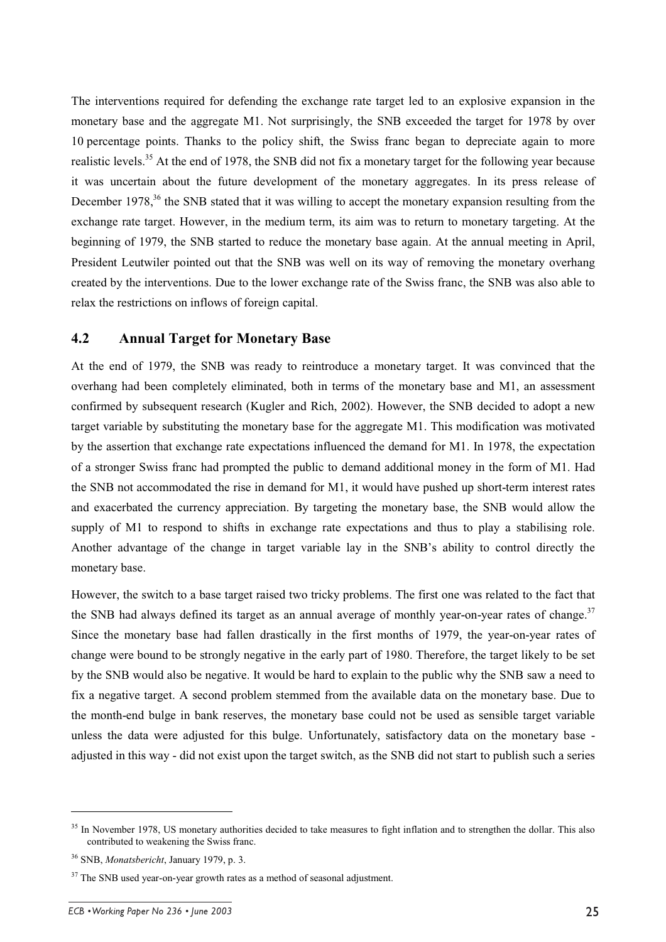The interventions required for defending the exchange rate target led to an explosive expansion in the monetary base and the aggregate M1. Not surprisingly, the SNB exceeded the target for 1978 by over 10 percentage points. Thanks to the policy shift, the Swiss franc began to depreciate again to more realistic levels.<sup>35</sup> At the end of 1978, the SNB did not fix a monetary target for the following year because it was uncertain about the future development of the monetary aggregates. In its press release of December 1978,<sup>36</sup> the SNB stated that it was willing to accept the monetary expansion resulting from the exchange rate target. However, in the medium term, its aim was to return to monetary targeting. At the beginning of 1979, the SNB started to reduce the monetary base again. At the annual meeting in April, President Leutwiler pointed out that the SNB was well on its way of removing the monetary overhang created by the interventions. Due to the lower exchange rate of the Swiss franc, the SNB was also able to relax the restrictions on inflows of foreign capital.

#### **4.2 Annual Target for Monetary Base**

At the end of 1979, the SNB was ready to reintroduce a monetary target. It was convinced that the overhang had been completely eliminated, both in terms of the monetary base and M1, an assessment confirmed by subsequent research (Kugler and Rich, 2002). However, the SNB decided to adopt a new target variable by substituting the monetary base for the aggregate M1. This modification was motivated by the assertion that exchange rate expectations influenced the demand for M1. In 1978, the expectation of a stronger Swiss franc had prompted the public to demand additional money in the form of M1. Had the SNB not accommodated the rise in demand for M1, it would have pushed up short-term interest rates and exacerbated the currency appreciation. By targeting the monetary base, the SNB would allow the supply of M1 to respond to shifts in exchange rate expectations and thus to play a stabilising role. Another advantage of the change in target variable lay in the SNB's ability to control directly the monetary base.

However, the switch to a base target raised two tricky problems. The first one was related to the fact that the SNB had always defined its target as an annual average of monthly year-on-year rates of change.<sup>37</sup> Since the monetary base had fallen drastically in the first months of 1979, the year-on-year rates of change were bound to be strongly negative in the early part of 1980. Therefore, the target likely to be set by the SNB would also be negative. It would be hard to explain to the public why the SNB saw a need to fix a negative target. A second problem stemmed from the available data on the monetary base. Due to the month-end bulge in bank reserves, the monetary base could not be used as sensible target variable unless the data were adjusted for this bulge. Unfortunately, satisfactory data on the monetary base adjusted in this way - did not exist upon the target switch, as the SNB did not start to publish such a series

<sup>&</sup>lt;sup>35</sup> In November 1978, US monetary authorities decided to take measures to fight inflation and to strengthen the dollar. This also contributed to weakening the Swiss franc.

<sup>36</sup> SNB, *Monatsbericht*, January 1979, p. 3.

 $37$  The SNB used year-on-year growth rates as a method of seasonal adjustment.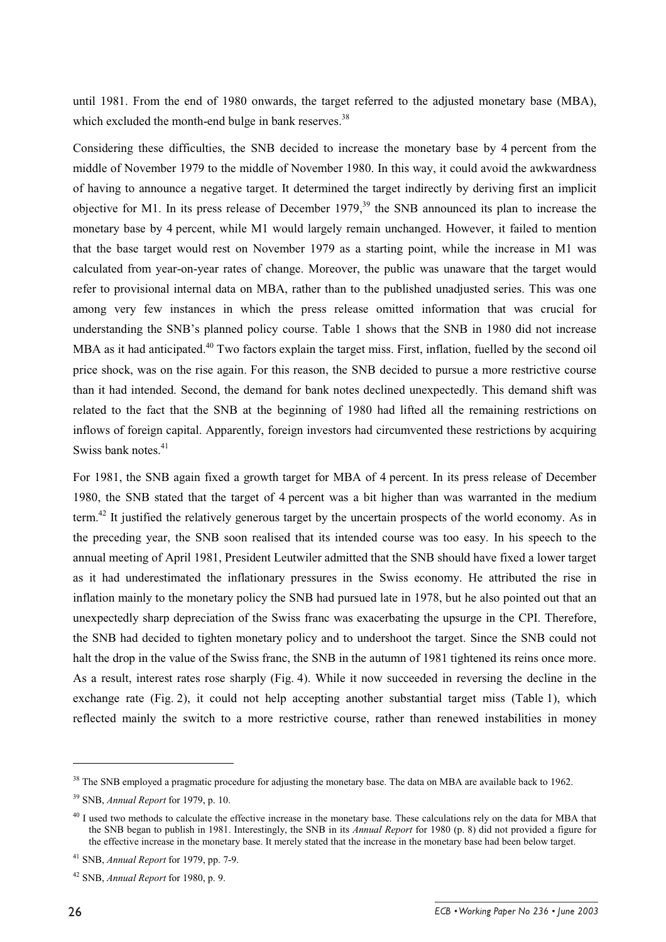until 1981. From the end of 1980 onwards, the target referred to the adjusted monetary base (MBA), which excluded the month-end bulge in bank reserves. $38$ 

Considering these difficulties, the SNB decided to increase the monetary base by 4 percent from the middle of November 1979 to the middle of November 1980. In this way, it could avoid the awkwardness of having to announce a negative target. It determined the target indirectly by deriving first an implicit objective for M1. In its press release of December  $1979<sup>39</sup>$ , the SNB announced its plan to increase the monetary base by 4 percent, while M1 would largely remain unchanged. However, it failed to mention that the base target would rest on November 1979 as a starting point, while the increase in M1 was calculated from year-on-year rates of change. Moreover, the public was unaware that the target would refer to provisional internal data on MBA, rather than to the published unadjusted series. This was one among very few instances in which the press release omitted information that was crucial for understanding the SNB's planned policy course. Table 1 shows that the SNB in 1980 did not increase MBA as it had anticipated.<sup>40</sup> Two factors explain the target miss. First, inflation, fuelled by the second oil price shock, was on the rise again. For this reason, the SNB decided to pursue a more restrictive course than it had intended. Second, the demand for bank notes declined unexpectedly. This demand shift was related to the fact that the SNB at the beginning of 1980 had lifted all the remaining restrictions on inflows of foreign capital. Apparently, foreign investors had circumvented these restrictions by acquiring Swiss bank notes.<sup>41</sup>

For 1981, the SNB again fixed a growth target for MBA of 4 percent. In its press release of December 1980, the SNB stated that the target of 4 percent was a bit higher than was warranted in the medium term.<sup>42</sup> It justified the relatively generous target by the uncertain prospects of the world economy. As in the preceding year, the SNB soon realised that its intended course was too easy. In his speech to the annual meeting of April 1981, President Leutwiler admitted that the SNB should have fixed a lower target as it had underestimated the inflationary pressures in the Swiss economy. He attributed the rise in inflation mainly to the monetary policy the SNB had pursued late in 1978, but he also pointed out that an unexpectedly sharp depreciation of the Swiss franc was exacerbating the upsurge in the CPI. Therefore, the SNB had decided to tighten monetary policy and to undershoot the target. Since the SNB could not halt the drop in the value of the Swiss franc, the SNB in the autumn of 1981 tightened its reins once more. As a result, interest rates rose sharply (Fig. 4). While it now succeeded in reversing the decline in the exchange rate (Fig. 2), it could not help accepting another substantial target miss (Table 1), which reflected mainly the switch to a more restrictive course, rather than renewed instabilities in money

<sup>&</sup>lt;sup>38</sup> The SNB employed a pragmatic procedure for adjusting the monetary base. The data on MBA are available back to 1962.

<sup>39</sup> SNB, *Annual Report* for 1979, p. 10.

<sup>&</sup>lt;sup>40</sup> I used two methods to calculate the effective increase in the monetary base. These calculations rely on the data for MBA that the SNB began to publish in 1981. Interestingly, the SNB in its *Annual Report* for 1980 (p. 8) did not provided a figure for the effective increase in the monetary base. It merely stated that the increase in the monetary base had been below target.

<sup>41</sup> SNB, *Annual Report* for 1979, pp. 7-9.

<sup>42</sup> SNB, *Annual Report* for 1980, p. 9.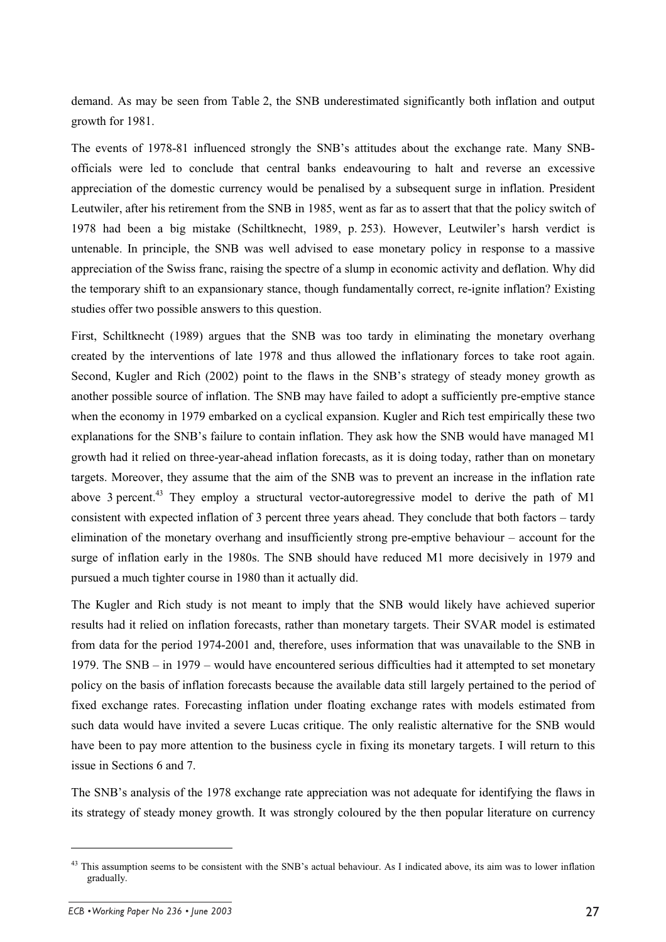demand. As may be seen from Table 2, the SNB underestimated significantly both inflation and output growth for 1981.

The events of 1978-81 influenced strongly the SNB's attitudes about the exchange rate. Many SNBofficials were led to conclude that central banks endeavouring to halt and reverse an excessive appreciation of the domestic currency would be penalised by a subsequent surge in inflation. President Leutwiler, after his retirement from the SNB in 1985, went as far as to assert that that the policy switch of 1978 had been a big mistake (Schiltknecht, 1989, p. 253). However, Leutwiler's harsh verdict is untenable. In principle, the SNB was well advised to ease monetary policy in response to a massive appreciation of the Swiss franc, raising the spectre of a slump in economic activity and deflation. Why did the temporary shift to an expansionary stance, though fundamentally correct, re-ignite inflation? Existing studies offer two possible answers to this question.

First, Schiltknecht (1989) argues that the SNB was too tardy in eliminating the monetary overhang created by the interventions of late 1978 and thus allowed the inflationary forces to take root again. Second, Kugler and Rich (2002) point to the flaws in the SNB's strategy of steady money growth as another possible source of inflation. The SNB may have failed to adopt a sufficiently pre-emptive stance when the economy in 1979 embarked on a cyclical expansion. Kugler and Rich test empirically these two explanations for the SNB's failure to contain inflation. They ask how the SNB would have managed M1 growth had it relied on three-year-ahead inflation forecasts, as it is doing today, rather than on monetary targets. Moreover, they assume that the aim of the SNB was to prevent an increase in the inflation rate above 3 percent.<sup>43</sup> They employ a structural vector-autoregressive model to derive the path of M1 consistent with expected inflation of 3 percent three years ahead. They conclude that both factors – tardy elimination of the monetary overhang and insufficiently strong pre-emptive behaviour – account for the surge of inflation early in the 1980s. The SNB should have reduced M1 more decisively in 1979 and pursued a much tighter course in 1980 than it actually did.

The Kugler and Rich study is not meant to imply that the SNB would likely have achieved superior results had it relied on inflation forecasts, rather than monetary targets. Their SVAR model is estimated from data for the period 1974-2001 and, therefore, uses information that was unavailable to the SNB in 1979. The SNB – in 1979 – would have encountered serious difficulties had it attempted to set monetary policy on the basis of inflation forecasts because the available data still largely pertained to the period of fixed exchange rates. Forecasting inflation under floating exchange rates with models estimated from such data would have invited a severe Lucas critique. The only realistic alternative for the SNB would have been to pay more attention to the business cycle in fixing its monetary targets. I will return to this issue in Sections 6 and 7.

The SNB's analysis of the 1978 exchange rate appreciation was not adequate for identifying the flaws in its strategy of steady money growth. It was strongly coloured by the then popular literature on currency

<sup>&</sup>lt;sup>43</sup> This assumption seems to be consistent with the SNB's actual behaviour. As I indicated above, its aim was to lower inflation gradually.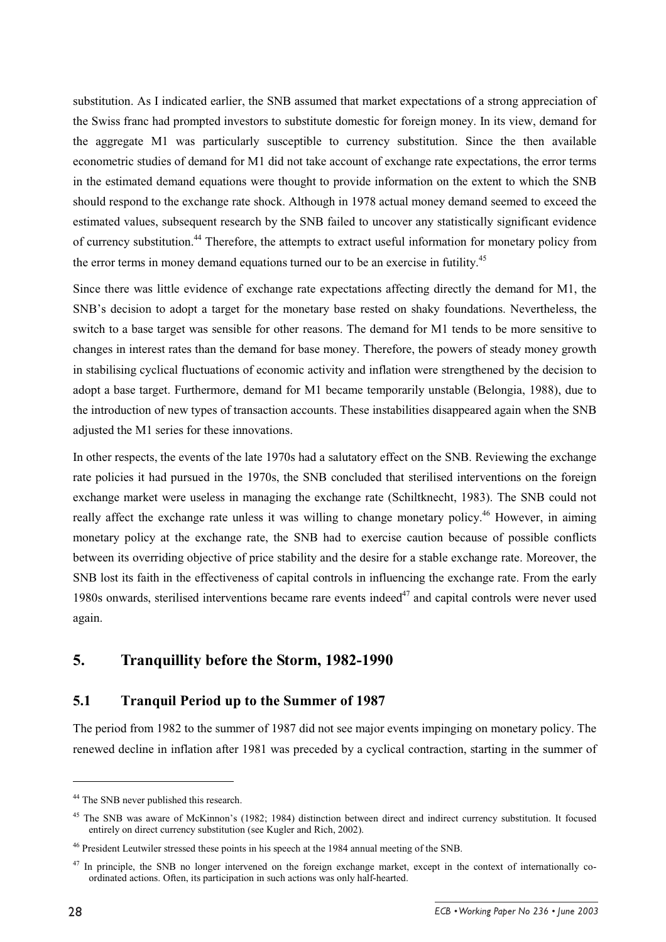substitution. As I indicated earlier, the SNB assumed that market expectations of a strong appreciation of the Swiss franc had prompted investors to substitute domestic for foreign money. In its view, demand for the aggregate M1 was particularly susceptible to currency substitution. Since the then available econometric studies of demand for M1 did not take account of exchange rate expectations, the error terms in the estimated demand equations were thought to provide information on the extent to which the SNB should respond to the exchange rate shock. Although in 1978 actual money demand seemed to exceed the estimated values, subsequent research by the SNB failed to uncover any statistically significant evidence of currency substitution.<sup>44</sup> Therefore, the attempts to extract useful information for monetary policy from the error terms in money demand equations turned our to be an exercise in futility.<sup>45</sup>

Since there was little evidence of exchange rate expectations affecting directly the demand for M1, the SNB's decision to adopt a target for the monetary base rested on shaky foundations. Nevertheless, the switch to a base target was sensible for other reasons. The demand for M1 tends to be more sensitive to changes in interest rates than the demand for base money. Therefore, the powers of steady money growth in stabilising cyclical fluctuations of economic activity and inflation were strengthened by the decision to adopt a base target. Furthermore, demand for M1 became temporarily unstable (Belongia, 1988), due to the introduction of new types of transaction accounts. These instabilities disappeared again when the SNB adjusted the M1 series for these innovations.

In other respects, the events of the late 1970s had a salutatory effect on the SNB. Reviewing the exchange rate policies it had pursued in the 1970s, the SNB concluded that sterilised interventions on the foreign exchange market were useless in managing the exchange rate (Schiltknecht, 1983). The SNB could not really affect the exchange rate unless it was willing to change monetary policy.<sup>46</sup> However, in aiming monetary policy at the exchange rate, the SNB had to exercise caution because of possible conflicts between its overriding objective of price stability and the desire for a stable exchange rate. Moreover, the SNB lost its faith in the effectiveness of capital controls in influencing the exchange rate. From the early 1980s onwards, sterilised interventions became rare events indeed $47$  and capital controls were never used again.

# **5. Tranquillity before the Storm, 1982-1990**

#### **5.1 Tranquil Period up to the Summer of 1987**

The period from 1982 to the summer of 1987 did not see major events impinging on monetary policy. The renewed decline in inflation after 1981 was preceded by a cyclical contraction, starting in the summer of

<sup>&</sup>lt;sup>44</sup> The SNB never published this research.

<sup>&</sup>lt;sup>45</sup> The SNB was aware of McKinnon's (1982; 1984) distinction between direct and indirect currency substitution. It focused entirely on direct currency substitution (see Kugler and Rich, 2002).

<sup>&</sup>lt;sup>46</sup> President Leutwiler stressed these points in his speech at the 1984 annual meeting of the SNB.

<sup>&</sup>lt;sup>47</sup> In principle, the SNB no longer intervened on the foreign exchange market, except in the context of internationally coordinated actions. Often, its participation in such actions was only half-hearted.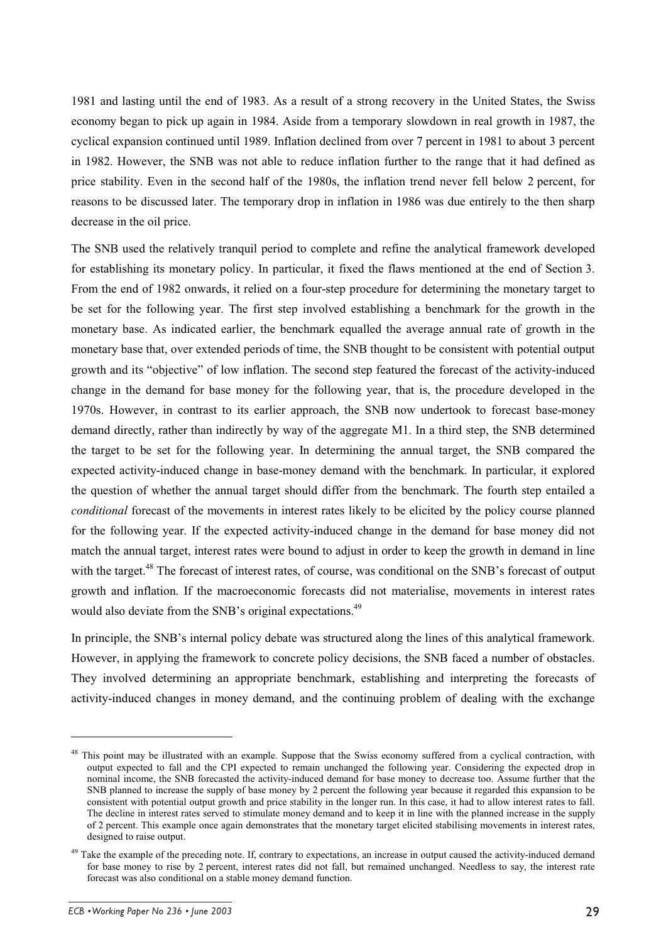1981 and lasting until the end of 1983. As a result of a strong recovery in the United States, the Swiss economy began to pick up again in 1984. Aside from a temporary slowdown in real growth in 1987, the cyclical expansion continued until 1989. Inflation declined from over 7 percent in 1981 to about 3 percent in 1982. However, the SNB was not able to reduce inflation further to the range that it had defined as price stability. Even in the second half of the 1980s, the inflation trend never fell below 2 percent, for reasons to be discussed later. The temporary drop in inflation in 1986 was due entirely to the then sharp decrease in the oil price.

The SNB used the relatively tranquil period to complete and refine the analytical framework developed for establishing its monetary policy. In particular, it fixed the flaws mentioned at the end of Section 3. From the end of 1982 onwards, it relied on a four-step procedure for determining the monetary target to be set for the following year. The first step involved establishing a benchmark for the growth in the monetary base. As indicated earlier, the benchmark equalled the average annual rate of growth in the monetary base that, over extended periods of time, the SNB thought to be consistent with potential output growth and its "objective" of low inflation. The second step featured the forecast of the activity-induced change in the demand for base money for the following year, that is, the procedure developed in the 1970s. However, in contrast to its earlier approach, the SNB now undertook to forecast base-money demand directly, rather than indirectly by way of the aggregate M1. In a third step, the SNB determined the target to be set for the following year. In determining the annual target, the SNB compared the expected activity-induced change in base-money demand with the benchmark. In particular, it explored the question of whether the annual target should differ from the benchmark. The fourth step entailed a *conditional* forecast of the movements in interest rates likely to be elicited by the policy course planned for the following year. If the expected activity-induced change in the demand for base money did not match the annual target, interest rates were bound to adjust in order to keep the growth in demand in line with the target.<sup>48</sup> The forecast of interest rates, of course, was conditional on the SNB's forecast of output growth and inflation. If the macroeconomic forecasts did not materialise, movements in interest rates would also deviate from the SNB's original expectations.<sup>49</sup>

In principle, the SNB's internal policy debate was structured along the lines of this analytical framework. However, in applying the framework to concrete policy decisions, the SNB faced a number of obstacles. They involved determining an appropriate benchmark, establishing and interpreting the forecasts of activity-induced changes in money demand, and the continuing problem of dealing with the exchange

<sup>&</sup>lt;sup>48</sup> This point may be illustrated with an example. Suppose that the Swiss economy suffered from a cyclical contraction, with output expected to fall and the CPI expected to remain unchanged the following year. Considering the expected drop in nominal income, the SNB forecasted the activity-induced demand for base money to decrease too. Assume further that the SNB planned to increase the supply of base money by 2 percent the following year because it regarded this expansion to be consistent with potential output growth and price stability in the longer run. In this case, it had to allow interest rates to fall. The decline in interest rates served to stimulate money demand and to keep it in line with the planned increase in the supply of 2 percent. This example once again demonstrates that the monetary target elicited stabilising movements in interest rates, designed to raise output.

 $49$  Take the example of the preceding note. If, contrary to expectations, an increase in output caused the activity-induced demand for base money to rise by 2 percent, interest rates did not fall, but remained unchanged. Needless to say, the interest rate forecast was also conditional on a stable money demand function.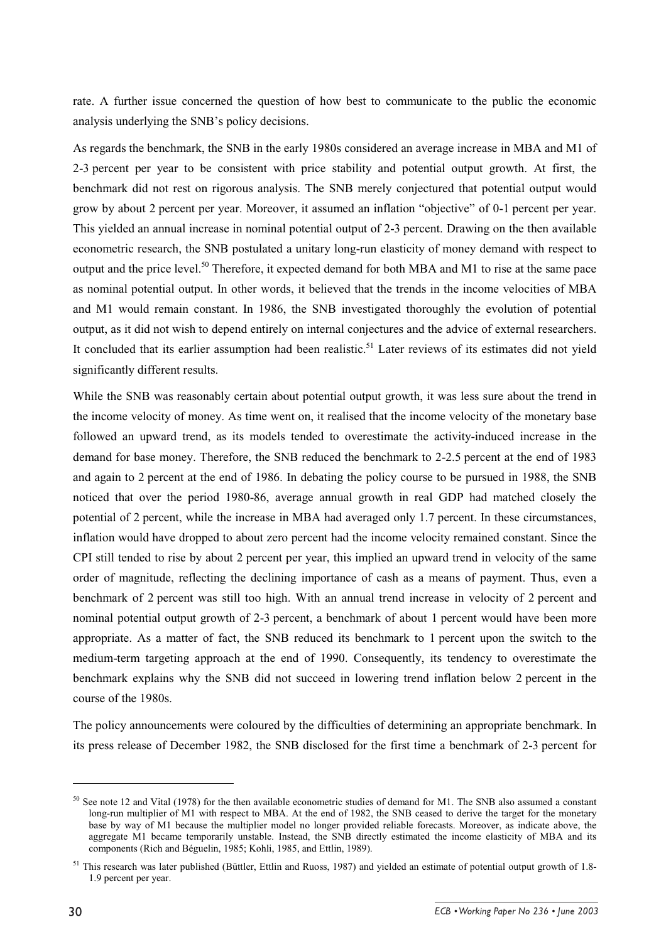rate. A further issue concerned the question of how best to communicate to the public the economic analysis underlying the SNB's policy decisions.

As regards the benchmark, the SNB in the early 1980s considered an average increase in MBA and M1 of 2-3 percent per year to be consistent with price stability and potential output growth. At first, the benchmark did not rest on rigorous analysis. The SNB merely conjectured that potential output would grow by about 2 percent per year. Moreover, it assumed an inflation "objective" of 0-1 percent per year. This yielded an annual increase in nominal potential output of 2-3 percent. Drawing on the then available econometric research, the SNB postulated a unitary long-run elasticity of money demand with respect to output and the price level.<sup>50</sup> Therefore, it expected demand for both MBA and M1 to rise at the same pace as nominal potential output. In other words, it believed that the trends in the income velocities of MBA and M1 would remain constant. In 1986, the SNB investigated thoroughly the evolution of potential output, as it did not wish to depend entirely on internal conjectures and the advice of external researchers. It concluded that its earlier assumption had been realistic.<sup>51</sup> Later reviews of its estimates did not vield significantly different results.

While the SNB was reasonably certain about potential output growth, it was less sure about the trend in the income velocity of money. As time went on, it realised that the income velocity of the monetary base followed an upward trend, as its models tended to overestimate the activity-induced increase in the demand for base money. Therefore, the SNB reduced the benchmark to 2-2.5 percent at the end of 1983 and again to 2 percent at the end of 1986. In debating the policy course to be pursued in 1988, the SNB noticed that over the period 1980-86, average annual growth in real GDP had matched closely the potential of 2 percent, while the increase in MBA had averaged only 1.7 percent. In these circumstances, inflation would have dropped to about zero percent had the income velocity remained constant. Since the CPI still tended to rise by about 2 percent per year, this implied an upward trend in velocity of the same order of magnitude, reflecting the declining importance of cash as a means of payment. Thus, even a benchmark of 2 percent was still too high. With an annual trend increase in velocity of 2 percent and nominal potential output growth of 2-3 percent, a benchmark of about 1 percent would have been more appropriate. As a matter of fact, the SNB reduced its benchmark to 1 percent upon the switch to the medium-term targeting approach at the end of 1990. Consequently, its tendency to overestimate the benchmark explains why the SNB did not succeed in lowering trend inflation below 2 percent in the course of the 1980s.

The policy announcements were coloured by the difficulties of determining an appropriate benchmark. In its press release of December 1982, the SNB disclosed for the first time a benchmark of 2-3 percent for

 $50$  See note 12 and Vital (1978) for the then available econometric studies of demand for M1. The SNB also assumed a constant long-run multiplier of M1 with respect to MBA. At the end of 1982, the SNB ceased to derive the target for the monetary base by way of M1 because the multiplier model no longer provided reliable forecasts. Moreover, as indicate above, the aggregate M1 became temporarily unstable. Instead, the SNB directly estimated the income elasticity of MBA and its components (Rich and Béguelin, 1985; Kohli, 1985, and Ettlin, 1989).

<sup>51</sup> This research was later published (Büttler, Ettlin and Ruoss, 1987) and yielded an estimate of potential output growth of 1.8- 1.9 percent per year.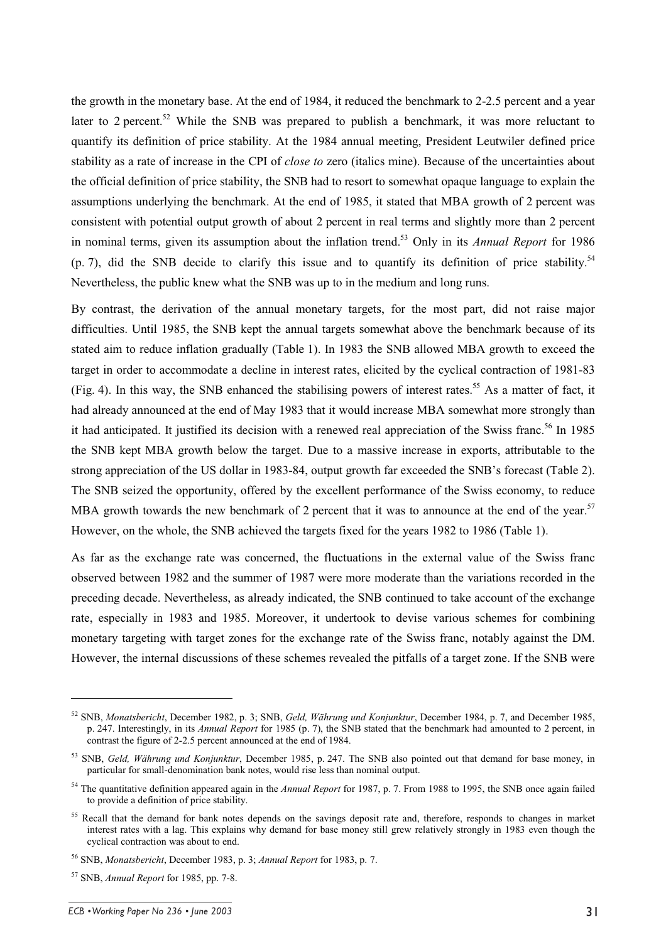the growth in the monetary base. At the end of 1984, it reduced the benchmark to 2-2.5 percent and a year later to 2 percent.<sup>52</sup> While the SNB was prepared to publish a benchmark, it was more reluctant to quantify its definition of price stability. At the 1984 annual meeting, President Leutwiler defined price stability as a rate of increase in the CPI of *close to* zero (italics mine). Because of the uncertainties about the official definition of price stability, the SNB had to resort to somewhat opaque language to explain the assumptions underlying the benchmark. At the end of 1985, it stated that MBA growth of 2 percent was consistent with potential output growth of about 2 percent in real terms and slightly more than 2 percent in nominal terms, given its assumption about the inflation trend.<sup>53</sup> Only in its *Annual Report* for 1986  $(p, 7)$ , did the SNB decide to clarify this issue and to quantify its definition of price stability.<sup>54</sup> Nevertheless, the public knew what the SNB was up to in the medium and long runs.

By contrast, the derivation of the annual monetary targets, for the most part, did not raise major difficulties. Until 1985, the SNB kept the annual targets somewhat above the benchmark because of its stated aim to reduce inflation gradually (Table 1). In 1983 the SNB allowed MBA growth to exceed the target in order to accommodate a decline in interest rates, elicited by the cyclical contraction of 1981-83 (Fig. 4). In this way, the SNB enhanced the stabilising powers of interest rates.<sup>55</sup> As a matter of fact, it had already announced at the end of May 1983 that it would increase MBA somewhat more strongly than it had anticipated. It justified its decision with a renewed real appreciation of the Swiss franc.<sup>56</sup> In 1985 the SNB kept MBA growth below the target. Due to a massive increase in exports, attributable to the strong appreciation of the US dollar in 1983-84, output growth far exceeded the SNB's forecast (Table 2). The SNB seized the opportunity, offered by the excellent performance of the Swiss economy, to reduce MBA growth towards the new benchmark of 2 percent that it was to announce at the end of the year.<sup>57</sup> However, on the whole, the SNB achieved the targets fixed for the years 1982 to 1986 (Table 1).

As far as the exchange rate was concerned, the fluctuations in the external value of the Swiss franc observed between 1982 and the summer of 1987 were more moderate than the variations recorded in the preceding decade. Nevertheless, as already indicated, the SNB continued to take account of the exchange rate, especially in 1983 and 1985. Moreover, it undertook to devise various schemes for combining monetary targeting with target zones for the exchange rate of the Swiss franc, notably against the DM. However, the internal discussions of these schemes revealed the pitfalls of a target zone. If the SNB were

<sup>52</sup> SNB, *Monatsbericht*, December 1982, p. 3; SNB, *Geld, Währung und Konjunktur*, December 1984, p. 7, and December 1985, p. 247. Interestingly, in its *Annual Report* for 1985 (p. 7), the SNB stated that the benchmark had amounted to 2 percent, in contrast the figure of 2-2.5 percent announced at the end of 1984.

<sup>53</sup> SNB, *Geld, Währung und Konjunktur*, December 1985, p. 247. The SNB also pointed out that demand for base money, in particular for small-denomination bank notes, would rise less than nominal output.

<sup>54</sup> The quantitative definition appeared again in the *Annual Report* for 1987, p. 7. From 1988 to 1995, the SNB once again failed to provide a definition of price stability.

<sup>&</sup>lt;sup>55</sup> Recall that the demand for bank notes depends on the savings deposit rate and, therefore, responds to changes in market interest rates with a lag. This explains why demand for base money still grew relatively strongly in 1983 even though the cyclical contraction was about to end.

<sup>56</sup> SNB, *Monatsbericht*, December 1983, p. 3; *Annual Report* for 1983, p. 7.

<sup>57</sup> SNB, *Annual Report* for 1985, pp. 7-8.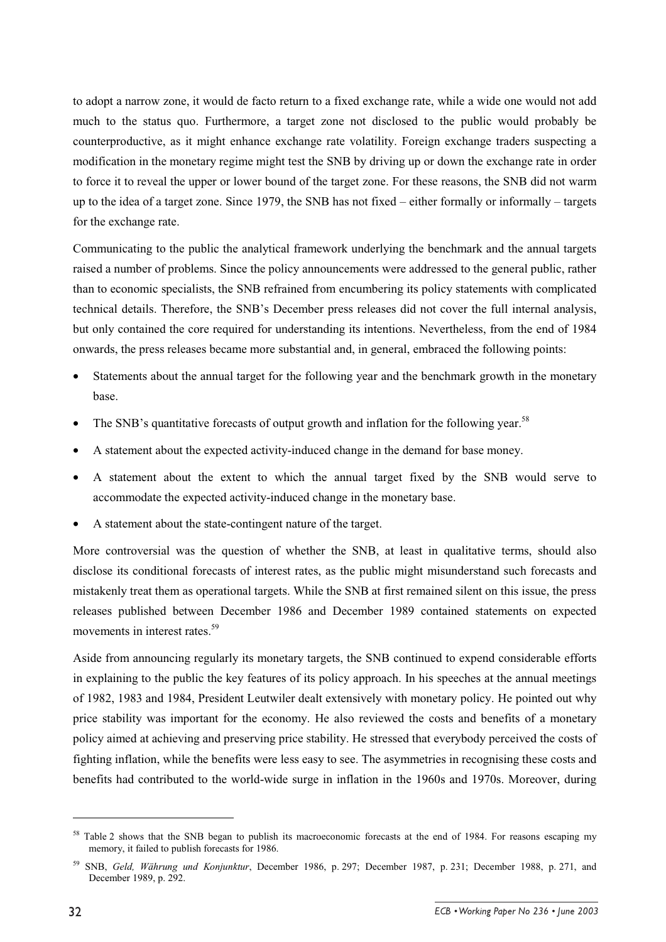to adopt a narrow zone, it would de facto return to a fixed exchange rate, while a wide one would not add much to the status quo. Furthermore, a target zone not disclosed to the public would probably be counterproductive, as it might enhance exchange rate volatility. Foreign exchange traders suspecting a modification in the monetary regime might test the SNB by driving up or down the exchange rate in order to force it to reveal the upper or lower bound of the target zone. For these reasons, the SNB did not warm up to the idea of a target zone. Since 1979, the SNB has not fixed – either formally or informally – targets for the exchange rate.

Communicating to the public the analytical framework underlying the benchmark and the annual targets raised a number of problems. Since the policy announcements were addressed to the general public, rather than to economic specialists, the SNB refrained from encumbering its policy statements with complicated technical details. Therefore, the SNB's December press releases did not cover the full internal analysis, but only contained the core required for understanding its intentions. Nevertheless, from the end of 1984 onwards, the press releases became more substantial and, in general, embraced the following points:

- Statements about the annual target for the following year and the benchmark growth in the monetary base.
- The SNB's quantitative forecasts of output growth and inflation for the following year.<sup>58</sup>
- A statement about the expected activity-induced change in the demand for base money.
- A statement about the extent to which the annual target fixed by the SNB would serve to accommodate the expected activity-induced change in the monetary base.
- A statement about the state-contingent nature of the target.

More controversial was the question of whether the SNB, at least in qualitative terms, should also disclose its conditional forecasts of interest rates, as the public might misunderstand such forecasts and mistakenly treat them as operational targets. While the SNB at first remained silent on this issue, the press releases published between December 1986 and December 1989 contained statements on expected movements in interest rates.<sup>59</sup>

Aside from announcing regularly its monetary targets, the SNB continued to expend considerable efforts in explaining to the public the key features of its policy approach. In his speeches at the annual meetings of 1982, 1983 and 1984, President Leutwiler dealt extensively with monetary policy. He pointed out why price stability was important for the economy. He also reviewed the costs and benefits of a monetary policy aimed at achieving and preserving price stability. He stressed that everybody perceived the costs of fighting inflation, while the benefits were less easy to see. The asymmetries in recognising these costs and benefits had contributed to the world-wide surge in inflation in the 1960s and 1970s. Moreover, during

<sup>&</sup>lt;sup>58</sup> Table 2 shows that the SNB began to publish its macroeconomic forecasts at the end of 1984. For reasons escaping my memory, it failed to publish forecasts for 1986.

<sup>59</sup> SNB, *Geld, Währung und Konjunktur*, December 1986, p. 297; December 1987, p. 231; December 1988, p. 271, and December 1989, p. 292.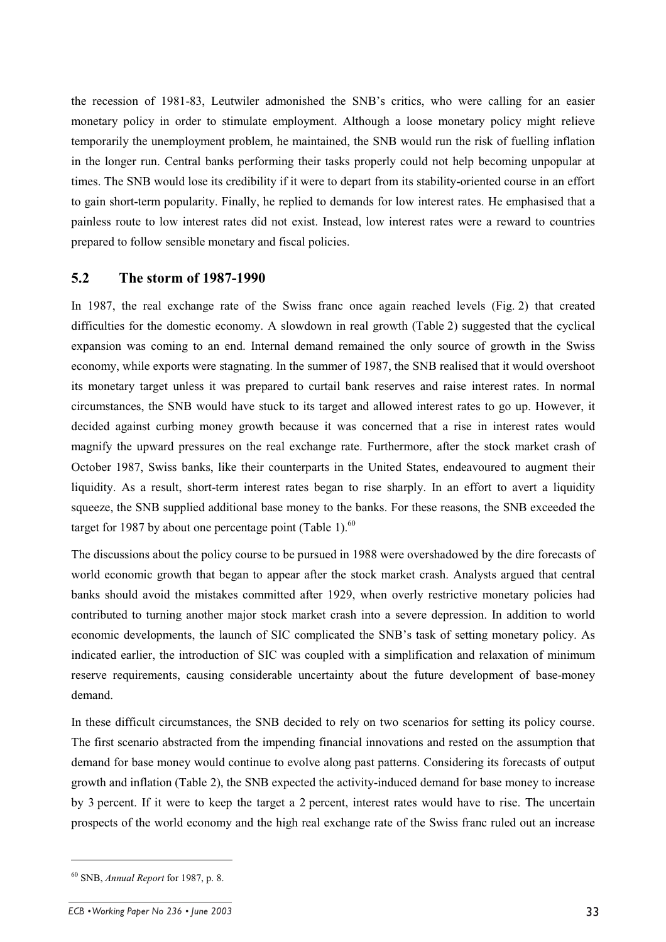the recession of 1981-83, Leutwiler admonished the SNB's critics, who were calling for an easier monetary policy in order to stimulate employment. Although a loose monetary policy might relieve temporarily the unemployment problem, he maintained, the SNB would run the risk of fuelling inflation in the longer run. Central banks performing their tasks properly could not help becoming unpopular at times. The SNB would lose its credibility if it were to depart from its stability-oriented course in an effort to gain short-term popularity. Finally, he replied to demands for low interest rates. He emphasised that a painless route to low interest rates did not exist. Instead, low interest rates were a reward to countries prepared to follow sensible monetary and fiscal policies.

#### **5.2 The storm of 1987-1990**

In 1987, the real exchange rate of the Swiss franc once again reached levels (Fig. 2) that created difficulties for the domestic economy. A slowdown in real growth (Table 2) suggested that the cyclical expansion was coming to an end. Internal demand remained the only source of growth in the Swiss economy, while exports were stagnating. In the summer of 1987, the SNB realised that it would overshoot its monetary target unless it was prepared to curtail bank reserves and raise interest rates. In normal circumstances, the SNB would have stuck to its target and allowed interest rates to go up. However, it decided against curbing money growth because it was concerned that a rise in interest rates would magnify the upward pressures on the real exchange rate. Furthermore, after the stock market crash of October 1987, Swiss banks, like their counterparts in the United States, endeavoured to augment their liquidity. As a result, short-term interest rates began to rise sharply. In an effort to avert a liquidity squeeze, the SNB supplied additional base money to the banks. For these reasons, the SNB exceeded the target for 1987 by about one percentage point (Table 1). $^{60}$ 

The discussions about the policy course to be pursued in 1988 were overshadowed by the dire forecasts of world economic growth that began to appear after the stock market crash. Analysts argued that central banks should avoid the mistakes committed after 1929, when overly restrictive monetary policies had contributed to turning another major stock market crash into a severe depression. In addition to world economic developments, the launch of SIC complicated the SNB's task of setting monetary policy. As indicated earlier, the introduction of SIC was coupled with a simplification and relaxation of minimum reserve requirements, causing considerable uncertainty about the future development of base-money demand.

In these difficult circumstances, the SNB decided to rely on two scenarios for setting its policy course. The first scenario abstracted from the impending financial innovations and rested on the assumption that demand for base money would continue to evolve along past patterns. Considering its forecasts of output growth and inflation (Table 2), the SNB expected the activity-induced demand for base money to increase by 3 percent. If it were to keep the target a 2 percent, interest rates would have to rise. The uncertain prospects of the world economy and the high real exchange rate of the Swiss franc ruled out an increase

<sup>60</sup> SNB, *Annual Report* for 1987, p. 8.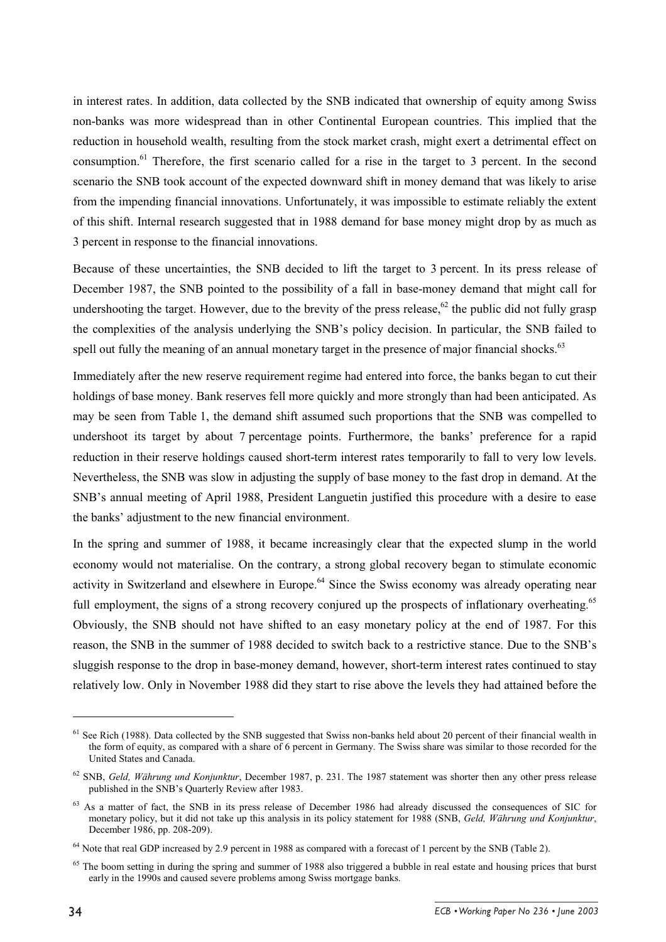in interest rates. In addition, data collected by the SNB indicated that ownership of equity among Swiss non-banks was more widespread than in other Continental European countries. This implied that the reduction in household wealth, resulting from the stock market crash, might exert a detrimental effect on consumption.<sup>61</sup> Therefore, the first scenario called for a rise in the target to 3 percent. In the second scenario the SNB took account of the expected downward shift in money demand that was likely to arise from the impending financial innovations. Unfortunately, it was impossible to estimate reliably the extent of this shift. Internal research suggested that in 1988 demand for base money might drop by as much as 3 percent in response to the financial innovations.

Because of these uncertainties, the SNB decided to lift the target to 3 percent. In its press release of December 1987, the SNB pointed to the possibility of a fall in base-money demand that might call for undershooting the target. However, due to the brevity of the press release,  $62$  the public did not fully grasp the complexities of the analysis underlying the SNB's policy decision. In particular, the SNB failed to spell out fully the meaning of an annual monetary target in the presence of major financial shocks.<sup>63</sup>

Immediately after the new reserve requirement regime had entered into force, the banks began to cut their holdings of base money. Bank reserves fell more quickly and more strongly than had been anticipated. As may be seen from Table 1, the demand shift assumed such proportions that the SNB was compelled to undershoot its target by about 7 percentage points. Furthermore, the banks' preference for a rapid reduction in their reserve holdings caused short-term interest rates temporarily to fall to very low levels. Nevertheless, the SNB was slow in adjusting the supply of base money to the fast drop in demand. At the SNB's annual meeting of April 1988, President Languetin justified this procedure with a desire to ease the banks' adjustment to the new financial environment.

In the spring and summer of 1988, it became increasingly clear that the expected slump in the world economy would not materialise. On the contrary, a strong global recovery began to stimulate economic activity in Switzerland and elsewhere in Europe.<sup>64</sup> Since the Swiss economy was already operating near full employment, the signs of a strong recovery conjured up the prospects of inflationary overheating.<sup>65</sup> Obviously, the SNB should not have shifted to an easy monetary policy at the end of 1987. For this reason, the SNB in the summer of 1988 decided to switch back to a restrictive stance. Due to the SNB's sluggish response to the drop in base-money demand, however, short-term interest rates continued to stay relatively low. Only in November 1988 did they start to rise above the levels they had attained before the

 $<sup>61</sup>$  See Rich (1988). Data collected by the SNB suggested that Swiss non-banks held about 20 percent of their financial wealth in</sup> the form of equity, as compared with a share of 6 percent in Germany. The Swiss share was similar to those recorded for the United States and Canada.

<sup>62</sup> SNB, *Geld, Währung und Konjunktur*, December 1987, p. 231. The 1987 statement was shorter then any other press release published in the SNB's Quarterly Review after 1983.

 $<sup>63</sup>$  As a matter of fact, the SNB in its press release of December 1986 had already discussed the consequences of SIC for</sup> monetary policy, but it did not take up this analysis in its policy statement for 1988 (SNB, *Geld, Währung und Konjunktur*, December 1986, pp. 208-209).

<sup>&</sup>lt;sup>64</sup> Note that real GDP increased by 2.9 percent in 1988 as compared with a forecast of 1 percent by the SNB (Table 2).

<sup>&</sup>lt;sup>65</sup> The boom setting in during the spring and summer of 1988 also triggered a bubble in real estate and housing prices that burst early in the 1990s and caused severe problems among Swiss mortgage banks.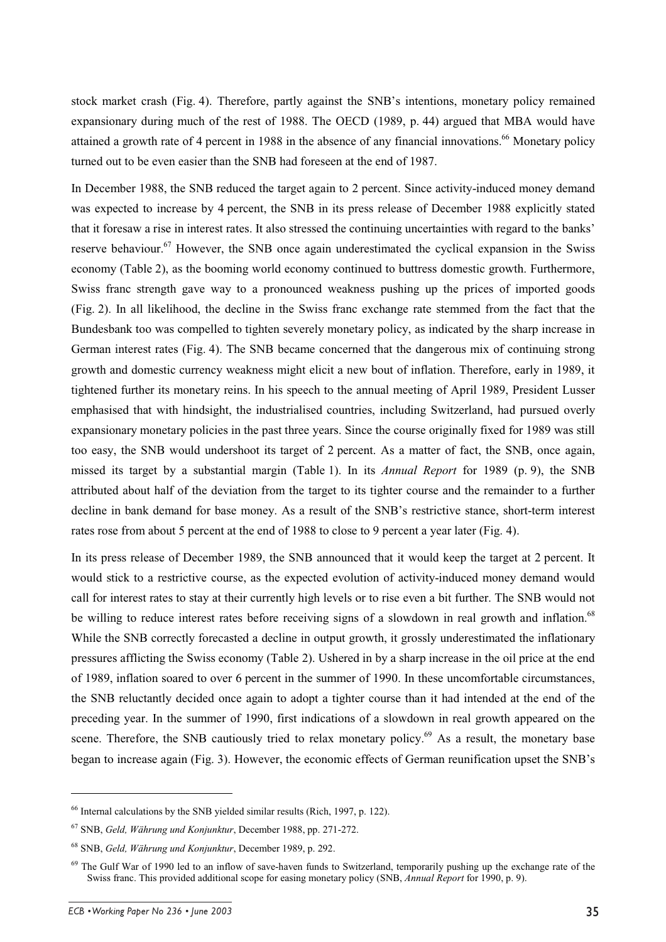stock market crash (Fig. 4). Therefore, partly against the SNB's intentions, monetary policy remained expansionary during much of the rest of 1988. The OECD (1989, p. 44) argued that MBA would have attained a growth rate of 4 percent in 1988 in the absence of any financial innovations.<sup>66</sup> Monetary policy turned out to be even easier than the SNB had foreseen at the end of 1987.

In December 1988, the SNB reduced the target again to 2 percent. Since activity-induced money demand was expected to increase by 4 percent, the SNB in its press release of December 1988 explicitly stated that it foresaw a rise in interest rates. It also stressed the continuing uncertainties with regard to the banks' reserve behaviour.<sup>67</sup> However, the SNB once again underestimated the cyclical expansion in the Swiss economy (Table 2), as the booming world economy continued to buttress domestic growth. Furthermore, Swiss franc strength gave way to a pronounced weakness pushing up the prices of imported goods (Fig. 2). In all likelihood, the decline in the Swiss franc exchange rate stemmed from the fact that the Bundesbank too was compelled to tighten severely monetary policy, as indicated by the sharp increase in German interest rates (Fig. 4). The SNB became concerned that the dangerous mix of continuing strong growth and domestic currency weakness might elicit a new bout of inflation. Therefore, early in 1989, it tightened further its monetary reins. In his speech to the annual meeting of April 1989, President Lusser emphasised that with hindsight, the industrialised countries, including Switzerland, had pursued overly expansionary monetary policies in the past three years. Since the course originally fixed for 1989 was still too easy, the SNB would undershoot its target of 2 percent. As a matter of fact, the SNB, once again, missed its target by a substantial margin (Table 1). In its *Annual Report* for 1989 (p. 9), the SNB attributed about half of the deviation from the target to its tighter course and the remainder to a further decline in bank demand for base money. As a result of the SNB's restrictive stance, short-term interest rates rose from about 5 percent at the end of 1988 to close to 9 percent a year later (Fig. 4).

In its press release of December 1989, the SNB announced that it would keep the target at 2 percent. It would stick to a restrictive course, as the expected evolution of activity-induced money demand would call for interest rates to stay at their currently high levels or to rise even a bit further. The SNB would not be willing to reduce interest rates before receiving signs of a slowdown in real growth and inflation.<sup>68</sup> While the SNB correctly forecasted a decline in output growth, it grossly underestimated the inflationary pressures afflicting the Swiss economy (Table 2). Ushered in by a sharp increase in the oil price at the end of 1989, inflation soared to over 6 percent in the summer of 1990. In these uncomfortable circumstances, the SNB reluctantly decided once again to adopt a tighter course than it had intended at the end of the preceding year. In the summer of 1990, first indications of a slowdown in real growth appeared on the scene. Therefore, the SNB cautiously tried to relax monetary policy.<sup>69</sup> As a result, the monetary base began to increase again (Fig. 3). However, the economic effects of German reunification upset the SNB's

<sup>66</sup> Internal calculations by the SNB yielded similar results (Rich, 1997, p. 122).

<sup>67</sup> SNB, *Geld, Währung und Konjunktur*, December 1988, pp. 271-272.

<sup>68</sup> SNB, *Geld, Währung und Konjunktur*, December 1989, p. 292.

<sup>&</sup>lt;sup>69</sup> The Gulf War of 1990 led to an inflow of save-haven funds to Switzerland, temporarily pushing up the exchange rate of the Swiss franc. This provided additional scope for easing monetary policy (SNB, *Annual Report* for 1990, p. 9).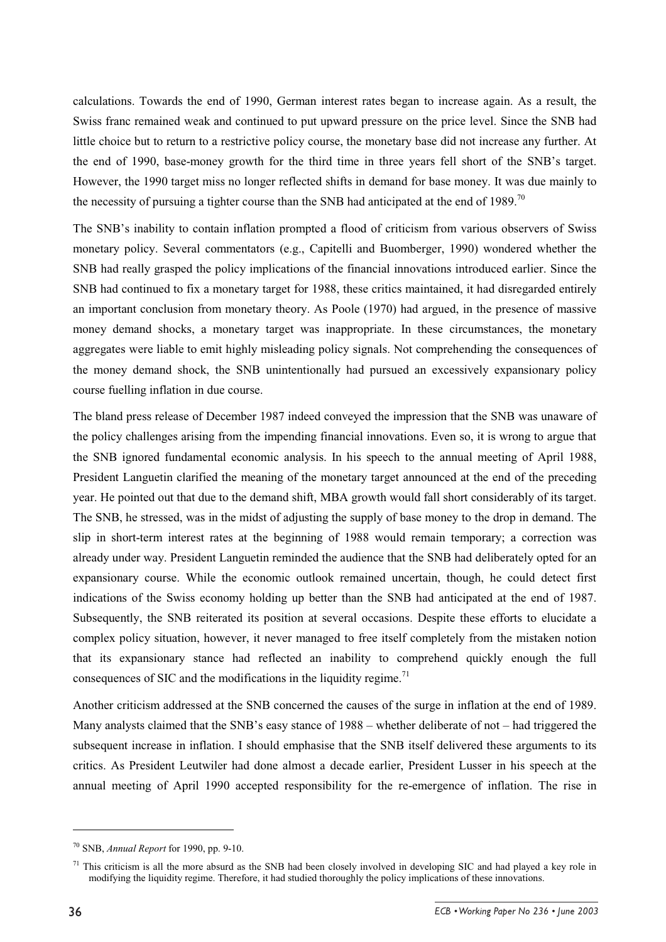calculations. Towards the end of 1990, German interest rates began to increase again. As a result, the Swiss franc remained weak and continued to put upward pressure on the price level. Since the SNB had little choice but to return to a restrictive policy course, the monetary base did not increase any further. At the end of 1990, base-money growth for the third time in three years fell short of the SNB's target. However, the 1990 target miss no longer reflected shifts in demand for base money. It was due mainly to the necessity of pursuing a tighter course than the SNB had anticipated at the end of 1989.<sup>70</sup>

The SNB's inability to contain inflation prompted a flood of criticism from various observers of Swiss monetary policy. Several commentators (e.g., Capitelli and Buomberger, 1990) wondered whether the SNB had really grasped the policy implications of the financial innovations introduced earlier. Since the SNB had continued to fix a monetary target for 1988, these critics maintained, it had disregarded entirely an important conclusion from monetary theory. As Poole (1970) had argued, in the presence of massive money demand shocks, a monetary target was inappropriate. In these circumstances, the monetary aggregates were liable to emit highly misleading policy signals. Not comprehending the consequences of the money demand shock, the SNB unintentionally had pursued an excessively expansionary policy course fuelling inflation in due course.

The bland press release of December 1987 indeed conveyed the impression that the SNB was unaware of the policy challenges arising from the impending financial innovations. Even so, it is wrong to argue that the SNB ignored fundamental economic analysis. In his speech to the annual meeting of April 1988, President Languetin clarified the meaning of the monetary target announced at the end of the preceding year. He pointed out that due to the demand shift, MBA growth would fall short considerably of its target. The SNB, he stressed, was in the midst of adjusting the supply of base money to the drop in demand. The slip in short-term interest rates at the beginning of 1988 would remain temporary; a correction was already under way. President Languetin reminded the audience that the SNB had deliberately opted for an expansionary course. While the economic outlook remained uncertain, though, he could detect first indications of the Swiss economy holding up better than the SNB had anticipated at the end of 1987. Subsequently, the SNB reiterated its position at several occasions. Despite these efforts to elucidate a complex policy situation, however, it never managed to free itself completely from the mistaken notion that its expansionary stance had reflected an inability to comprehend quickly enough the full consequences of SIC and the modifications in the liquidity regime.<sup>71</sup>

Another criticism addressed at the SNB concerned the causes of the surge in inflation at the end of 1989. Many analysts claimed that the SNB's easy stance of 1988 – whether deliberate of not – had triggered the subsequent increase in inflation. I should emphasise that the SNB itself delivered these arguments to its critics. As President Leutwiler had done almost a decade earlier, President Lusser in his speech at the annual meeting of April 1990 accepted responsibility for the re-emergence of inflation. The rise in

<sup>70</sup> SNB, *Annual Report* for 1990, pp. 9-10.

 $71$  This criticism is all the more absurd as the SNB had been closely involved in developing SIC and had played a key role in modifying the liquidity regime. Therefore, it had studied thoroughly the policy implications of these innovations.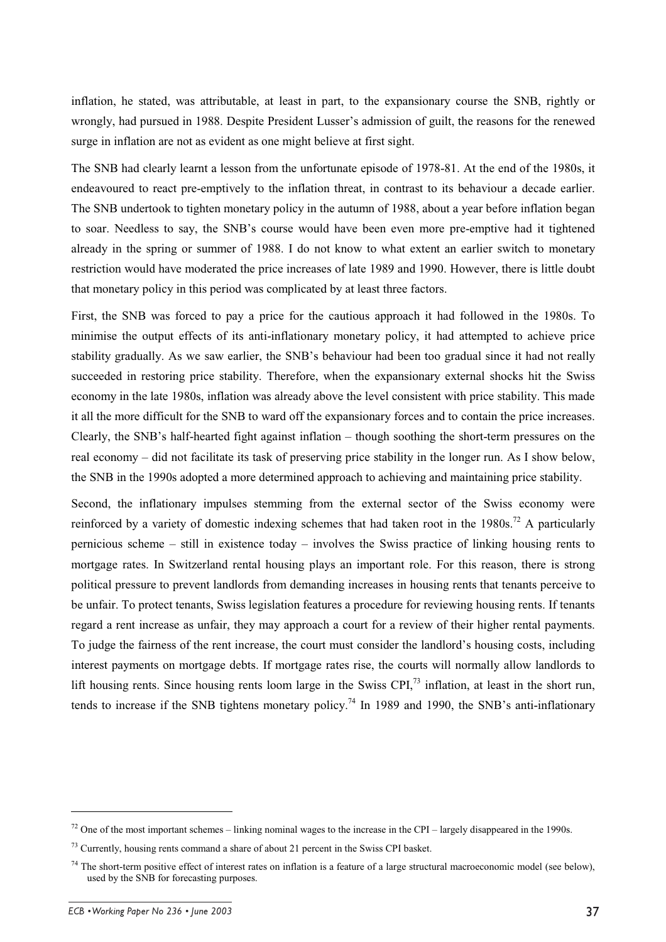inflation, he stated, was attributable, at least in part, to the expansionary course the SNB, rightly or wrongly, had pursued in 1988. Despite President Lusser's admission of guilt, the reasons for the renewed surge in inflation are not as evident as one might believe at first sight.

The SNB had clearly learnt a lesson from the unfortunate episode of 1978-81. At the end of the 1980s, it endeavoured to react pre-emptively to the inflation threat, in contrast to its behaviour a decade earlier. The SNB undertook to tighten monetary policy in the autumn of 1988, about a year before inflation began to soar. Needless to say, the SNB's course would have been even more pre-emptive had it tightened already in the spring or summer of 1988. I do not know to what extent an earlier switch to monetary restriction would have moderated the price increases of late 1989 and 1990. However, there is little doubt that monetary policy in this period was complicated by at least three factors.

First, the SNB was forced to pay a price for the cautious approach it had followed in the 1980s. To minimise the output effects of its anti-inflationary monetary policy, it had attempted to achieve price stability gradually. As we saw earlier, the SNB's behaviour had been too gradual since it had not really succeeded in restoring price stability. Therefore, when the expansionary external shocks hit the Swiss economy in the late 1980s, inflation was already above the level consistent with price stability. This made it all the more difficult for the SNB to ward off the expansionary forces and to contain the price increases. Clearly, the SNB's half-hearted fight against inflation – though soothing the short-term pressures on the real economy – did not facilitate its task of preserving price stability in the longer run. As I show below, the SNB in the 1990s adopted a more determined approach to achieving and maintaining price stability.

Second, the inflationary impulses stemming from the external sector of the Swiss economy were reinforced by a variety of domestic indexing schemes that had taken root in the  $1980s$ .<sup>72</sup> A particularly pernicious scheme – still in existence today – involves the Swiss practice of linking housing rents to mortgage rates. In Switzerland rental housing plays an important role. For this reason, there is strong political pressure to prevent landlords from demanding increases in housing rents that tenants perceive to be unfair. To protect tenants, Swiss legislation features a procedure for reviewing housing rents. If tenants regard a rent increase as unfair, they may approach a court for a review of their higher rental payments. To judge the fairness of the rent increase, the court must consider the landlord's housing costs, including interest payments on mortgage debts. If mortgage rates rise, the courts will normally allow landlords to lift housing rents. Since housing rents loom large in the Swiss CPI, $^{73}$  inflation, at least in the short run, tends to increase if the SNB tightens monetary policy.<sup>74</sup> In 1989 and 1990, the SNB's anti-inflationary

 $72$  One of the most important schemes – linking nominal wages to the increase in the CPI – largely disappeared in the 1990s.

 $73$  Currently, housing rents command a share of about 21 percent in the Swiss CPI basket.

 $74$  The short-term positive effect of interest rates on inflation is a feature of a large structural macroeconomic model (see below), used by the SNB for forecasting purposes.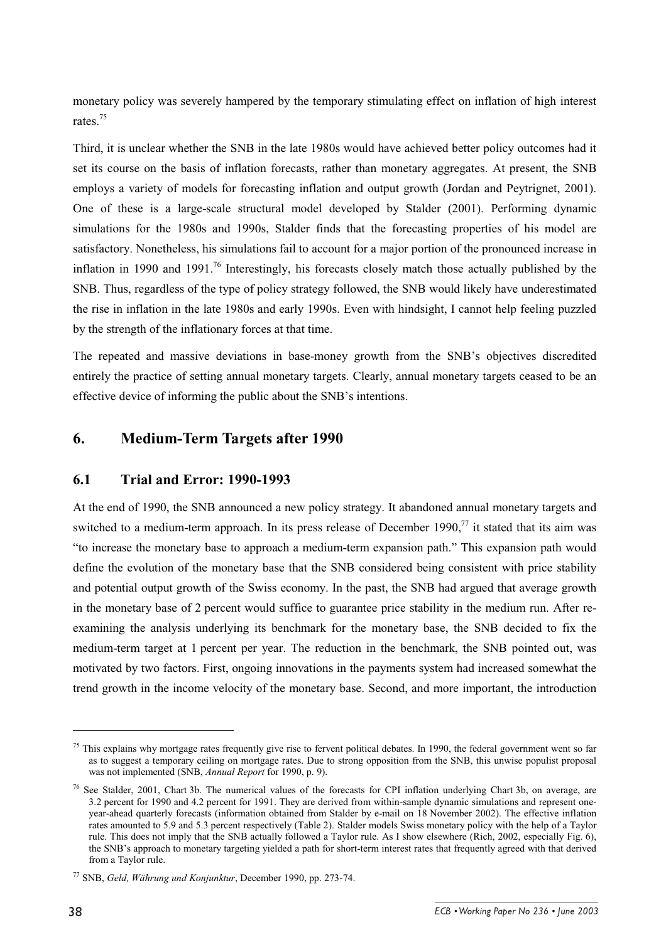monetary policy was severely hampered by the temporary stimulating effect on inflation of high interest rates<sup>75</sup>

Third, it is unclear whether the SNB in the late 1980s would have achieved better policy outcomes had it set its course on the basis of inflation forecasts, rather than monetary aggregates. At present, the SNB employs a variety of models for forecasting inflation and output growth (Jordan and Peytrignet, 2001). One of these is a large-scale structural model developed by Stalder (2001). Performing dynamic simulations for the 1980s and 1990s, Stalder finds that the forecasting properties of his model are satisfactory. Nonetheless, his simulations fail to account for a major portion of the pronounced increase in inflation in 1990 and 1991.<sup>76</sup> Interestingly, his forecasts closely match those actually published by the SNB. Thus, regardless of the type of policy strategy followed, the SNB would likely have underestimated the rise in inflation in the late 1980s and early 1990s. Even with hindsight, I cannot help feeling puzzled by the strength of the inflationary forces at that time.

The repeated and massive deviations in base-money growth from the SNB's objectives discredited entirely the practice of setting annual monetary targets. Clearly, annual monetary targets ceased to be an effective device of informing the public about the SNB's intentions.

### **6. Medium-Term Targets after 1990**

#### **6.1 Trial and Error: 1990-1993**

At the end of 1990, the SNB announced a new policy strategy. It abandoned annual monetary targets and switched to a medium-term approach. In its press release of December 1990,<sup>77</sup> it stated that its aim was "to increase the monetary base to approach a medium-term expansion path." This expansion path would define the evolution of the monetary base that the SNB considered being consistent with price stability and potential output growth of the Swiss economy. In the past, the SNB had argued that average growth in the monetary base of 2 percent would suffice to guarantee price stability in the medium run. After reexamining the analysis underlying its benchmark for the monetary base, the SNB decided to fix the medium-term target at 1 percent per year. The reduction in the benchmark, the SNB pointed out, was motivated by two factors. First, ongoing innovations in the payments system had increased somewhat the trend growth in the income velocity of the monetary base. Second, and more important, the introduction

 $75$  This explains why mortgage rates frequently give rise to fervent political debates. In 1990, the federal government went so far as to suggest a temporary ceiling on mortgage rates. Due to strong opposition from the SNB, this unwise populist proposal was not implemented (SNB, *Annual Report* for 1990, p. 9).

<sup>&</sup>lt;sup>76</sup> See Stalder, 2001, Chart 3b. The numerical values of the forecasts for CPI inflation underlying Chart 3b, on average, are 3.2 percent for 1990 and 4.2 percent for 1991. They are derived from within-sample dynamic simulations and represent oneyear-ahead quarterly forecasts (information obtained from Stalder by e-mail on 18 November 2002). The effective inflation rates amounted to 5.9 and 5.3 percent respectively (Table 2). Stalder models Swiss monetary policy with the help of a Taylor rule. This does not imply that the SNB actually followed a Taylor rule. As I show elsewhere (Rich, 2002, especially Fig. 6), the SNB's approach to monetary targeting yielded a path for short-term interest rates that frequently agreed with that derived from a Taylor rule.

<sup>77</sup> SNB, *Geld, Währung und Konjunktur*, December 1990, pp. 273-74.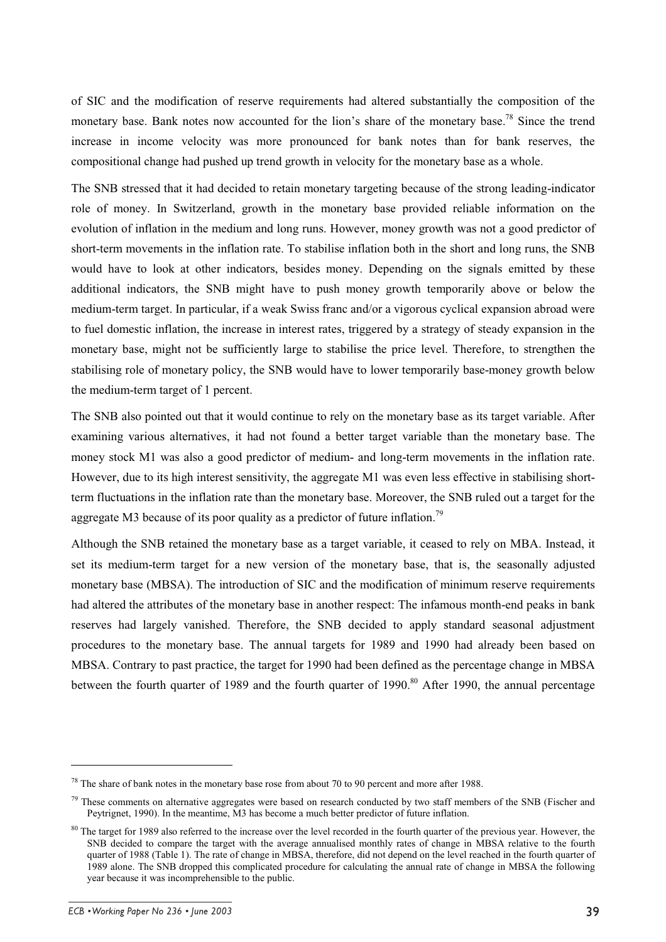of SIC and the modification of reserve requirements had altered substantially the composition of the monetary base. Bank notes now accounted for the lion's share of the monetary base.<sup>78</sup> Since the trend increase in income velocity was more pronounced for bank notes than for bank reserves, the compositional change had pushed up trend growth in velocity for the monetary base as a whole.

The SNB stressed that it had decided to retain monetary targeting because of the strong leading-indicator role of money. In Switzerland, growth in the monetary base provided reliable information on the evolution of inflation in the medium and long runs. However, money growth was not a good predictor of short-term movements in the inflation rate. To stabilise inflation both in the short and long runs, the SNB would have to look at other indicators, besides money. Depending on the signals emitted by these additional indicators, the SNB might have to push money growth temporarily above or below the medium-term target. In particular, if a weak Swiss franc and/or a vigorous cyclical expansion abroad were to fuel domestic inflation, the increase in interest rates, triggered by a strategy of steady expansion in the monetary base, might not be sufficiently large to stabilise the price level. Therefore, to strengthen the stabilising role of monetary policy, the SNB would have to lower temporarily base-money growth below the medium-term target of 1 percent.

The SNB also pointed out that it would continue to rely on the monetary base as its target variable. After examining various alternatives, it had not found a better target variable than the monetary base. The money stock M1 was also a good predictor of medium- and long-term movements in the inflation rate. However, due to its high interest sensitivity, the aggregate M1 was even less effective in stabilising shortterm fluctuations in the inflation rate than the monetary base. Moreover, the SNB ruled out a target for the aggregate M3 because of its poor quality as a predictor of future inflation.<sup>79</sup>

Although the SNB retained the monetary base as a target variable, it ceased to rely on MBA. Instead, it set its medium-term target for a new version of the monetary base, that is, the seasonally adjusted monetary base (MBSA). The introduction of SIC and the modification of minimum reserve requirements had altered the attributes of the monetary base in another respect: The infamous month-end peaks in bank reserves had largely vanished. Therefore, the SNB decided to apply standard seasonal adjustment procedures to the monetary base. The annual targets for 1989 and 1990 had already been based on MBSA. Contrary to past practice, the target for 1990 had been defined as the percentage change in MBSA between the fourth quarter of 1989 and the fourth quarter of 1990.<sup>80</sup> After 1990, the annual percentage

 $78$  The share of bank notes in the monetary base rose from about 70 to 90 percent and more after 1988.

 $79$  These comments on alternative aggregates were based on research conducted by two staff members of the SNB (Fischer and Peytrignet, 1990). In the meantime, M3 has become a much better predictor of future inflation.

<sup>&</sup>lt;sup>80</sup> The target for 1989 also referred to the increase over the level recorded in the fourth quarter of the previous year. However, the SNB decided to compare the target with the average annualised monthly rates of change in MBSA relative to the fourth quarter of 1988 (Table 1). The rate of change in MBSA, therefore, did not depend on the level reached in the fourth quarter of 1989 alone. The SNB dropped this complicated procedure for calculating the annual rate of change in MBSA the following year because it was incomprehensible to the public.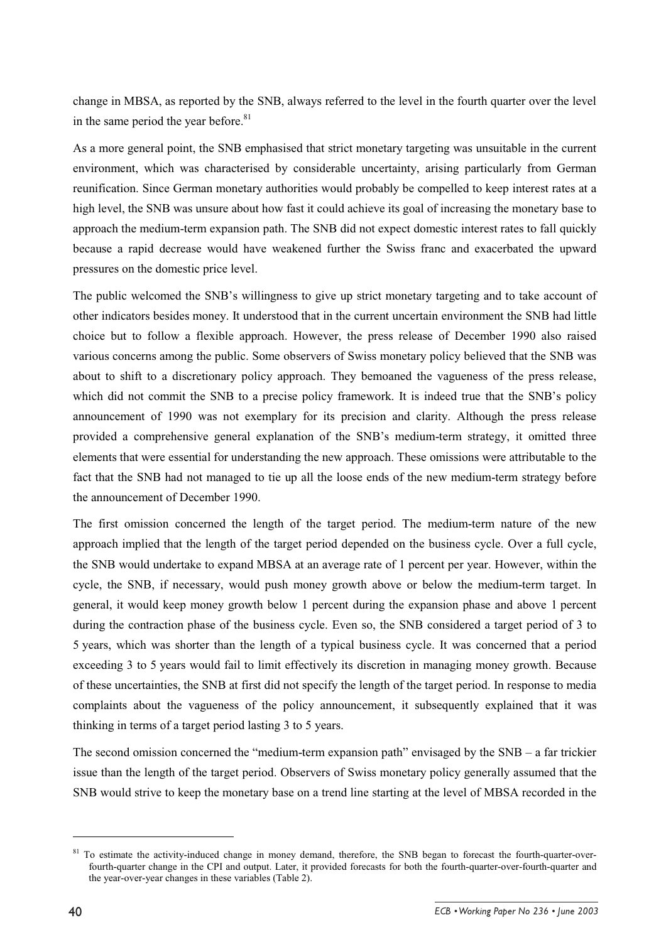change in MBSA, as reported by the SNB, always referred to the level in the fourth quarter over the level in the same period the year before. $81$ 

As a more general point, the SNB emphasised that strict monetary targeting was unsuitable in the current environment, which was characterised by considerable uncertainty, arising particularly from German reunification. Since German monetary authorities would probably be compelled to keep interest rates at a high level, the SNB was unsure about how fast it could achieve its goal of increasing the monetary base to approach the medium-term expansion path. The SNB did not expect domestic interest rates to fall quickly because a rapid decrease would have weakened further the Swiss franc and exacerbated the upward pressures on the domestic price level.

The public welcomed the SNB's willingness to give up strict monetary targeting and to take account of other indicators besides money. It understood that in the current uncertain environment the SNB had little choice but to follow a flexible approach. However, the press release of December 1990 also raised various concerns among the public. Some observers of Swiss monetary policy believed that the SNB was about to shift to a discretionary policy approach. They bemoaned the vagueness of the press release, which did not commit the SNB to a precise policy framework. It is indeed true that the SNB's policy announcement of 1990 was not exemplary for its precision and clarity. Although the press release provided a comprehensive general explanation of the SNB's medium-term strategy, it omitted three elements that were essential for understanding the new approach. These omissions were attributable to the fact that the SNB had not managed to tie up all the loose ends of the new medium-term strategy before the announcement of December 1990.

The first omission concerned the length of the target period. The medium-term nature of the new approach implied that the length of the target period depended on the business cycle. Over a full cycle, the SNB would undertake to expand MBSA at an average rate of 1 percent per year. However, within the cycle, the SNB, if necessary, would push money growth above or below the medium-term target. In general, it would keep money growth below 1 percent during the expansion phase and above 1 percent during the contraction phase of the business cycle. Even so, the SNB considered a target period of 3 to 5 years, which was shorter than the length of a typical business cycle. It was concerned that a period exceeding 3 to 5 years would fail to limit effectively its discretion in managing money growth. Because of these uncertainties, the SNB at first did not specify the length of the target period. In response to media complaints about the vagueness of the policy announcement, it subsequently explained that it was thinking in terms of a target period lasting 3 to 5 years.

The second omission concerned the "medium-term expansion path" envisaged by the SNB – a far trickier issue than the length of the target period. Observers of Swiss monetary policy generally assumed that the SNB would strive to keep the monetary base on a trend line starting at the level of MBSA recorded in the

 $81$  To estimate the activity-induced change in money demand, therefore, the SNB began to forecast the fourth-quarter-overfourth-quarter change in the CPI and output. Later, it provided forecasts for both the fourth-quarter-over-fourth-quarter and the year-over-year changes in these variables (Table 2).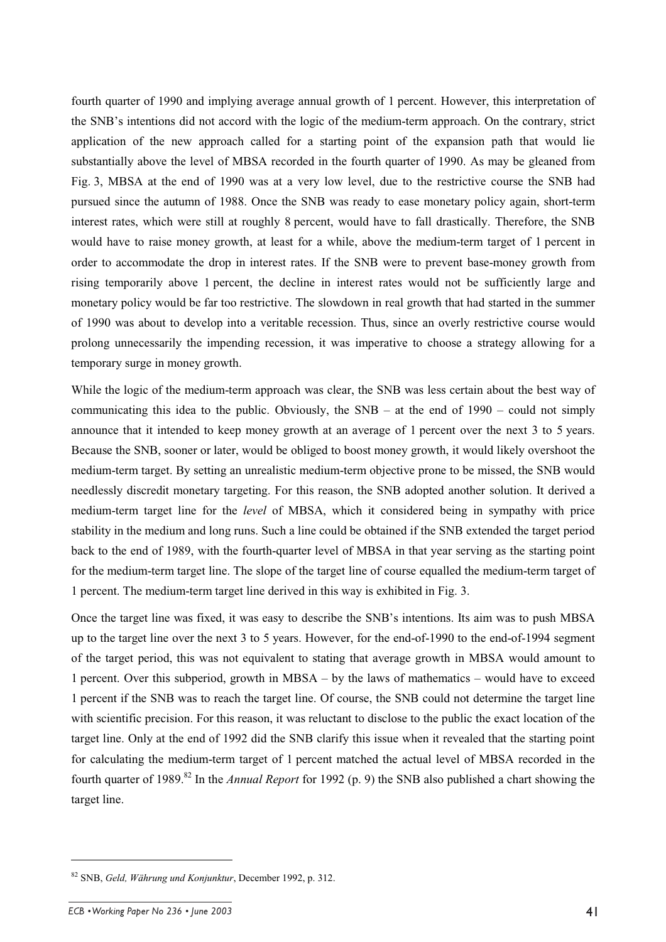fourth quarter of 1990 and implying average annual growth of 1 percent. However, this interpretation of the SNB's intentions did not accord with the logic of the medium-term approach. On the contrary, strict application of the new approach called for a starting point of the expansion path that would lie substantially above the level of MBSA recorded in the fourth quarter of 1990. As may be gleaned from Fig. 3, MBSA at the end of 1990 was at a very low level, due to the restrictive course the SNB had pursued since the autumn of 1988. Once the SNB was ready to ease monetary policy again, short-term interest rates, which were still at roughly 8 percent, would have to fall drastically. Therefore, the SNB would have to raise money growth, at least for a while, above the medium-term target of 1 percent in order to accommodate the drop in interest rates. If the SNB were to prevent base-money growth from rising temporarily above 1 percent, the decline in interest rates would not be sufficiently large and monetary policy would be far too restrictive. The slowdown in real growth that had started in the summer of 1990 was about to develop into a veritable recession. Thus, since an overly restrictive course would prolong unnecessarily the impending recession, it was imperative to choose a strategy allowing for a temporary surge in money growth.

While the logic of the medium-term approach was clear, the SNB was less certain about the best way of communicating this idea to the public. Obviously, the  $SNB - at$  the end of 1990 – could not simply announce that it intended to keep money growth at an average of 1 percent over the next 3 to 5 years. Because the SNB, sooner or later, would be obliged to boost money growth, it would likely overshoot the medium-term target. By setting an unrealistic medium-term objective prone to be missed, the SNB would needlessly discredit monetary targeting. For this reason, the SNB adopted another solution. It derived a medium-term target line for the *level* of MBSA, which it considered being in sympathy with price stability in the medium and long runs. Such a line could be obtained if the SNB extended the target period back to the end of 1989, with the fourth-quarter level of MBSA in that year serving as the starting point for the medium-term target line. The slope of the target line of course equalled the medium-term target of 1 percent. The medium-term target line derived in this way is exhibited in Fig. 3.

Once the target line was fixed, it was easy to describe the SNB's intentions. Its aim was to push MBSA up to the target line over the next 3 to 5 years. However, for the end-of-1990 to the end-of-1994 segment of the target period, this was not equivalent to stating that average growth in MBSA would amount to 1 percent. Over this subperiod, growth in MBSA – by the laws of mathematics – would have to exceed 1 percent if the SNB was to reach the target line. Of course, the SNB could not determine the target line with scientific precision. For this reason, it was reluctant to disclose to the public the exact location of the target line. Only at the end of 1992 did the SNB clarify this issue when it revealed that the starting point for calculating the medium-term target of 1 percent matched the actual level of MBSA recorded in the fourth quarter of 1989.<sup>82</sup> In the *Annual Report* for 1992 (p. 9) the SNB also published a chart showing the target line.

<sup>82</sup> SNB, *Geld, Währung und Konjunktur*, December 1992, p. 312.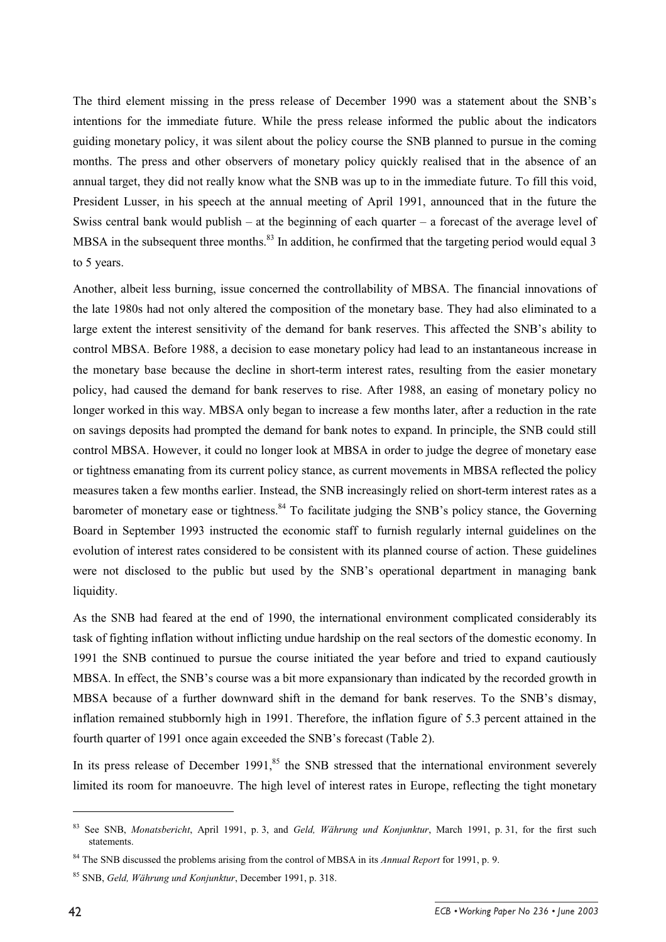The third element missing in the press release of December 1990 was a statement about the SNB's intentions for the immediate future. While the press release informed the public about the indicators guiding monetary policy, it was silent about the policy course the SNB planned to pursue in the coming months. The press and other observers of monetary policy quickly realised that in the absence of an annual target, they did not really know what the SNB was up to in the immediate future. To fill this void, President Lusser, in his speech at the annual meeting of April 1991, announced that in the future the Swiss central bank would publish – at the beginning of each quarter – a forecast of the average level of MBSA in the subsequent three months.<sup>83</sup> In addition, he confirmed that the targeting period would equal 3 to 5 years.

Another, albeit less burning, issue concerned the controllability of MBSA. The financial innovations of the late 1980s had not only altered the composition of the monetary base. They had also eliminated to a large extent the interest sensitivity of the demand for bank reserves. This affected the SNB's ability to control MBSA. Before 1988, a decision to ease monetary policy had lead to an instantaneous increase in the monetary base because the decline in short-term interest rates, resulting from the easier monetary policy, had caused the demand for bank reserves to rise. After 1988, an easing of monetary policy no longer worked in this way. MBSA only began to increase a few months later, after a reduction in the rate on savings deposits had prompted the demand for bank notes to expand. In principle, the SNB could still control MBSA. However, it could no longer look at MBSA in order to judge the degree of monetary ease or tightness emanating from its current policy stance, as current movements in MBSA reflected the policy measures taken a few months earlier. Instead, the SNB increasingly relied on short-term interest rates as a barometer of monetary ease or tightness.<sup>84</sup> To facilitate judging the SNB's policy stance, the Governing Board in September 1993 instructed the economic staff to furnish regularly internal guidelines on the evolution of interest rates considered to be consistent with its planned course of action. These guidelines were not disclosed to the public but used by the SNB's operational department in managing bank liquidity.

As the SNB had feared at the end of 1990, the international environment complicated considerably its task of fighting inflation without inflicting undue hardship on the real sectors of the domestic economy. In 1991 the SNB continued to pursue the course initiated the year before and tried to expand cautiously MBSA. In effect, the SNB's course was a bit more expansionary than indicated by the recorded growth in MBSA because of a further downward shift in the demand for bank reserves. To the SNB's dismay, inflation remained stubbornly high in 1991. Therefore, the inflation figure of 5.3 percent attained in the fourth quarter of 1991 once again exceeded the SNB's forecast (Table 2).

In its press release of December  $1991$ ,<sup>85</sup> the SNB stressed that the international environment severely limited its room for manoeuvre. The high level of interest rates in Europe, reflecting the tight monetary

<sup>83</sup> See SNB, *Monatsbericht*, April 1991, p. 3, and *Geld, Währung und Konjunktur*, March 1991, p. 31, for the first such statements.

<sup>84</sup> The SNB discussed the problems arising from the control of MBSA in its *Annual Report* for 1991, p. 9.

<sup>85</sup> SNB, *Geld, Währung und Konjunktur*, December 1991, p. 318.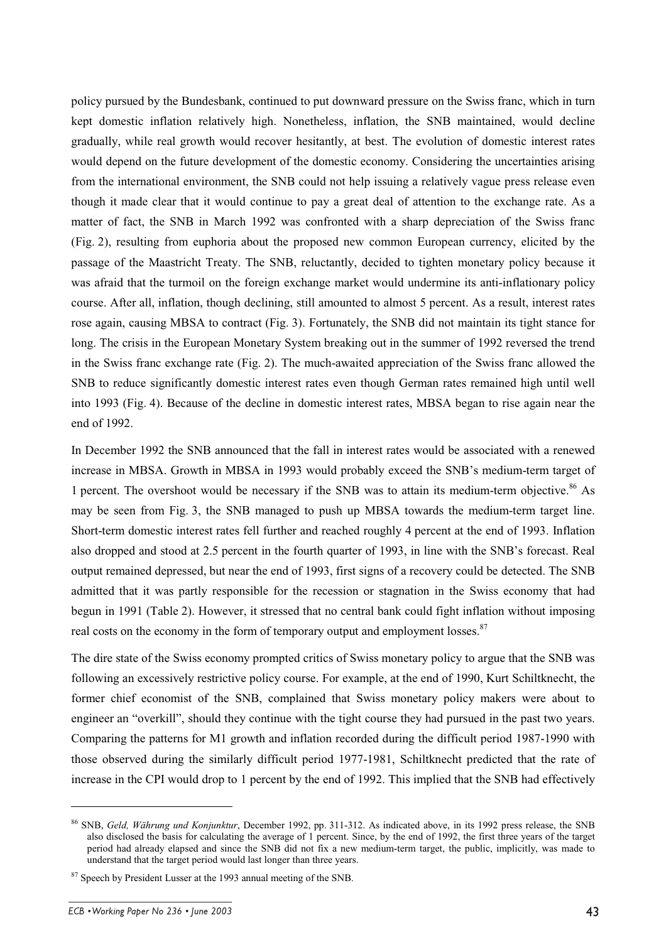policy pursued by the Bundesbank, continued to put downward pressure on the Swiss franc, which in turn kept domestic inflation relatively high. Nonetheless, inflation, the SNB maintained, would decline gradually, while real growth would recover hesitantly, at best. The evolution of domestic interest rates would depend on the future development of the domestic economy. Considering the uncertainties arising from the international environment, the SNB could not help issuing a relatively vague press release even though it made clear that it would continue to pay a great deal of attention to the exchange rate. As a matter of fact, the SNB in March 1992 was confronted with a sharp depreciation of the Swiss franc (Fig. 2), resulting from euphoria about the proposed new common European currency, elicited by the passage of the Maastricht Treaty. The SNB, reluctantly, decided to tighten monetary policy because it was afraid that the turmoil on the foreign exchange market would undermine its anti-inflationary policy course. After all, inflation, though declining, still amounted to almost 5 percent. As a result, interest rates rose again, causing MBSA to contract (Fig. 3). Fortunately, the SNB did not maintain its tight stance for long. The crisis in the European Monetary System breaking out in the summer of 1992 reversed the trend in the Swiss franc exchange rate (Fig. 2). The much-awaited appreciation of the Swiss franc allowed the SNB to reduce significantly domestic interest rates even though German rates remained high until well into 1993 (Fig. 4). Because of the decline in domestic interest rates, MBSA began to rise again near the end of 1992.

In December 1992 the SNB announced that the fall in interest rates would be associated with a renewed increase in MBSA. Growth in MBSA in 1993 would probably exceed the SNB's medium-term target of 1 percent. The overshoot would be necessary if the SNB was to attain its medium-term objective.<sup>86</sup> As may be seen from Fig. 3, the SNB managed to push up MBSA towards the medium-term target line. Short-term domestic interest rates fell further and reached roughly 4 percent at the end of 1993. Inflation also dropped and stood at 2.5 percent in the fourth quarter of 1993, in line with the SNB's forecast. Real output remained depressed, but near the end of 1993, first signs of a recovery could be detected. The SNB admitted that it was partly responsible for the recession or stagnation in the Swiss economy that had begun in 1991 (Table 2). However, it stressed that no central bank could fight inflation without imposing real costs on the economy in the form of temporary output and employment losses.<sup>87</sup>

The dire state of the Swiss economy prompted critics of Swiss monetary policy to argue that the SNB was following an excessively restrictive policy course. For example, at the end of 1990, Kurt Schiltknecht, the former chief economist of the SNB, complained that Swiss monetary policy makers were about to engineer an "overkill", should they continue with the tight course they had pursued in the past two years. Comparing the patterns for M1 growth and inflation recorded during the difficult period 1987-1990 with those observed during the similarly difficult period 1977-1981, Schiltknecht predicted that the rate of increase in the CPI would drop to 1 percent by the end of 1992. This implied that the SNB had effectively

<sup>86</sup> SNB, *Geld, Währung und Konjunktur*, December 1992, pp. 311-312. As indicated above, in its 1992 press release, the SNB also disclosed the basis for calculating the average of 1 percent. Since, by the end of 1992, the first three years of the target period had already elapsed and since the SNB did not fix a new medium-term target, the public, implicitly, was made to understand that the target period would last longer than three years.

<sup>&</sup>lt;sup>87</sup> Speech by President Lusser at the 1993 annual meeting of the SNB.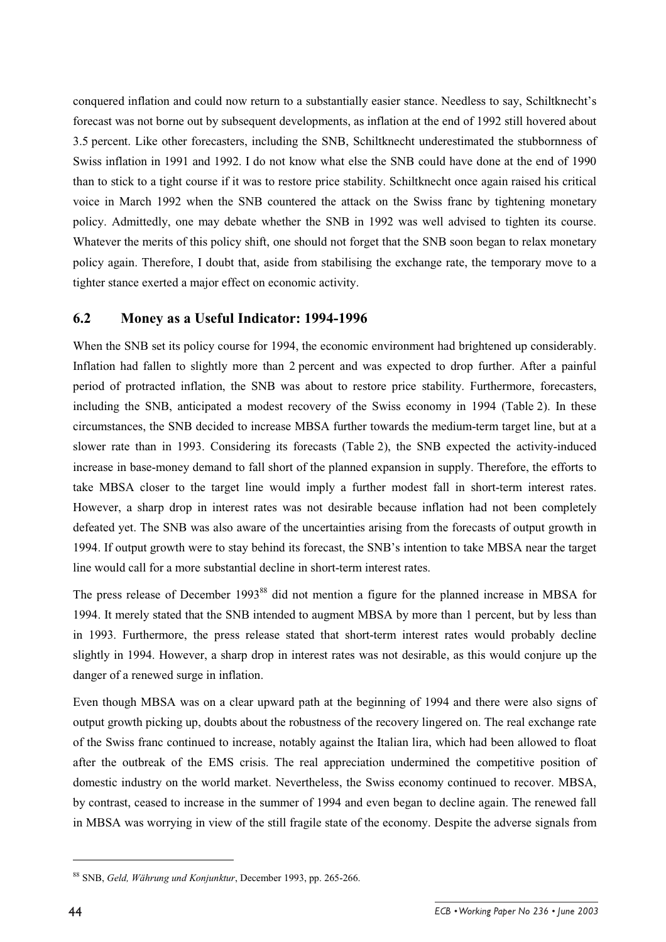conquered inflation and could now return to a substantially easier stance. Needless to say, Schiltknecht's forecast was not borne out by subsequent developments, as inflation at the end of 1992 still hovered about 3.5 percent. Like other forecasters, including the SNB, Schiltknecht underestimated the stubbornness of Swiss inflation in 1991 and 1992. I do not know what else the SNB could have done at the end of 1990 than to stick to a tight course if it was to restore price stability. Schiltknecht once again raised his critical voice in March 1992 when the SNB countered the attack on the Swiss franc by tightening monetary policy. Admittedly, one may debate whether the SNB in 1992 was well advised to tighten its course. Whatever the merits of this policy shift, one should not forget that the SNB soon began to relax monetary policy again. Therefore, I doubt that, aside from stabilising the exchange rate, the temporary move to a tighter stance exerted a major effect on economic activity.

#### **6.2 Money as a Useful Indicator: 1994-1996**

When the SNB set its policy course for 1994, the economic environment had brightened up considerably. Inflation had fallen to slightly more than 2 percent and was expected to drop further. After a painful period of protracted inflation, the SNB was about to restore price stability. Furthermore, forecasters, including the SNB, anticipated a modest recovery of the Swiss economy in 1994 (Table 2). In these circumstances, the SNB decided to increase MBSA further towards the medium-term target line, but at a slower rate than in 1993. Considering its forecasts (Table 2), the SNB expected the activity-induced increase in base-money demand to fall short of the planned expansion in supply. Therefore, the efforts to take MBSA closer to the target line would imply a further modest fall in short-term interest rates. However, a sharp drop in interest rates was not desirable because inflation had not been completely defeated yet. The SNB was also aware of the uncertainties arising from the forecasts of output growth in 1994. If output growth were to stay behind its forecast, the SNB's intention to take MBSA near the target line would call for a more substantial decline in short-term interest rates.

The press release of December 1993<sup>88</sup> did not mention a figure for the planned increase in MBSA for 1994. It merely stated that the SNB intended to augment MBSA by more than 1 percent, but by less than in 1993. Furthermore, the press release stated that short-term interest rates would probably decline slightly in 1994. However, a sharp drop in interest rates was not desirable, as this would conjure up the danger of a renewed surge in inflation.

Even though MBSA was on a clear upward path at the beginning of 1994 and there were also signs of output growth picking up, doubts about the robustness of the recovery lingered on. The real exchange rate of the Swiss franc continued to increase, notably against the Italian lira, which had been allowed to float after the outbreak of the EMS crisis. The real appreciation undermined the competitive position of domestic industry on the world market. Nevertheless, the Swiss economy continued to recover. MBSA, by contrast, ceased to increase in the summer of 1994 and even began to decline again. The renewed fall in MBSA was worrying in view of the still fragile state of the economy. Despite the adverse signals from

<sup>88</sup> SNB, *Geld, Währung und Konjunktur*, December 1993, pp. 265-266.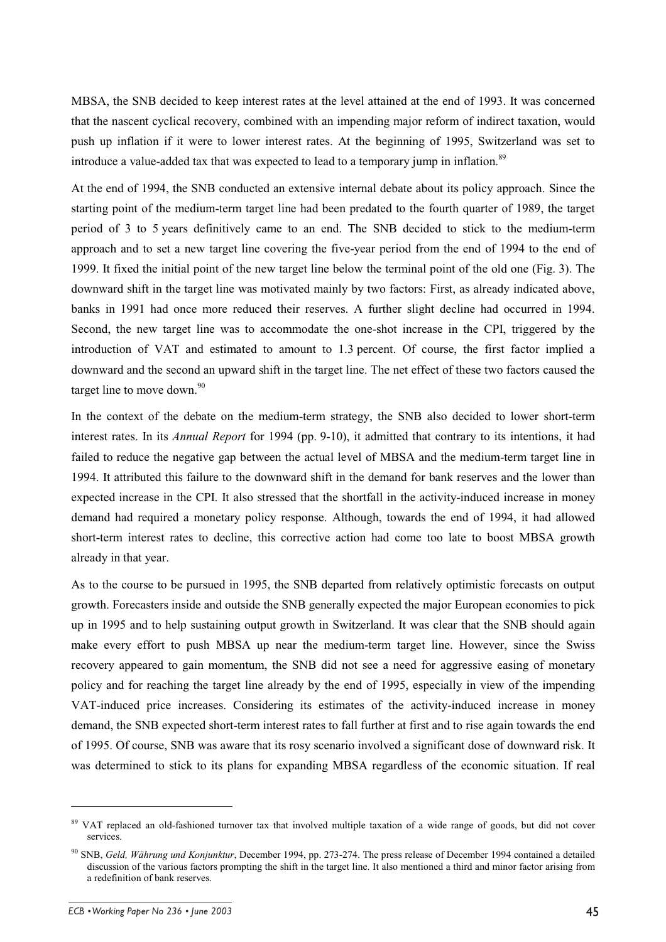MBSA, the SNB decided to keep interest rates at the level attained at the end of 1993. It was concerned that the nascent cyclical recovery, combined with an impending major reform of indirect taxation, would push up inflation if it were to lower interest rates. At the beginning of 1995, Switzerland was set to introduce a value-added tax that was expected to lead to a temporary jump in inflation.<sup>89</sup>

At the end of 1994, the SNB conducted an extensive internal debate about its policy approach. Since the starting point of the medium-term target line had been predated to the fourth quarter of 1989, the target period of 3 to 5 years definitively came to an end. The SNB decided to stick to the medium-term approach and to set a new target line covering the five-year period from the end of 1994 to the end of 1999. It fixed the initial point of the new target line below the terminal point of the old one (Fig. 3). The downward shift in the target line was motivated mainly by two factors: First, as already indicated above, banks in 1991 had once more reduced their reserves. A further slight decline had occurred in 1994. Second, the new target line was to accommodate the one-shot increase in the CPI, triggered by the introduction of VAT and estimated to amount to 1.3 percent. Of course, the first factor implied a downward and the second an upward shift in the target line. The net effect of these two factors caused the target line to move down. $90$ 

In the context of the debate on the medium-term strategy, the SNB also decided to lower short-term interest rates. In its *Annual Report* for 1994 (pp. 9-10), it admitted that contrary to its intentions, it had failed to reduce the negative gap between the actual level of MBSA and the medium-term target line in 1994. It attributed this failure to the downward shift in the demand for bank reserves and the lower than expected increase in the CPI. It also stressed that the shortfall in the activity-induced increase in money demand had required a monetary policy response. Although, towards the end of 1994, it had allowed short-term interest rates to decline, this corrective action had come too late to boost MBSA growth already in that year.

As to the course to be pursued in 1995, the SNB departed from relatively optimistic forecasts on output growth. Forecasters inside and outside the SNB generally expected the major European economies to pick up in 1995 and to help sustaining output growth in Switzerland. It was clear that the SNB should again make every effort to push MBSA up near the medium-term target line. However, since the Swiss recovery appeared to gain momentum, the SNB did not see a need for aggressive easing of monetary policy and for reaching the target line already by the end of 1995, especially in view of the impending VAT-induced price increases. Considering its estimates of the activity-induced increase in money demand, the SNB expected short-term interest rates to fall further at first and to rise again towards the end of 1995. Of course, SNB was aware that its rosy scenario involved a significant dose of downward risk. It was determined to stick to its plans for expanding MBSA regardless of the economic situation. If real

<sup>&</sup>lt;sup>89</sup> VAT replaced an old-fashioned turnover tax that involved multiple taxation of a wide range of goods, but did not cover services.

<sup>90</sup> SNB, *Geld, Währung und Konjunktur*, December 1994, pp. 273-274. The press release of December 1994 contained a detailed discussion of the various factors prompting the shift in the target line. It also mentioned a third and minor factor arising from a redefinition of bank reserves.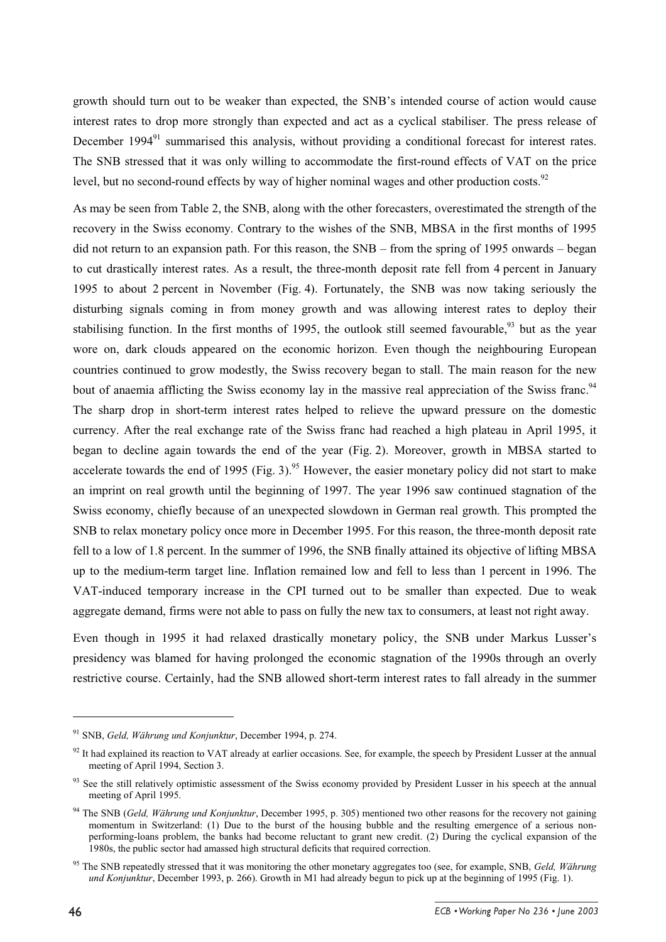growth should turn out to be weaker than expected, the SNB's intended course of action would cause interest rates to drop more strongly than expected and act as a cyclical stabiliser. The press release of December 1994<sup>91</sup> summarised this analysis, without providing a conditional forecast for interest rates. The SNB stressed that it was only willing to accommodate the first-round effects of VAT on the price level, but no second-round effects by way of higher nominal wages and other production costs.<sup>92</sup>

As may be seen from Table 2, the SNB, along with the other forecasters, overestimated the strength of the recovery in the Swiss economy. Contrary to the wishes of the SNB, MBSA in the first months of 1995 did not return to an expansion path. For this reason, the SNB – from the spring of 1995 onwards – began to cut drastically interest rates. As a result, the three-month deposit rate fell from 4 percent in January 1995 to about 2 percent in November (Fig. 4). Fortunately, the SNB was now taking seriously the disturbing signals coming in from money growth and was allowing interest rates to deploy their stabilising function. In the first months of 1995, the outlook still seemed favourable,  $93$  but as the year wore on, dark clouds appeared on the economic horizon. Even though the neighbouring European countries continued to grow modestly, the Swiss recovery began to stall. The main reason for the new bout of anaemia afflicting the Swiss economy lay in the massive real appreciation of the Swiss franc.<sup>94</sup> The sharp drop in short-term interest rates helped to relieve the upward pressure on the domestic currency. After the real exchange rate of the Swiss franc had reached a high plateau in April 1995, it began to decline again towards the end of the year (Fig. 2). Moreover, growth in MBSA started to accelerate towards the end of 1995 (Fig. 3).<sup>95</sup> However, the easier monetary policy did not start to make an imprint on real growth until the beginning of 1997. The year 1996 saw continued stagnation of the Swiss economy, chiefly because of an unexpected slowdown in German real growth. This prompted the SNB to relax monetary policy once more in December 1995. For this reason, the three-month deposit rate fell to a low of 1.8 percent. In the summer of 1996, the SNB finally attained its objective of lifting MBSA up to the medium-term target line. Inflation remained low and fell to less than 1 percent in 1996. The VAT-induced temporary increase in the CPI turned out to be smaller than expected. Due to weak aggregate demand, firms were not able to pass on fully the new tax to consumers, at least not right away.

Even though in 1995 it had relaxed drastically monetary policy, the SNB under Markus Lusser's presidency was blamed for having prolonged the economic stagnation of the 1990s through an overly restrictive course. Certainly, had the SNB allowed short-term interest rates to fall already in the summer

<sup>91</sup> SNB, *Geld, Währung und Konjunktur*, December 1994, p. 274.

 $92$  It had explained its reaction to VAT already at earlier occasions. See, for example, the speech by President Lusser at the annual meeting of April 1994, Section 3.

<sup>&</sup>lt;sup>93</sup> See the still relatively optimistic assessment of the Swiss economy provided by President Lusser in his speech at the annual meeting of April 1995.

<sup>&</sup>lt;sup>94</sup> The SNB (*Geld, Währung und Konjunktur*, December 1995, p. 305) mentioned two other reasons for the recovery not gaining momentum in Switzerland: (1) Due to the burst of the housing bubble and the resulting emergence of a serious nonperforming-loans problem, the banks had become reluctant to grant new credit. (2) During the cyclical expansion of the 1980s, the public sector had amassed high structural deficits that required correction.

<sup>95</sup> The SNB repeatedly stressed that it was monitoring the other monetary aggregates too (see, for example, SNB, *Geld, Währung und Konjunktur*, December 1993, p. 266). Growth in M1 had already begun to pick up at the beginning of 1995 (Fig. 1).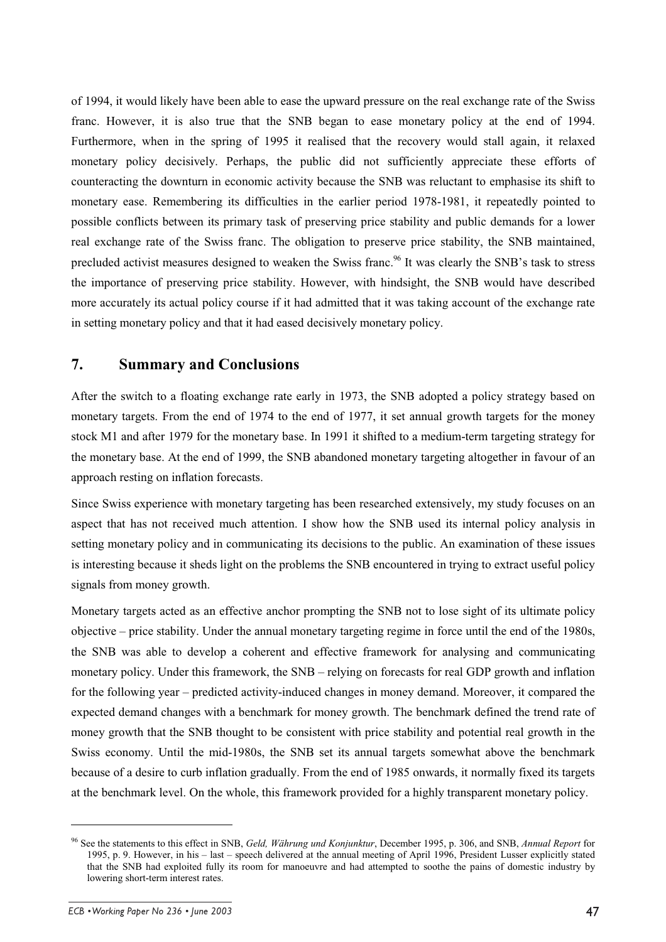of 1994, it would likely have been able to ease the upward pressure on the real exchange rate of the Swiss franc. However, it is also true that the SNB began to ease monetary policy at the end of 1994. Furthermore, when in the spring of 1995 it realised that the recovery would stall again, it relaxed monetary policy decisively. Perhaps, the public did not sufficiently appreciate these efforts of counteracting the downturn in economic activity because the SNB was reluctant to emphasise its shift to monetary ease. Remembering its difficulties in the earlier period 1978-1981, it repeatedly pointed to possible conflicts between its primary task of preserving price stability and public demands for a lower real exchange rate of the Swiss franc. The obligation to preserve price stability, the SNB maintained, precluded activist measures designed to weaken the Swiss franc.<sup>96</sup> It was clearly the SNB's task to stress the importance of preserving price stability. However, with hindsight, the SNB would have described more accurately its actual policy course if it had admitted that it was taking account of the exchange rate in setting monetary policy and that it had eased decisively monetary policy.

### **7. Summary and Conclusions**

After the switch to a floating exchange rate early in 1973, the SNB adopted a policy strategy based on monetary targets. From the end of 1974 to the end of 1977, it set annual growth targets for the money stock M1 and after 1979 for the monetary base. In 1991 it shifted to a medium-term targeting strategy for the monetary base. At the end of 1999, the SNB abandoned monetary targeting altogether in favour of an approach resting on inflation forecasts.

Since Swiss experience with monetary targeting has been researched extensively, my study focuses on an aspect that has not received much attention. I show how the SNB used its internal policy analysis in setting monetary policy and in communicating its decisions to the public. An examination of these issues is interesting because it sheds light on the problems the SNB encountered in trying to extract useful policy signals from money growth.

Monetary targets acted as an effective anchor prompting the SNB not to lose sight of its ultimate policy objective – price stability. Under the annual monetary targeting regime in force until the end of the 1980s, the SNB was able to develop a coherent and effective framework for analysing and communicating monetary policy. Under this framework, the SNB – relying on forecasts for real GDP growth and inflation for the following year – predicted activity-induced changes in money demand. Moreover, it compared the expected demand changes with a benchmark for money growth. The benchmark defined the trend rate of money growth that the SNB thought to be consistent with price stability and potential real growth in the Swiss economy. Until the mid-1980s, the SNB set its annual targets somewhat above the benchmark because of a desire to curb inflation gradually. From the end of 1985 onwards, it normally fixed its targets at the benchmark level. On the whole, this framework provided for a highly transparent monetary policy.

<sup>96</sup> See the statements to this effect in SNB, *Geld, Währung und Konjunktur*, December 1995, p. 306, and SNB, *Annual Report* for 1995, p. 9. However, in his – last – speech delivered at the annual meeting of April 1996, President Lusser explicitly stated that the SNB had exploited fully its room for manoeuvre and had attempted to soothe the pains of domestic industry by lowering short-term interest rates.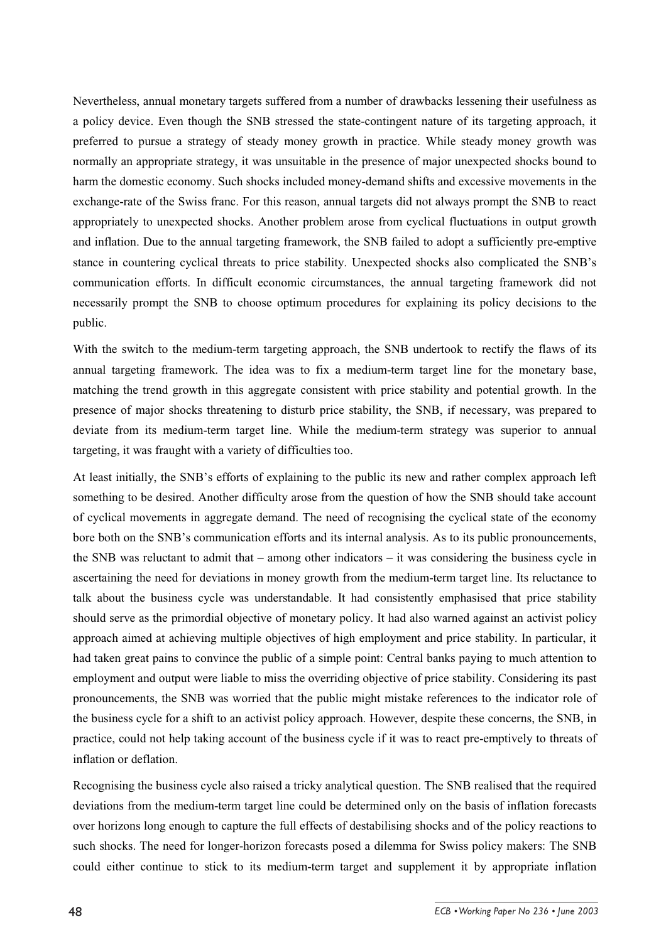Nevertheless, annual monetary targets suffered from a number of drawbacks lessening their usefulness as a policy device. Even though the SNB stressed the state-contingent nature of its targeting approach, it preferred to pursue a strategy of steady money growth in practice. While steady money growth was normally an appropriate strategy, it was unsuitable in the presence of major unexpected shocks bound to harm the domestic economy. Such shocks included money-demand shifts and excessive movements in the exchange-rate of the Swiss franc. For this reason, annual targets did not always prompt the SNB to react appropriately to unexpected shocks. Another problem arose from cyclical fluctuations in output growth and inflation. Due to the annual targeting framework, the SNB failed to adopt a sufficiently pre-emptive stance in countering cyclical threats to price stability. Unexpected shocks also complicated the SNB's communication efforts. In difficult economic circumstances, the annual targeting framework did not necessarily prompt the SNB to choose optimum procedures for explaining its policy decisions to the public.

With the switch to the medium-term targeting approach, the SNB undertook to rectify the flaws of its annual targeting framework. The idea was to fix a medium-term target line for the monetary base, matching the trend growth in this aggregate consistent with price stability and potential growth. In the presence of major shocks threatening to disturb price stability, the SNB, if necessary, was prepared to deviate from its medium-term target line. While the medium-term strategy was superior to annual targeting, it was fraught with a variety of difficulties too.

At least initially, the SNB's efforts of explaining to the public its new and rather complex approach left something to be desired. Another difficulty arose from the question of how the SNB should take account of cyclical movements in aggregate demand. The need of recognising the cyclical state of the economy bore both on the SNB's communication efforts and its internal analysis. As to its public pronouncements, the SNB was reluctant to admit that – among other indicators – it was considering the business cycle in ascertaining the need for deviations in money growth from the medium-term target line. Its reluctance to talk about the business cycle was understandable. It had consistently emphasised that price stability should serve as the primordial objective of monetary policy. It had also warned against an activist policy approach aimed at achieving multiple objectives of high employment and price stability. In particular, it had taken great pains to convince the public of a simple point: Central banks paying to much attention to employment and output were liable to miss the overriding objective of price stability. Considering its past pronouncements, the SNB was worried that the public might mistake references to the indicator role of the business cycle for a shift to an activist policy approach. However, despite these concerns, the SNB, in practice, could not help taking account of the business cycle if it was to react pre-emptively to threats of inflation or deflation.

Recognising the business cycle also raised a tricky analytical question. The SNB realised that the required deviations from the medium-term target line could be determined only on the basis of inflation forecasts over horizons long enough to capture the full effects of destabilising shocks and of the policy reactions to such shocks. The need for longer-horizon forecasts posed a dilemma for Swiss policy makers: The SNB could either continue to stick to its medium-term target and supplement it by appropriate inflation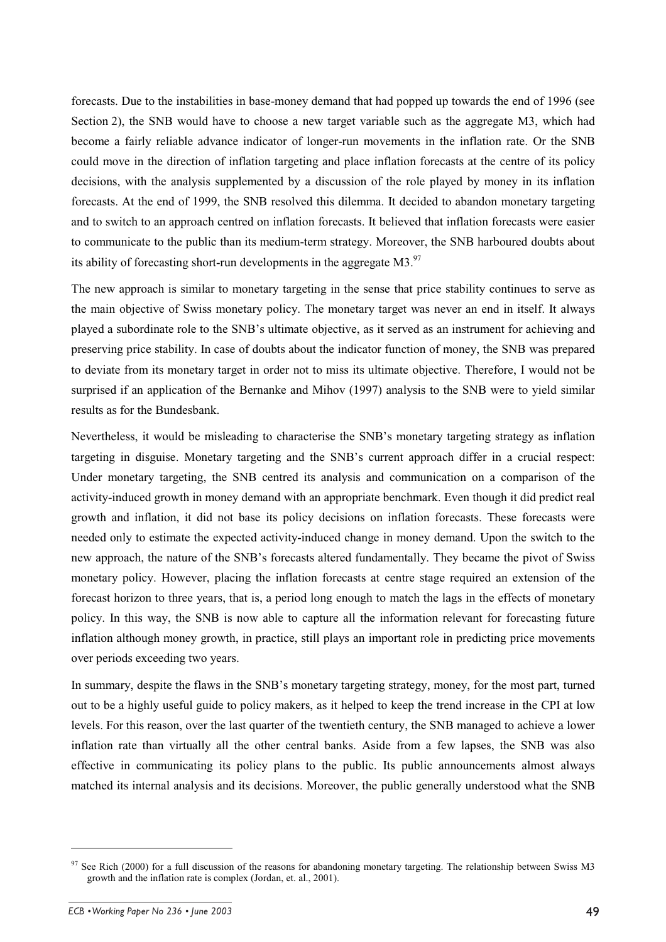forecasts. Due to the instabilities in base-money demand that had popped up towards the end of 1996 (see Section 2), the SNB would have to choose a new target variable such as the aggregate M3, which had become a fairly reliable advance indicator of longer-run movements in the inflation rate. Or the SNB could move in the direction of inflation targeting and place inflation forecasts at the centre of its policy decisions, with the analysis supplemented by a discussion of the role played by money in its inflation forecasts. At the end of 1999, the SNB resolved this dilemma. It decided to abandon monetary targeting and to switch to an approach centred on inflation forecasts. It believed that inflation forecasts were easier to communicate to the public than its medium-term strategy. Moreover, the SNB harboured doubts about its ability of forecasting short-run developments in the aggregate  $M3$ <sup>97</sup>

The new approach is similar to monetary targeting in the sense that price stability continues to serve as the main objective of Swiss monetary policy. The monetary target was never an end in itself. It always played a subordinate role to the SNB's ultimate objective, as it served as an instrument for achieving and preserving price stability. In case of doubts about the indicator function of money, the SNB was prepared to deviate from its monetary target in order not to miss its ultimate objective. Therefore, I would not be surprised if an application of the Bernanke and Mihov (1997) analysis to the SNB were to yield similar results as for the Bundesbank.

Nevertheless, it would be misleading to characterise the SNB's monetary targeting strategy as inflation targeting in disguise. Monetary targeting and the SNB's current approach differ in a crucial respect: Under monetary targeting, the SNB centred its analysis and communication on a comparison of the activity-induced growth in money demand with an appropriate benchmark. Even though it did predict real growth and inflation, it did not base its policy decisions on inflation forecasts. These forecasts were needed only to estimate the expected activity-induced change in money demand. Upon the switch to the new approach, the nature of the SNB's forecasts altered fundamentally. They became the pivot of Swiss monetary policy. However, placing the inflation forecasts at centre stage required an extension of the forecast horizon to three years, that is, a period long enough to match the lags in the effects of monetary policy. In this way, the SNB is now able to capture all the information relevant for forecasting future inflation although money growth, in practice, still plays an important role in predicting price movements over periods exceeding two years.

In summary, despite the flaws in the SNB's monetary targeting strategy, money, for the most part, turned out to be a highly useful guide to policy makers, as it helped to keep the trend increase in the CPI at low levels. For this reason, over the last quarter of the twentieth century, the SNB managed to achieve a lower inflation rate than virtually all the other central banks. Aside from a few lapses, the SNB was also effective in communicating its policy plans to the public. Its public announcements almost always matched its internal analysis and its decisions. Moreover, the public generally understood what the SNB

<sup>97</sup> See Rich (2000) for a full discussion of the reasons for abandoning monetary targeting. The relationship between Swiss M3 growth and the inflation rate is complex (Jordan, et. al., 2001).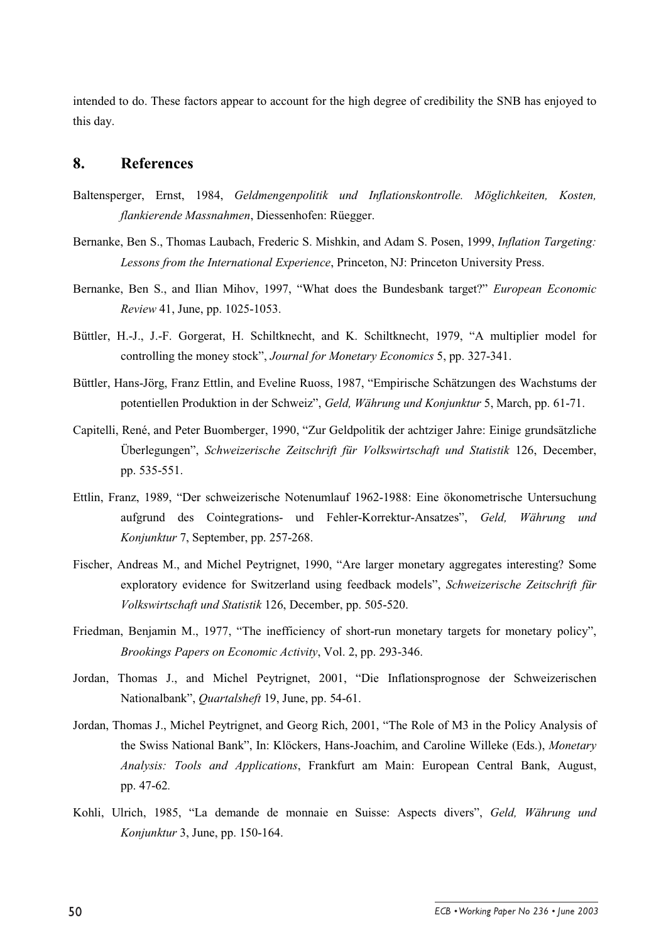intended to do. These factors appear to account for the high degree of credibility the SNB has enjoyed to this day.

#### **8. References**

- Baltensperger, Ernst, 1984, *Geldmengenpolitik und Inflationskontrolle. Möglichkeiten, Kosten, flankierende Massnahmen*, Diessenhofen: Rüegger.
- Bernanke, Ben S., Thomas Laubach, Frederic S. Mishkin, and Adam S. Posen, 1999, *Inflation Targeting: Lessons from the International Experience*, Princeton, NJ: Princeton University Press.
- Bernanke, Ben S., and Ilian Mihov, 1997, "What does the Bundesbank target?" *European Economic Review* 41, June, pp. 1025-1053.
- Büttler, H.-J., J.-F. Gorgerat, H. Schiltknecht, and K. Schiltknecht, 1979, "A multiplier model for controlling the money stock", *Journal for Monetary Economics* 5, pp. 327-341.
- Büttler, Hans-Jörg, Franz Ettlin, and Eveline Ruoss, 1987, "Empirische Schätzungen des Wachstums der potentiellen Produktion in der Schweiz", *Geld, Währung und Konjunktur* 5, March, pp. 61-71.
- Capitelli, René, and Peter Buomberger, 1990, "Zur Geldpolitik der achtziger Jahre: Einige grundsätzliche Überlegungen", *Schweizerische Zeitschrift für Volkswirtschaft und Statistik* 126, December, pp. 535-551.
- Ettlin, Franz, 1989, "Der schweizerische Notenumlauf 1962-1988: Eine ökonometrische Untersuchung aufgrund des Cointegrations- und Fehler-Korrektur-Ansatzes", *Geld, Währung und Konjunktur* 7, September, pp. 257-268.
- Fischer, Andreas M., and Michel Peytrignet, 1990, "Are larger monetary aggregates interesting? Some exploratory evidence for Switzerland using feedback models", *Schweizerische Zeitschrift für Volkswirtschaft und Statistik* 126, December, pp. 505-520.
- Friedman, Benjamin M., 1977, "The inefficiency of short-run monetary targets for monetary policy", *Brookings Papers on Economic Activity*, Vol. 2, pp. 293-346.
- Jordan, Thomas J., and Michel Peytrignet, 2001, "Die Inflationsprognose der Schweizerischen Nationalbank", *Quartalsheft* 19, June, pp. 54-61.
- Jordan, Thomas J., Michel Peytrignet, and Georg Rich, 2001, "The Role of M3 in the Policy Analysis of the Swiss National Bank", In: Klöckers, Hans-Joachim, and Caroline Willeke (Eds.), *Monetary Analysis: Tools and Applications*, Frankfurt am Main: European Central Bank, August, pp. 47-62*.*
- Kohli, Ulrich, 1985, "La demande de monnaie en Suisse: Aspects divers", *Geld, Währung und Konjunktur* 3, June, pp. 150-164.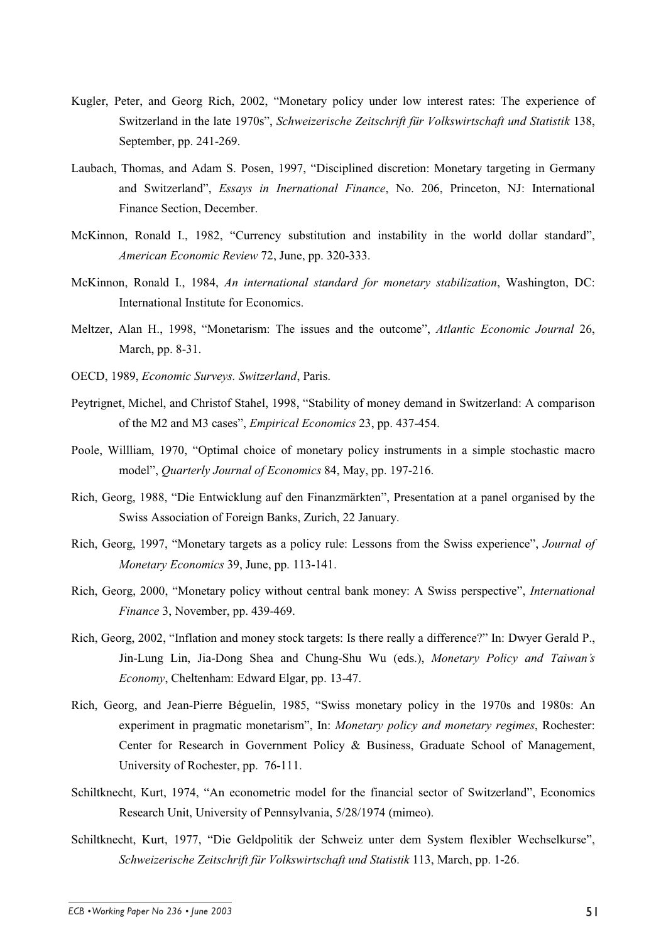- Kugler, Peter, and Georg Rich, 2002, "Monetary policy under low interest rates: The experience of Switzerland in the late 1970s", *Schweizerische Zeitschrift für Volkswirtschaft und Statistik* 138, September, pp. 241-269.
- Laubach, Thomas, and Adam S. Posen, 1997, "Disciplined discretion: Monetary targeting in Germany and Switzerland", *Essays in Inernational Finance*, No. 206, Princeton, NJ: International Finance Section, December.
- McKinnon, Ronald I., 1982, "Currency substitution and instability in the world dollar standard", *American Economic Review* 72, June, pp. 320-333.
- McKinnon, Ronald I., 1984, *An international standard for monetary stabilization*, Washington, DC: International Institute for Economics.
- Meltzer, Alan H., 1998, "Monetarism: The issues and the outcome", *Atlantic Economic Journal* 26, March, pp. 8-31.
- OECD, 1989, *Economic Surveys. Switzerland*, Paris.
- Peytrignet, Michel, and Christof Stahel, 1998, "Stability of money demand in Switzerland: A comparison of the M2 and M3 cases", *Empirical Economics* 23, pp. 437-454.
- Poole, Willliam, 1970, "Optimal choice of monetary policy instruments in a simple stochastic macro model", *Quarterly Journal of Economics* 84, May, pp. 197-216.
- Rich, Georg, 1988, "Die Entwicklung auf den Finanzmärkten", Presentation at a panel organised by the Swiss Association of Foreign Banks, Zurich, 22 January.
- Rich, Georg, 1997, "Monetary targets as a policy rule: Lessons from the Swiss experience", *Journal of Monetary Economics* 39, June, pp. 113-141.
- Rich, Georg, 2000, "Monetary policy without central bank money: A Swiss perspective", *International Finance* 3, November, pp. 439-469.
- Rich, Georg, 2002, "Inflation and money stock targets: Is there really a difference?" In: Dwyer Gerald P., Jin-Lung Lin, Jia-Dong Shea and Chung-Shu Wu (eds.), *Monetary Policy and Taiwan's Economy*, Cheltenham: Edward Elgar, pp. 13-47.
- Rich, Georg, and Jean-Pierre Béguelin, 1985, "Swiss monetary policy in the 1970s and 1980s: An experiment in pragmatic monetarism", In: *Monetary policy and monetary regimes*, Rochester: Center for Research in Government Policy & Business, Graduate School of Management, University of Rochester, pp. 76-111.
- Schiltknecht, Kurt, 1974, "An econometric model for the financial sector of Switzerland", Economics Research Unit, University of Pennsylvania, 5/28/1974 (mimeo).
- Schiltknecht, Kurt, 1977, "Die Geldpolitik der Schweiz unter dem System flexibler Wechselkurse", *Schweizerische Zeitschrift für Volkswirtschaft und Statistik* 113, March, pp. 1-26.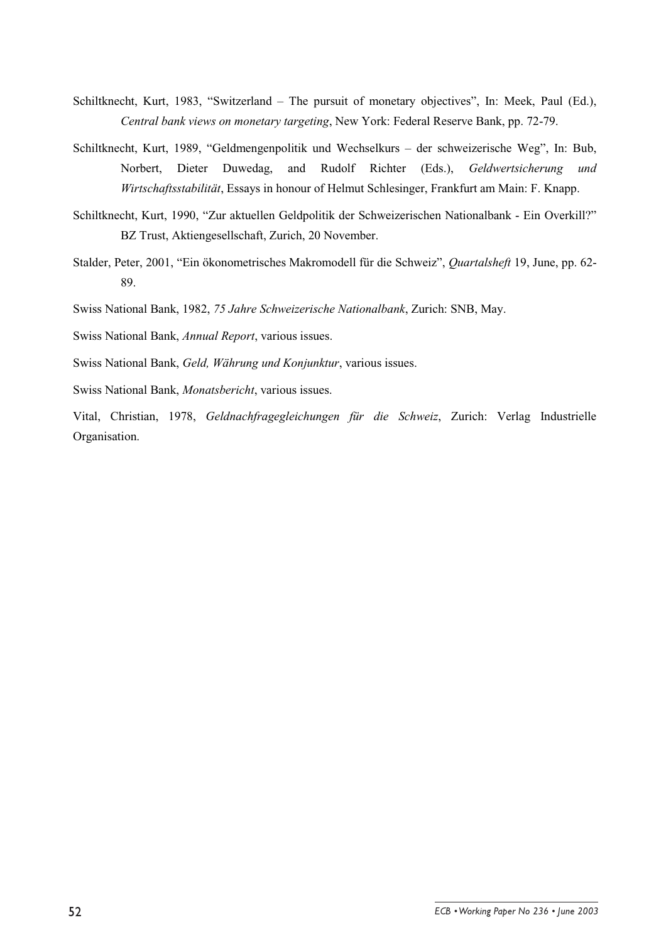- Schiltknecht, Kurt, 1983, "Switzerland The pursuit of monetary objectives", In: Meek, Paul (Ed.), *Central bank views on monetary targeting*, New York: Federal Reserve Bank, pp. 72-79.
- Schiltknecht, Kurt, 1989, "Geldmengenpolitik und Wechselkurs der schweizerische Weg", In: Bub, Norbert, Dieter Duwedag, and Rudolf Richter (Eds.), *Geldwertsicherung und Wirtschaftsstabilität*, Essays in honour of Helmut Schlesinger, Frankfurt am Main: F. Knapp.
- Schiltknecht, Kurt, 1990, "Zur aktuellen Geldpolitik der Schweizerischen Nationalbank Ein Overkill?" BZ Trust, Aktiengesellschaft, Zurich, 20 November.
- Stalder, Peter, 2001, "Ein ökonometrisches Makromodell für die Schweiz", *Quartalsheft* 19, June, pp. 62- 89.
- Swiss National Bank, 1982, *75 Jahre Schweizerische Nationalbank*, Zurich: SNB, May.
- Swiss National Bank, *Annual Report*, various issues.
- Swiss National Bank, *Geld, Währung und Konjunktur*, various issues.
- Swiss National Bank, *Monatsbericht*, various issues.

Vital, Christian, 1978, *Geldnachfragegleichungen für die Schweiz*, Zurich: Verlag Industrielle Organisation.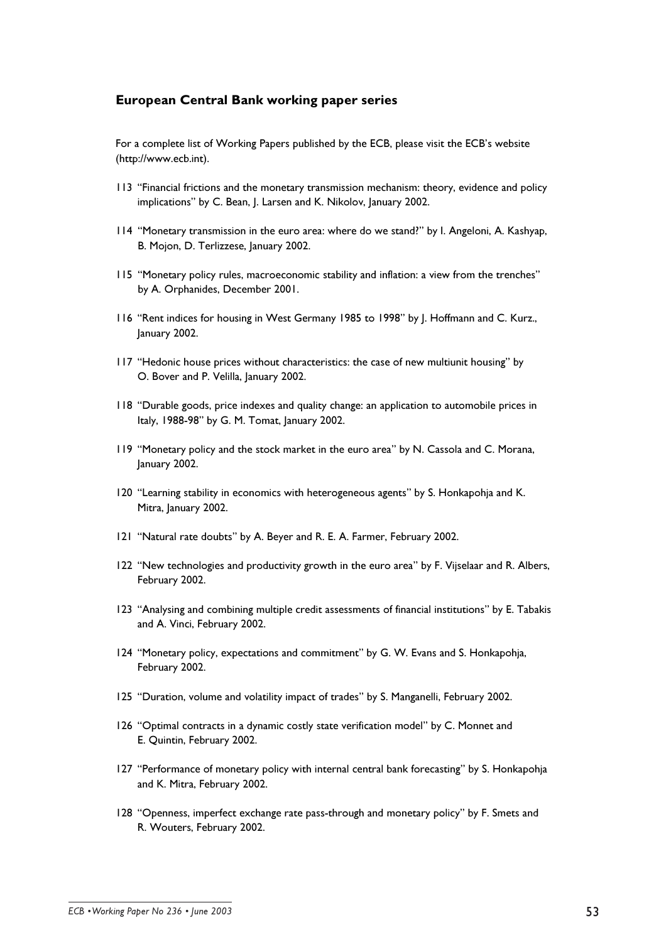#### **European Central Bank working paper series**

For a complete list of Working Papers published by the ECB, please visit the ECB's website (http://www.ecb.int).

- 113 "Financial frictions and the monetary transmission mechanism: theory, evidence and policy implications" by C. Bean, J. Larsen and K. Nikolov, January 2002.
- 114 "Monetary transmission in the euro area: where do we stand?" by l. Angeloni, A. Kashyap, B. Moion, D. Terlizzese, lanuary 2002.
- 115 "Monetary policy rules, macroeconomic stability and inflation: a view from the trenches" by A. Orphanides, December 2001.
- 116 "Rent indices for housing in West Germany 1985 to 1998" by J. Hoffmann and C. Kurz., January 2002.
- 117 "Hedonic house prices without characteristics: the case of new multiunit housing" by O. Bover and P. Velilla, lanuary 2002.
- 118 "Durable goods, price indexes and quality change: an application to automobile prices in Italy, 1988-98" by G. M. Tomat, January 2002.
- 119 "Monetary policy and the stock market in the euro area" by N. Cassola and C. Morana, January 2002.
- 120 "Learning stability in economics with heterogeneous agents" by S. Honkapohja and K. Mitra, January 2002.
- 121 "Natural rate doubts" by A. Beyer and R. E. A. Farmer, February 2002.
- 122 "New technologies and productivity growth in the euro area" by F. Vijselaar and R. Albers, February 2002.
- 123 "Analysing and combining multiple credit assessments of financial institutions" by E. Tabakis and A. Vinci, February 2002.
- 124 "Monetary policy, expectations and commitment" by G. W. Evans and S. Honkapohja, February 2002.
- 125 "Duration, volume and volatility impact of trades" by S. Manganelli, February 2002.
- 126 "Optimal contracts in a dynamic costly state verification model" by C. Monnet and E. Quintin, February 2002.
- 127 "Performance of monetary policy with internal central bank forecasting" by S. Honkapohja and K. Mitra, February 2002.
- 128 "Openness, imperfect exchange rate pass-through and monetary policy" by F. Smets and R. Wouters, February 2002.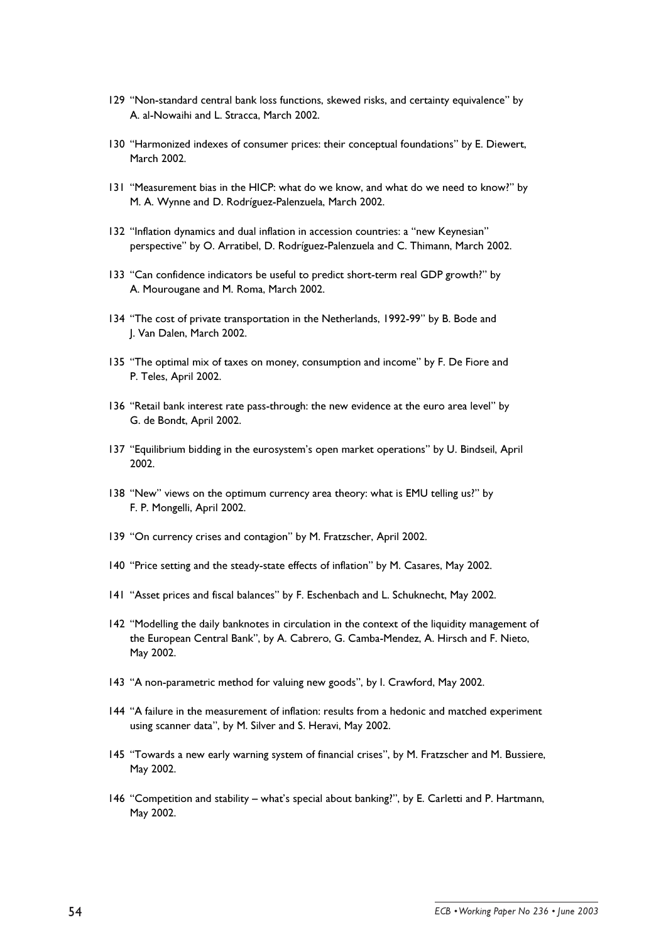- 129 "Non-standard central bank loss functions, skewed risks, and certainty equivalence" by A. al-Nowaihi and L. Stracca, March 2002.
- 130 "Harmonized indexes of consumer prices: their conceptual foundations" by E. Diewert. March 2002.
- 131 "Measurement bias in the HICP: what do we know, and what do we need to know?" by M. A. Wynne and D. Rodríguez-Palenzuela, March 2002.
- 132 "Inflation dynamics and dual inflation in accession countries: a "new Keynesian" perspective" by O. Arratibel, D. Rodríguez-Palenzuela and C. Thimann, March 2002.
- 133 "Can confidence indicators be useful to predict short-term real GDP growth?" by A. Mourougane and M. Roma, March 2002.
- 134 "The cost of private transportation in the Netherlands, 1992-99" by B. Bode and J. Van Dalen, March 2002.
- 135 "The optimal mix of taxes on money, consumption and income" by F. De Fiore and P. Teles, April 2002.
- 136 "Retail bank interest rate pass-through: the new evidence at the euro area level" by G. de Bondt, April 2002.
- 137 "Equilibrium bidding in the eurosystem's open market operations" by U. Bindseil, April 2002.
- 138 "New" views on the optimum currency area theory: what is EMU telling us?" by F. P. Mongelli, April 2002.
- 139 "On currency crises and contagion" by M. Fratzscher, April 2002.
- 140 "Price setting and the steady-state effects of inflation" by M. Casares, May 2002.
- 141 "Asset prices and fiscal balances" by F. Eschenbach and L. Schuknecht, May 2002.
- 142 "Modelling the daily banknotes in circulation in the context of the liquidity management of the European Central Bank", by A. Cabrero, G. Camba-Mendez, A. Hirsch and F. Nieto, May 2002.
- 143 "A non-parametric method for valuing new goods", by I. Crawford, May 2002.
- 144 "A failure in the measurement of inflation: results from a hedonic and matched experiment using scanner data", by M. Silver and S. Heravi, May 2002.
- 145 "Towards a new early warning system of financial crises", by M. Fratzscher and M. Bussiere, May 2002.
- 146 "Competition and stability what's special about banking?", by E. Carletti and P. Hartmann, May 2002.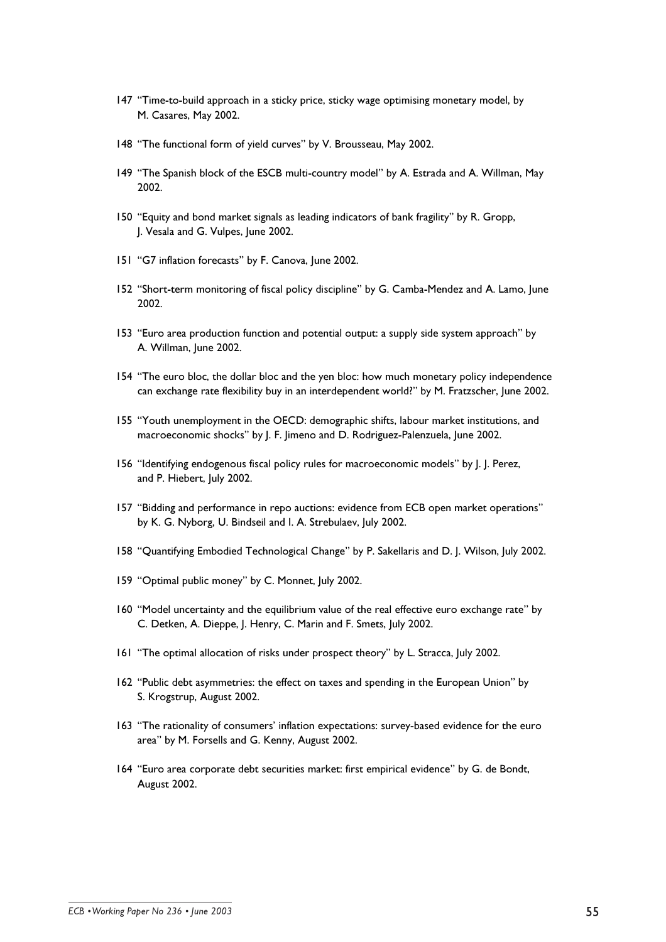- 147 "Time-to-build approach in a sticky price, sticky wage optimising monetary model, by M. Casares, May 2002.
- 148 "The functional form of yield curves" by V. Brousseau, May 2002.
- 149 "The Spanish block of the ESCB multi-country model" by A. Estrada and A. Willman, May 2002.
- 150 "Equity and bond market signals as leading indicators of bank fragility" by R. Gropp, J. Vesala and G. Vulpes, June 2002.
- 151 "G7 inflation forecasts" by F. Canova, June 2002.
- 152 "Short-term monitoring of fiscal policy discipline" by G. Camba-Mendez and A. Lamo, June 2002.
- 153 "Euro area production function and potential output: a supply side system approach" by A. Willman, June 2002.
- 154 "The euro bloc, the dollar bloc and the yen bloc: how much monetary policy independence can exchange rate flexibility buy in an interdependent world?" by M. Fratzscher, June 2002.
- 155 "Youth unemployment in the OECD: demographic shifts, labour market institutions, and macroeconomic shocks" by J. F. Jimeno and D. Rodriguez-Palenzuela, June 2002.
- 156 "Identifying endogenous fiscal policy rules for macroeconomic models" by [.]. Perez, and P. Hiebert, July 2002.
- 157 "Bidding and performance in repo auctions: evidence from ECB open market operations" by K. G. Nyborg, U. Bindseil and I. A. Strebulaev, July 2002.
- 158 "Quantifying Embodied Technological Change" by P. Sakellaris and D. J. Wilson, July 2002.
- 159 "Optimal public money" by C. Monnet, July 2002.
- 160 "Model uncertainty and the equilibrium value of the real effective euro exchange rate" by C. Detken, A. Dieppe, J. Henry, C. Marin and F. Smets, July 2002.
- 161 "The optimal allocation of risks under prospect theory" by L. Stracca, July 2002.
- 162 "Public debt asymmetries: the effect on taxes and spending in the European Union" by S. Krogstrup, August 2002.
- 163 "The rationality of consumers' inflation expectations: survey-based evidence for the euro area" by M. Forsells and G. Kenny, August 2002.
- 164 "Euro area corporate debt securities market: first empirical evidence" by G. de Bondt, August 2002.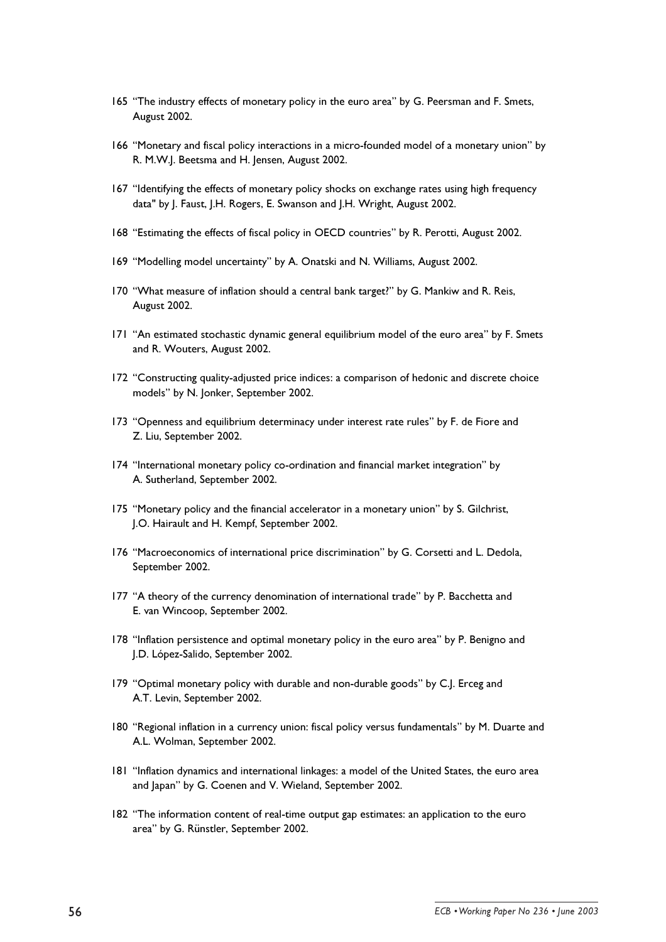- 165 "The industry effects of monetary policy in the euro area" by G. Peersman and F. Smets, August 2002.
- 166 "Monetary and fiscal policy interactions in a micro-founded model of a monetary union" by R. M.W.J. Beetsma and H. Jensen, August 2002.
- 167 "Identifying the effects of monetary policy shocks on exchange rates using high frequency data" by J. Faust, J.H. Rogers, E. Swanson and J.H. Wright, August 2002.
- 168 "Estimating the effects of fiscal policy in OECD countries" by R. Perotti, August 2002.
- 169 "Modelling model uncertainty" by A. Onatski and N. Williams, August 2002.
- 170 "What measure of inflation should a central bank target?" by G. Mankiw and R. Reis, August 2002.
- 171 "An estimated stochastic dynamic general equilibrium model of the euro area" by F. Smets and R. Wouters, August 2002.
- 172 "Constructing quality-adjusted price indices: a comparison of hedonic and discrete choice models" by N. Jonker, September 2002.
- 173 "Openness and equilibrium determinacy under interest rate rules" by F. de Fiore and Z. Liu. September 2002.
- 174 "International monetary policy co-ordination and financial market integration" by A. Sutherland, September 2002.
- 175 "Monetary policy and the financial accelerator in a monetary union" by S. Gilchrist, J.O. Hairault and H. Kempf, September 2002.
- 176 "Macroeconomics of international price discrimination" by G. Corsetti and L. Dedola, September 2002.
- 177 "A theory of the currency denomination of international trade" by P. Bacchetta and E. van Wincoop, September 2002.
- 178 "Inflation persistence and optimal monetary policy in the euro area" by P. Benigno and J.D. López-Salido, September 2002.
- 179 "Optimal monetary policy with durable and non-durable goods" by C.J. Erceg and A.T. Levin, September 2002.
- 180 "Regional inflation in a currency union: fiscal policy versus fundamentals" by M. Duarte and A.L. Wolman, September 2002.
- 181 "Inflation dynamics and international linkages: a model of the United States, the euro area and Japan" by G. Coenen and V. Wieland, September 2002.
- 182 "The information content of real-time output gap estimates: an application to the euro area" by G. Rünstler, September 2002.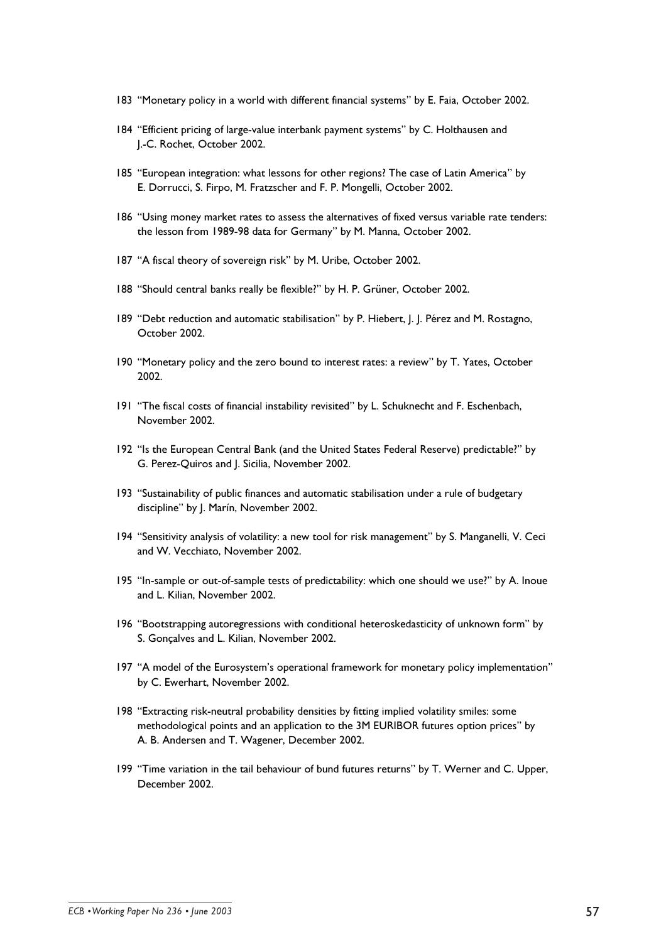- 183 "Monetary policy in a world with different financial systems" by E. Faia, October 2002.
- 184 "Efficient pricing of large-value interbank payment systems" by C. Holthausen and I.-C. Rochet. October 2002.
- 185 "European integration: what lessons for other regions? The case of Latin America" by E. Dorrucci, S. Firpo, M. Fratzscher and F. P. Mongelli, October 2002.
- 186 "Using money market rates to assess the alternatives of fixed versus variable rate tenders: the lesson from 1989-98 data for Germany" by M. Manna, October 2002.
- 187 "A fiscal theory of sovereign risk" by M. Uribe, October 2002.
- 188 "Should central banks really be flexible?" by H. P. Grüner, October 2002.
- 189 "Debt reduction and automatic stabilisation" by P. Hiebert, J. J. Pérez and M. Rostagno, October 2002.
- 190 "Monetary policy and the zero bound to interest rates: a review" by T. Yates. October 2002.
- 191 "The fiscal costs of financial instability revisited" by L. Schuknecht and F. Eschenbach, November 2002.
- 192 "Is the European Central Bank (and the United States Federal Reserve) predictable?" by G. Perez-Quiros and J. Sicilia, November 2002.
- 193 "Sustainability of public finances and automatic stabilisation under a rule of budgetary discipline" by J. Marín, November 2002.
- 194 "Sensitivity analysis of volatility: a new tool for risk management" by S. Manganelli, V. Ceci and W. Vecchiato, November 2002.
- 195 "In-sample or out-of-sample tests of predictability: which one should we use?" by A. Inoue and L. Kilian. November 2002.
- 196 "Bootstrapping autoregressions with conditional heteroskedasticity of unknown form" by S. Gonçalves and L. Kilian, November 2002.
- 197 "A model of the Eurosystem's operational framework for monetary policy implementation" by C. Ewerhart, November 2002.
- 198 "Extracting risk-neutral probability densities by fitting implied volatility smiles: some methodological points and an application to the 3M EURIBOR futures option prices" by A. B. Andersen and T. Wagener, December 2002.
- 199 "Time variation in the tail behaviour of bund futures returns" by T. Werner and C. Upper, December 2002.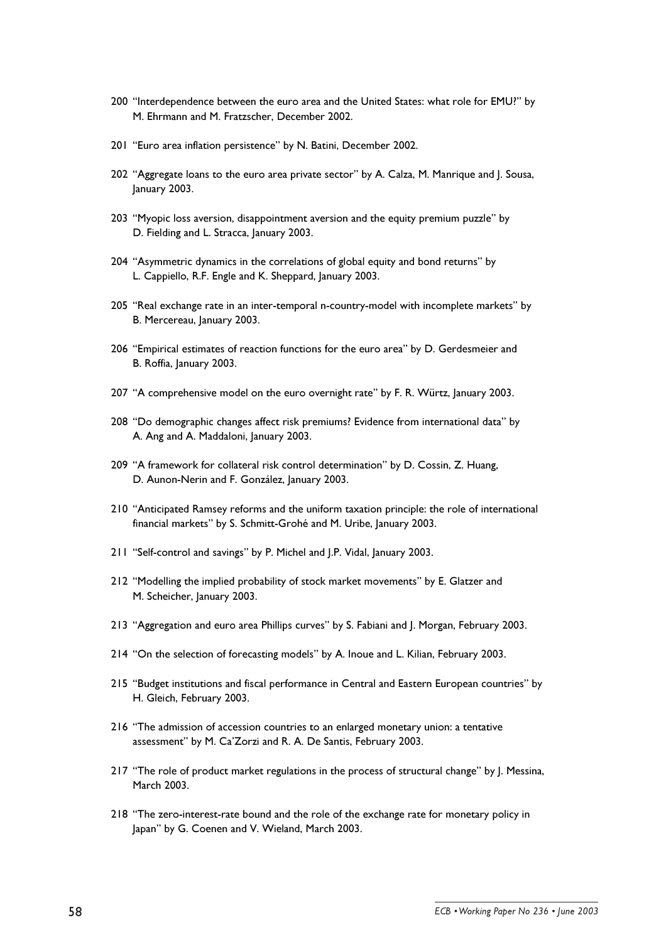- 200 "Interdependence between the euro area and the United States: what role for EMU?" by M. Ehrmann and M. Fratzscher, December 2002.
- 201 "Euro area inflation persistence" by N. Batini, December 2002.
- 202 "Aggregate loans to the euro area private sector" by A. Calza, M. Manrique and J. Sousa, January 2003.
- 203 "Myopic loss aversion, disappointment aversion and the equity premium puzzle" by D. Fielding and L. Stracca, January 2003.
- 204 "Asymmetric dynamics in the correlations of global equity and bond returns" by L. Cappiello, R.F. Engle and K. Sheppard, January 2003.
- 205 "Real exchange rate in an inter-temporal n-country-model with incomplete markets" by B. Mercereau, January 2003.
- 206 "Empirical estimates of reaction functions for the euro area" by D. Gerdesmeier and B. Roffia, January 2003.
- 207 "A comprehensive model on the euro overnight rate" by F. R. Würtz, January 2003.
- 208 "Do demographic changes affect risk premiums? Evidence from international data" by A. Ang and A. Maddaloni, lanuary 2003.
- 209 "A framework for collateral risk control determination" by D. Cossin, Z. Huang, D. Aunon-Nerin and F. González, January 2003.
- 210 "Anticipated Ramsey reforms and the uniform taxation principle: the role of international financial markets" by S. Schmitt-Grohé and M. Uribe, January 2003.
- 211 "Self-control and savings" by P. Michel and J.P. Vidal, January 2003.
- 212 "Modelling the implied probability of stock market movements" by E. Glatzer and M. Scheicher, January 2003.
- 213 "Aggregation and euro area Phillips curves" by S. Fabiani and J. Morgan, February 2003.
- 214 "On the selection of forecasting models" by A. Inoue and L. Kilian, February 2003.
- 215 "Budget institutions and fiscal performance in Central and Eastern European countries" by H. Gleich, February 2003.
- 216 "The admission of accession countries to an enlarged monetary union: a tentative assessment" by M. Ca'Zorzi and R. A. De Santis, February 2003.
- 217 "The role of product market regulations in the process of structural change" by J. Messina, March 2003.
- 218 "The zero-interest-rate bound and the role of the exchange rate for monetary policy in lapan" by G. Coenen and V. Wieland, March 2003.